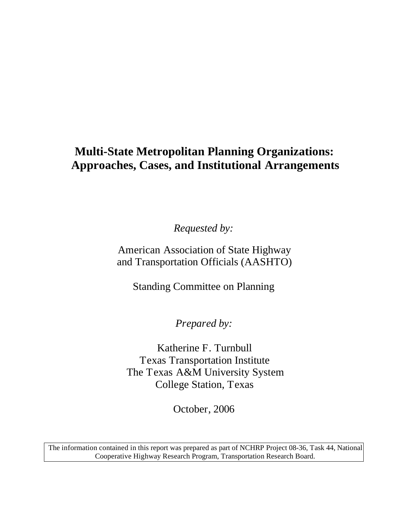# **Multi-State Metropolitan Planning Organizations: Approaches, Cases, and Institutional Arrangements**

*Requested by:* 

American Association of State Highway and Transportation Officials (AASHTO)

Standing Committee on Planning

*Prepared by:* 

Katherine F. Turnbull Texas Transportation Institute The Texas A&M University System College Station, Texas

October, 2006

The information contained in this report was prepared as part of NCHRP Project 08-36, Task 44, National Cooperative Highway Research Program, Transportation Research Board.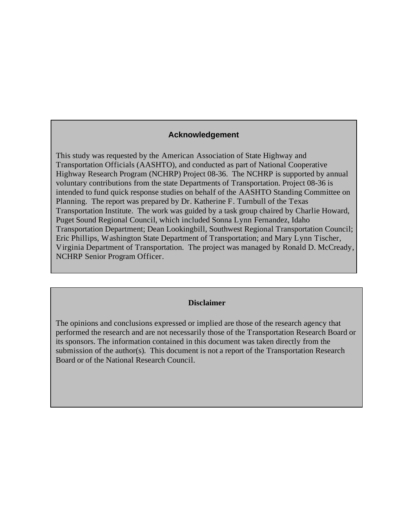#### **Acknowledgement**

This study was requested by the American Association of State Highway and Transportation Officials (AASHTO), and conducted as part of National Cooperative Highway Research Program (NCHRP) Project 08-36. The NCHRP is supported by annual voluntary contributions from the state Departments of Transportation. Project 08-36 is intended to fund quick response studies on behalf of the AASHTO Standing Committee on Planning. The report was prepared by Dr. Katherine F. Turnbull of the Texas Transportation Institute. The work was guided by a task group chaired by Charlie Howard, Puget Sound Regional Council, which included Sonna Lynn Fernandez, Idaho Transportation Department; Dean Lookingbill, Southwest Regional Transportation Council; Eric Phillips, Washington State Department of Transportation; and Mary Lynn Tischer, Virginia Department of Transportation. The project was managed by Ronald D. McCready, NCHRP Senior Program Officer.

#### **Disclaimer**

The opinions and conclusions expressed or implied are those of the research agency that performed the research and are not necessarily those of the Transportation Research Board or its sponsors. The information contained in this document was taken directly from the submission of the author(s). This document is not a report of the Transportation Research Board or of the National Research Council.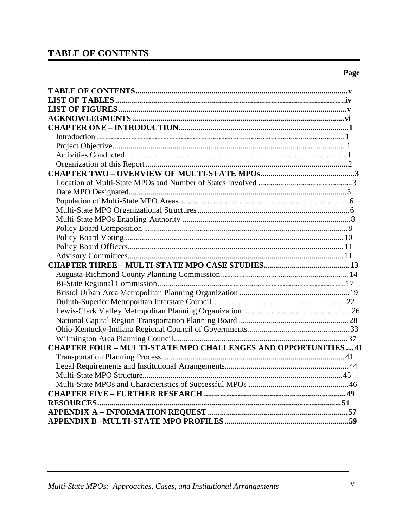# **TABLE OF CONTENTS**

| <b>CHAPTER FOUR - MULTI-STATE MPO CHALLENGES AND OPPORTUNITIES41</b> |
|----------------------------------------------------------------------|
|                                                                      |
|                                                                      |
|                                                                      |
|                                                                      |
|                                                                      |
|                                                                      |
|                                                                      |
|                                                                      |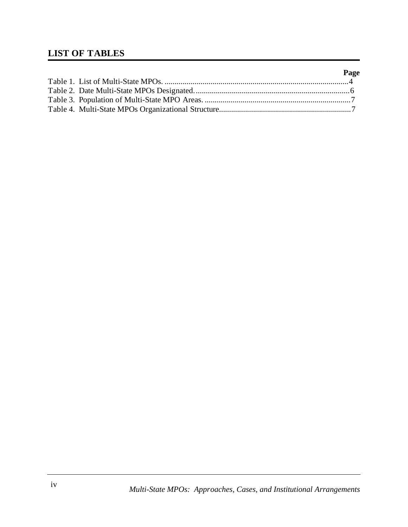# **LIST OF TABLES**

|  | Page |
|--|------|
|  |      |
|  |      |
|  |      |
|  |      |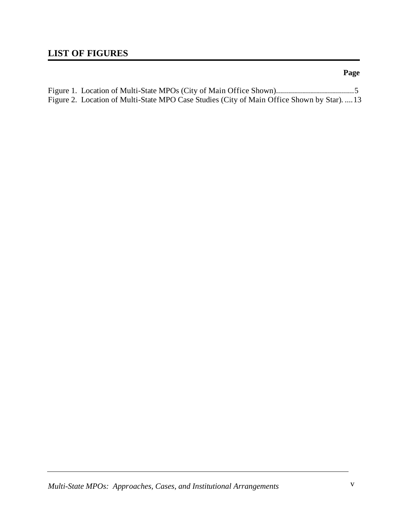# **LIST OF FIGURES**

| Figure 2. Location of Multi-State MPO Case Studies (City of Main Office Shown by Star).  13 |  |
|---------------------------------------------------------------------------------------------|--|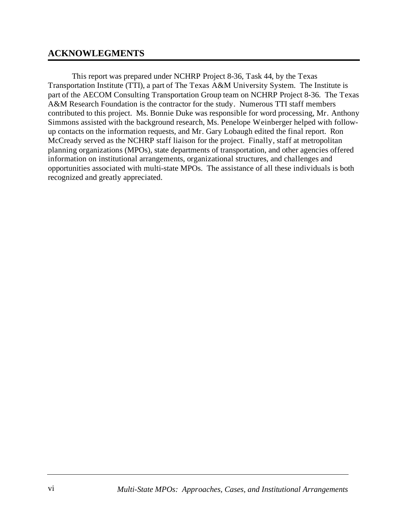## **ACKNOWLEGMENTS**

This report was prepared under NCHRP Project 8-36, Task 44, by the Texas Transportation Institute (TTI), a part of The Texas A&M University System. The Institute is part of the AECOM Consulting Transportation Group team on NCHRP Project 8-36. The Texas A&M Research Foundation is the contractor for the study. Numerous TTI staff members contributed to this project. Ms. Bonnie Duke was responsible for word processing, Mr. Anthony Simmons assisted with the background research, Ms. Penelope Weinberger helped with followup contacts on the information requests, and Mr. Gary Lobaugh edited the final report. Ron McCready served as the NCHRP staff liaison for the project. Finally, staff at metropolitan planning organizations (MPOs), state departments of transportation, and other agencies offered information on institutional arrangements, organizational structures, and challenges and opportunities associated with multi-state MPOs. The assistance of all these individuals is both recognized and greatly appreciated.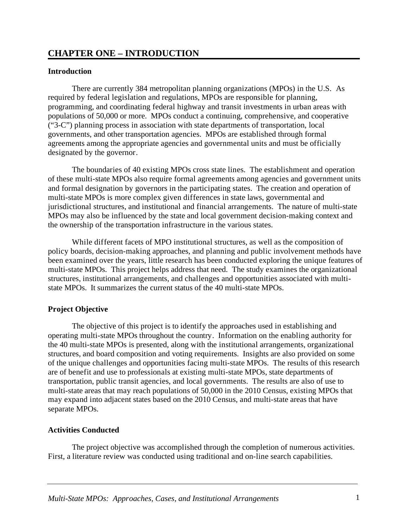## **CHAPTER ONE – INTRODUCTION**

## **Introduction**

There are currently 384 metropolitan planning organizations (MPOs) in the U.S. As required by federal legislation and regulations, MPOs are responsible for planning, programming, and coordinating federal highway and transit investments in urban areas with populations of 50,000 or more. MPOs conduct a continuing, comprehensive, and cooperative ("3-C") planning process in association with state departments of transportation, local governments, and other transportation agencies. MPOs are established through formal agreements among the appropriate agencies and governmental units and must be officially designated by the governor.

The boundaries of 40 existing MPOs cross state lines. The establishment and operation of these multi-state MPOs also require formal agreements among agencies and government units and formal designation by governors in the participating states. The creation and operation of multi-state MPOs is more complex given differences in state laws, governmental and jurisdictional structures, and institutional and financial arrangements. The nature of multi-state MPOs may also be influenced by the state and local government decision-making context and the ownership of the transportation infrastructure in the various states.

While different facets of MPO institutional structures, as well as the composition of policy boards, decision-making approaches, and planning and public involvement methods have been examined over the years, little research has been conducted exploring the unique features of multi-state MPOs. This project helps address that need. The study examines the organizational structures, institutional arrangements, and challenges and opportunities associated with multistate MPOs. It summarizes the current status of the 40 multi-state MPOs.

## **Project Objective**

The objective of this project is to identify the approaches used in establishing and operating multi-state MPOs throughout the country. Information on the enabling authority for the 40 multi-state MPOs is presented, along with the institutional arrangements, organizational structures, and board composition and voting requirements. Insights are also provided on some of the unique challenges and opportunities facing multi-state MPOs. The results of this research are of benefit and use to professionals at existing multi-state MPOs, state departments of transportation, public transit agencies, and local governments. The results are also of use to multi-state areas that may reach populations of 50,000 in the 2010 Census, existing MPOs that may expand into adjacent states based on the 2010 Census, and multi-state areas that have separate MPOs.

#### **Activities Conducted**

The project objective was accomplished through the completion of numerous activities. First, a literature review was conducted using traditional and on-line search capabilities.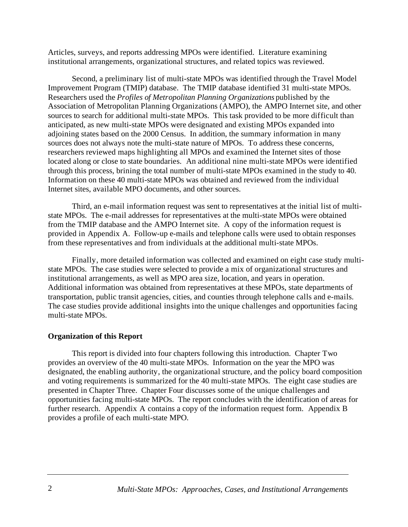Articles, surveys, and reports addressing MPOs were identified. Literature examining institutional arrangements, organizational structures, and related topics was reviewed.

Second, a preliminary list of multi-state MPOs was identified through the Travel Model Improvement Program (TMIP) database. The TMIP database identified 31 multi-state MPOs. Researchers used the *Profiles of Metropolitan Planning Organizations* published by the Association of Metropolitan Planning Organizations (AMPO), the AMPO Internet site, and other sources to search for additional multi-state MPOs. This task provided to be more difficult than anticipated, as new multi-state MPOs were designated and existing MPOs expanded into adjoining states based on the 2000 Census. In addition, the summary information in many sources does not always note the multi-state nature of MPOs. To address these concerns, researchers reviewed maps highlighting all MPOs and examined the Internet sites of those located along or close to state boundaries. An additional nine multi-state MPOs were identified through this process, brining the total number of multi-state MPOs examined in the study to 40. Information on these 40 multi-state MPOs was obtained and reviewed from the individual Internet sites, available MPO documents, and other sources.

Third, an e-mail information request was sent to representatives at the initial list of multistate MPOs. The e-mail addresses for representatives at the multi-state MPOs were obtained from the TMIP database and the AMPO Internet site. A copy of the information request is provided in Appendix A. Follow-up e-mails and telephone calls were used to obtain responses from these representatives and from individuals at the additional multi-state MPOs.

Finally, more detailed information was collected and examined on eight case study multistate MPOs. The case studies were selected to provide a mix of organizational structures and institutional arrangements, as well as MPO area size, location, and years in operation. Additional information was obtained from representatives at these MPOs, state departments of transportation, public transit agencies, cities, and counties through telephone calls and e-mails. The case studies provide additional insights into the unique challenges and opportunities facing multi-state MPOs.

## **Organization of this Report**

This report is divided into four chapters following this introduction. Chapter Two provides an overview of the 40 multi-state MPOs. Information on the year the MPO was designated, the enabling authority, the organizational structure, and the policy board composition and voting requirements is summarized for the 40 multi-state MPOs. The eight case studies are presented in Chapter Three. Chapter Four discusses some of the unique challenges and opportunities facing multi-state MPOs. The report concludes with the identification of areas for further research. Appendix A contains a copy of the information request form. Appendix B provides a profile of each multi-state MPO.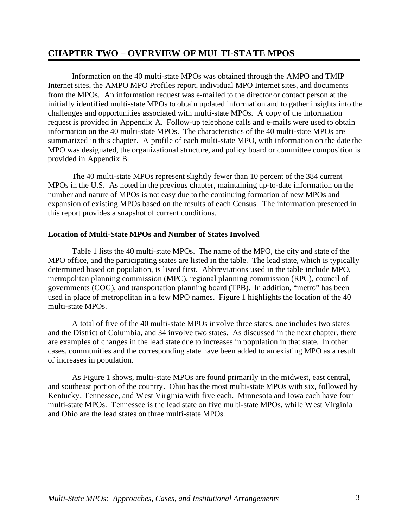## **CHAPTER TWO – OVERVIEW OF MULTI-STATE MPOS**

Information on the 40 multi-state MPOs was obtained through the AMPO and TMIP Internet sites, the AMPO MPO Profiles report, individual MPO Internet sites, and documents from the MPOs. An information request was e-mailed to the director or contact person at the initially identified multi-state MPOs to obtain updated information and to gather insights into the challenges and opportunities associated with multi-state MPOs. A copy of the information request is provided in Appendix A. Follow-up telephone calls and e-mails were used to obtain information on the 40 multi-state MPOs. The characteristics of the 40 multi-state MPOs are summarized in this chapter. A profile of each multi-state MPO, with information on the date the MPO was designated, the organizational structure, and policy board or committee composition is provided in Appendix B.

The 40 multi-state MPOs represent slightly fewer than 10 percent of the 384 current MPOs in the U.S. As noted in the previous chapter, maintaining up-to-date information on the number and nature of MPOs is not easy due to the continuing formation of new MPOs and expansion of existing MPOs based on the results of each Census. The information presented in this report provides a snapshot of current conditions.

#### **Location of Multi-State MPOs and Number of States Involved**

Table 1 lists the 40 multi-state MPOs. The name of the MPO, the city and state of the MPO office, and the participating states are listed in the table. The lead state, which is typically determined based on population, is listed first. Abbreviations used in the table include MPO, metropolitan planning commission (MPC), regional planning commission (RPC), council of governments (COG), and transportation planning board (TPB). In addition, "metro" has been used in place of metropolitan in a few MPO names. Figure 1 highlights the location of the 40 multi-state MPOs.

A total of five of the 40 multi-state MPOs involve three states, one includes two states and the District of Columbia, and 34 involve two states. As discussed in the next chapter, there are examples of changes in the lead state due to increases in population in that state. In other cases, communities and the corresponding state have been added to an existing MPO as a result of increases in population.

As Figure 1 shows, multi-state MPOs are found primarily in the midwest, east central, and southeast portion of the country. Ohio has the most multi-state MPOs with six, followed by Kentucky, Tennessee, and West Virginia with five each. Minnesota and Iowa each have four multi-state MPOs. Tennessee is the lead state on five multi-state MPOs, while West Virginia and Ohio are the lead states on three multi-state MPOs.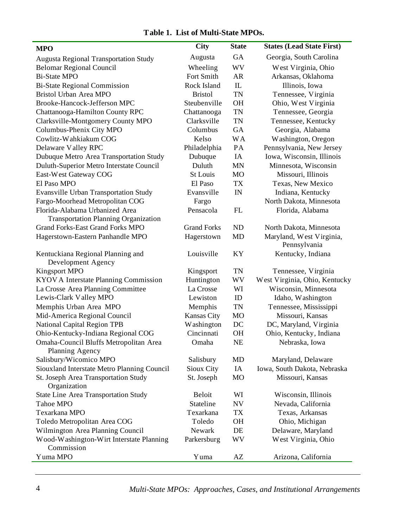## **Table 1. List of Multi-State MPOs.**

| <b>MPO</b>                                   | <b>City</b>        | <b>State</b>   | <b>States (Lead State First)</b> |
|----------------------------------------------|--------------------|----------------|----------------------------------|
| <b>Augusta Regional Transportation Study</b> | Augusta            | <b>GA</b>      | Georgia, South Carolina          |
| <b>Belomar Regional Council</b>              | Wheeling           | <b>WV</b>      | West Virginia, Ohio              |
| <b>Bi-State MPO</b>                          | Fort Smith         | <b>AR</b>      | Arkansas, Oklahoma               |
| <b>Bi-State Regional Commission</b>          | Rock Island        | $\mathbf{I}$   | Illinois, Iowa                   |
| Bristol Urban Area MPO                       | <b>Bristol</b>     | <b>TN</b>      | Tennessee, Virginia              |
| Brooke-Hancock-Jefferson MPC                 | Steubenville       | <b>OH</b>      | Ohio, West Virginia              |
| Chattanooga-Hamilton County RPC              | Chattanooga        | <b>TN</b>      | Tennessee, Georgia               |
| Clarksville-Montgomery County MPO            | Clarksville        | <b>TN</b>      | Tennessee, Kentucky              |
| Columbus-Phenix City MPO                     | Columbus           | GA             | Georgia, Alabama                 |
| Cowlitz-Wahkiakum COG                        | Kelso              | <b>WA</b>      | Washington, Oregon               |
| Delaware Valley RPC                          | Philadelphia       | PA             | Pennsylvania, New Jersey         |
| Dubuque Metro Area Transportation Study      | Dubuque            | IA             | Iowa, Wisconsin, Illinois        |
| Duluth-Superior Metro Interstate Council     | Duluth             | <b>MN</b>      | Minnesota, Wisconsin             |
| East-West Gateway COG                        | <b>St Louis</b>    | M <sub>O</sub> | Missouri, Illinois               |
| El Paso MPO                                  | El Paso            | TX             | Texas, New Mexico                |
| <b>Evansville Urban Transportation Study</b> | Evansville         | IN             | Indiana, Kentucky                |
| Fargo-Moorhead Metropolitan COG              | Fargo              |                | North Dakota, Minnesota          |
| Florida-Alabama Urbanized Area               | Pensacola          | FL             | Florida, Alabama                 |
| <b>Transportation Planning Organization</b>  |                    |                |                                  |
| <b>Grand Forks-East Grand Forks MPO</b>      | <b>Grand Forks</b> | ND             | North Dakota, Minnesota          |
| Hagerstown-Eastern Panhandle MPO             | Hagerstown         | MD             | Maryland, West Virginia,         |
|                                              |                    |                | Pennsylvania                     |
| Kentuckiana Regional Planning and            | Louisville         | KY             | Kentucky, Indiana                |
| Development Agency                           |                    |                |                                  |
| <b>Kingsport MPO</b>                         | Kingsport          | <b>TN</b>      | Tennessee, Virginia              |
| KYOV A Interstate Planning Commission        | Huntington         | WV             | West Virginia, Ohio, Kentucky    |
| La Crosse Area Planning Committee            | La Crosse          | WI             | Wisconsin, Minnesota             |
| Lewis-Clark Valley MPO                       | Lewiston           | ID             | Idaho, Washington                |
| Memphis Urban Area MPO                       | Memphis            | <b>TN</b>      | Tennessee, Mississippi           |
| Mid-America Regional Council                 | Kansas City        | MO             | Missouri, Kansas                 |
| National Capital Region TPB                  | Washington         | DC             | DC, Maryland, Virginia           |
| Ohio-Kentucky-Indiana Regional COG           | Cincinnati         | OH             | Ohio, Kentucky, Indiana          |
| Omaha-Council Bluffs Metropolitan Area       | Omaha              | <b>NE</b>      | Nebraska, Iowa                   |
| Planning Agency                              |                    |                |                                  |
| Salisbury/Wicomico MPO                       | Salisbury          | <b>MD</b>      | Maryland, Delaware               |
| Siouxland Interstate Metro Planning Council  | Sioux City         | IA             | Iowa, South Dakota, Nebraska     |
| St. Joseph Area Transportation Study         | St. Joseph         | MO             | Missouri, Kansas                 |
| Organization                                 |                    |                |                                  |
| <b>State Line Area Transportation Study</b>  | <b>Beloit</b>      | WI             | Wisconsin, Illinois              |
| Tahoe MPO                                    | Stateline          | NV             | Nevada, California               |
| Texarkana MPO                                | Texarkana          | TX             | Texas, Arkansas                  |
| Toledo Metropolitan Area COG                 | Toledo             | <b>OH</b>      | Ohio, Michigan                   |
| Wilmington Area Planning Council             | Newark             | DE             | Delaware, Maryland               |
| Wood-Washington-Wirt Interstate Planning     | Parkersburg        | WV             | West Virginia, Ohio              |
| Commission                                   |                    |                |                                  |
| Yuma MPO                                     | Yuma               | AZ             | Arizona, California              |

4 *Multi-State MPOs: Approaches, Cases, and Institutional Arrangements*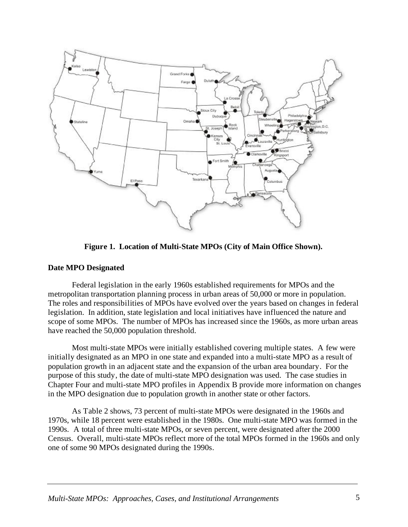

**Figure 1. Location of Multi-State MPOs (City of Main Office Shown).** 

#### **Date MPO Designated**

Federal legislation in the early 1960s established requirements for MPOs and the metropolitan transportation planning process in urban areas of 50,000 or more in population. The roles and responsibilities of MPOs have evolved over the years based on changes in federal legislation. In addition, state legislation and local initiatives have influenced the nature and scope of some MPOs. The number of MPOs has increased since the 1960s, as more urban areas have reached the 50,000 population threshold.

Most multi-state MPOs were initially established covering multiple states. A few were initially designated as an MPO in one state and expanded into a multi-state MPO as a result of population growth in an adjacent state and the expansion of the urban area boundary. For the purpose of this study, the date of multi-state MPO designation was used. The case studies in Chapter Four and multi-state MPO profiles in Appendix B provide more information on changes in the MPO designation due to population growth in another state or other factors.

As Table 2 shows, 73 percent of multi-state MPOs were designated in the 1960s and 1970s, while 18 percent were established in the 1980s. One multi-state MPO was formed in the 1990s. A total of three multi-state MPOs, or seven percent, were designated after the 2000 Census. Overall, multi-state MPOs reflect more of the total MPOs formed in the 1960s and only one of some 90 MPOs designated during the 1990s.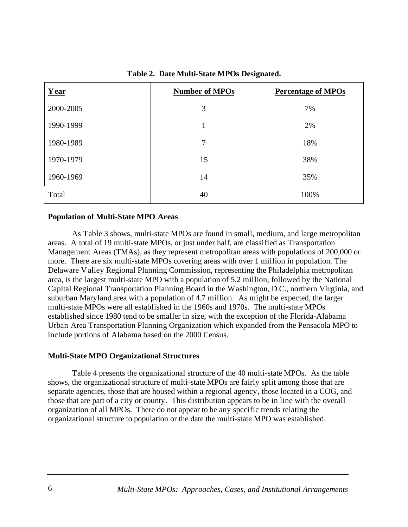| Year      | <b>Number of MPOs</b> | <b>Percentage of MPOs</b> |
|-----------|-----------------------|---------------------------|
| 2000-2005 | 3                     | 7%                        |
| 1990-1999 |                       | 2%                        |
| 1980-1989 | 7                     | 18%                       |
| 1970-1979 | 15                    | 38%                       |
| 1960-1969 | 14                    | 35%                       |
| Total     | 40                    | 100%                      |

#### **Table 2. Date Multi-State MPOs Designated.**

#### **Population of Multi-State MPO Areas**

As Table 3 shows, multi-state MPOs are found in small, medium, and large metropolitan areas. A total of 19 multi-state MPOs, or just under half, are classified as Transportation Management Areas (TMAs), as they represent metropolitan areas with populations of 200,000 or more. There are six multi-state MPOs covering areas with over 1 million in population. The Delaware Valley Regional Planning Commission, representing the Philadelphia metropolitan area, is the largest multi-state MPO with a population of 5.2 million, followed by the National Capital Regional Transportation Planning Board in the Washington, D.C., northern Virginia, and suburban Maryland area with a population of 4.7 million. As might be expected, the larger multi-state MPOs were all established in the 1960s and 1970s. The multi-state MPOs established since 1980 tend to be smaller in size, with the exception of the Florida-Alabama Urban Area Transportation Planning Organization which expanded from the Pensacola MPO to include portions of Alabama based on the 2000 Census.

#### **Multi-State MPO Organizational Structures**

Table 4 presents the organizational structure of the 40 multi-state MPOs. As the table shows, the organizational structure of multi-state MPOs are fairly split among those that are separate agencies, those that are housed within a regional agency, those located in a COG, and those that are part of a city or county. This distribution appears to be in line with the overall organization of all MPOs. There do not appear to be any specific trends relating the organizational structure to population or the date the multi-state MPO was established.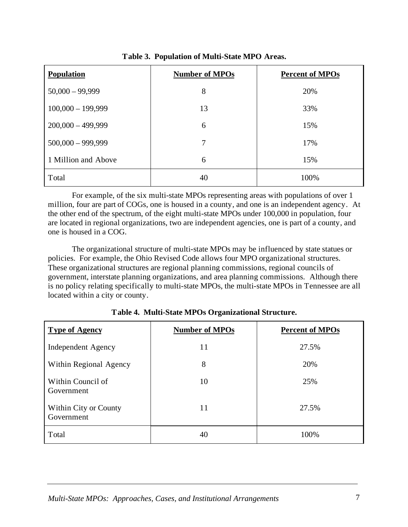| <b>Population</b>   | <b>Number of MPOs</b> | <b>Percent of MPOs</b> |
|---------------------|-----------------------|------------------------|
| $50,000 - 99,999$   | 8                     | 20%                    |
| $100,000 - 199,999$ | 13                    | 33%                    |
| $200,000 - 499,999$ | 6                     | 15%                    |
| $500,000 - 999,999$ | 7                     | 17%                    |
| 1 Million and Above | 6                     | 15%                    |
| Total               | 40                    | 100%                   |

**Table 3. Population of Multi-State MPO Areas.** 

For example, of the six multi-state MPOs representing areas with populations of over 1 million, four are part of COGs, one is housed in a county, and one is an independent agency. At the other end of the spectrum, of the eight multi-state MPOs under 100,000 in population, four are located in regional organizations, two are independent agencies, one is part of a county, and one is housed in a COG.

The organizational structure of multi-state MPOs may be influenced by state statues or policies. For example, the Ohio Revised Code allows four MPO organizational structures. These organizational structures are regional planning commissions, regional councils of government, interstate planning organizations, and area planning commissions. Although there is no policy relating specifically to multi-state MPOs, the multi-state MPOs in Tennessee are all located within a city or county.

| <b>Type of Agency</b>               | <b>Number of MPOs</b> | <b>Percent of MPOs</b> |
|-------------------------------------|-----------------------|------------------------|
| Independent Agency                  | 11                    | 27.5%                  |
| Within Regional Agency              | 8                     | 20%                    |
| Within Council of<br>Government     | 10                    | 25%                    |
| Within City or County<br>Government | 11                    | 27.5%                  |
| Total                               | 40                    | 100%                   |

**Table 4. Multi-State MPOs Organizational Structure.**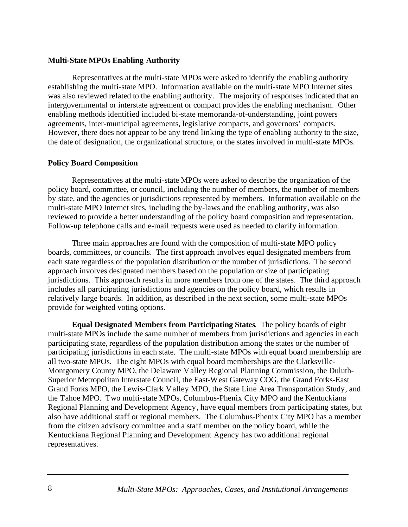#### **Multi-State MPOs Enabling Authority**

Representatives at the multi-state MPOs were asked to identify the enabling authority establishing the multi-state MPO. Information available on the multi-state MPO Internet sites was also reviewed related to the enabling authority. The majority of responses indicated that an intergovernmental or interstate agreement or compact provides the enabling mechanism. Other enabling methods identified included bi-state memoranda-of-understanding, joint powers agreements, inter-municipal agreements, legislative compacts, and governors' compacts. However, there does not appear to be any trend linking the type of enabling authority to the size, the date of designation, the organizational structure, or the states involved in multi-state MPOs.

#### **Policy Board Composition**

Representatives at the multi-state MPOs were asked to describe the organization of the policy board, committee, or council, including the number of members, the number of members by state, and the agencies or jurisdictions represented by members. Information available on the multi-state MPO Internet sites, including the by-laws and the enabling authority, was also reviewed to provide a better understanding of the policy board composition and representation. Follow-up telephone calls and e-mail requests were used as needed to clarify information.

Three main approaches are found with the composition of multi-state MPO policy boards, committees, or councils. The first approach involves equal designated members from each state regardless of the population distribution or the number of jurisdictions. The second approach involves designated members based on the population or size of participating jurisdictions. This approach results in more members from one of the states. The third approach includes all participating jurisdictions and agencies on the policy board, which results in relatively large boards. In addition, as described in the next section, some multi-state MPOs provide for weighted voting options.

**Equal Designated Members from Participating States**. The policy boards of eight multi-state MPOs include the same number of members from jurisdictions and agencies in each participating state, regardless of the population distribution among the states or the number of participating jurisdictions in each state. The multi-state MPOs with equal board membership are all two-state MPOs. The eight MPOs with equal board memberships are the Clarksville-Montgomery County MPO, the Delaware Valley Regional Planning Commission, the Duluth-Superior Metropolitan Interstate Council, the East-West Gateway COG, the Grand Forks-East Grand Forks MPO, the Lewis-Clark Valley MPO, the State Line Area Transportation Study, and the Tahoe MPO. Two multi-state MPOs, Columbus-Phenix City MPO and the Kentuckiana Regional Planning and Development Agency, have equal members from participating states, but also have additional staff or regional members. The Columbus-Phenix City MPO has a member from the citizen advisory committee and a staff member on the policy board, while the Kentuckiana Regional Planning and Development Agency has two additional regional representatives.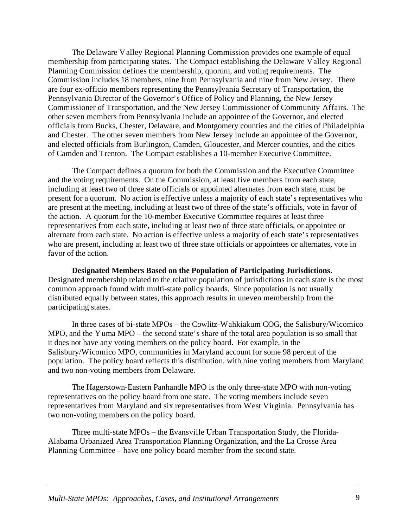The Delaware Valley Regional Planning Commission provides one example of equal membership from participating states. The Compact establishing the Delaware Valley Regional Planning Commission defines the membership, quorum, and voting requirements. The Commission includes 18 members, nine from Pennsylvania and nine from New Jersey. There are four ex-officio members representing the Pennsylvania Secretary of Transportation, the Pennsylvania Director of the Governor's Office of Policy and Planning, the New Jersey Commissioner of Transportation, and the New Jersey Commissioner of Community Affairs. The other seven members from Pennsylvania include an appointee of the Governor, and elected officials from Bucks, Chester, Delaware, and Montgomery counties and the cities of Philadelphia and Chester. The other seven members from New Jersey include an appointee of the Governor, and elected officials from Burlington, Camden, Gloucester, and Mercer counties, and the cities of Camden and Trenton. The Compact establishes a 10-member Executive Committee.

The Compact defines a quorum for both the Commission and the Executive Committee and the voting requirements. On the Commission, at least five members from each state, including at least two of three state officials or appointed alternates from each state, must be present for a quorum. No action is effective unless a majority of each state's representatives who are present at the meeting, including at least two of three of the state's officials, vote in favor of the action. A quorum for the 10-member Executive Committee requires at least three representatives from each state, including at least two of three state officials, or appointee or alternate from each state. No action is effective unless a majority of each state's representatives who are present, including at least two of three state officials or appointees or alternates, vote in favor of the action.

**Designated Members Based on the Population of Participating Jurisdictions**. Designated membership related to the relative population of jurisdictions in each state is the most common approach found with multi-state policy boards. Since population is not usually distributed equally between states, this approach results in uneven membership from the participating states.

In three cases of bi-state MPOs – the Cowlitz-Wahkiakum COG, the Salisbury/Wicomico MPO, and the Yuma MPO – the second state's share of the total area population is so small that it does not have any voting members on the policy board. For example, in the Salisbury/Wicomico MPO, communities in Maryland account for some 98 percent of the population. The policy board reflects this distribution, with nine voting members from Maryland and two non-voting members from Delaware.

The Hagerstown-Eastern Panhandle MPO is the only three-state MPO with non-voting representatives on the policy board from one state. The voting members include seven representatives from Maryland and six representatives from West Virginia. Pennsylvania has two non-voting members on the policy board.

Three multi-state MPOs – the Evansville Urban Transportation Study, the Florida-Alabama Urbanized Area Transportation Planning Organization, and the La Crosse Area Planning Committee – have one policy board member from the second state.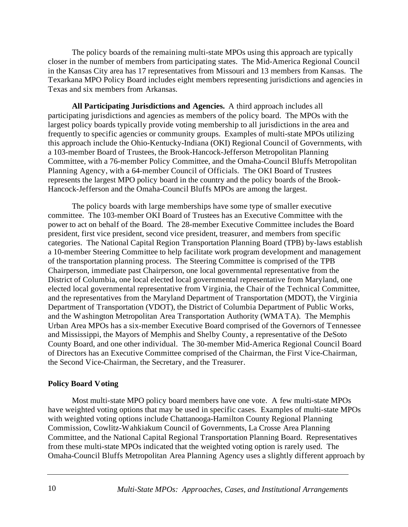The policy boards of the remaining multi-state MPOs using this approach are typically closer in the number of members from participating states. The Mid-America Regional Council in the Kansas City area has 17 representatives from Missouri and 13 members from Kansas. The Texarkana MPO Policy Board includes eight members representing jurisdictions and agencies in Texas and six members from Arkansas.

**All Participating Jurisdictions and Agencies.** A third approach includes all participating jurisdictions and agencies as members of the policy board. The MPOs with the largest policy boards typically provide voting membership to all jurisdictions in the area and frequently to specific agencies or community groups. Examples of multi-state MPOs utilizing this approach include the Ohio-Kentucky-Indiana (OKI) Regional Council of Governments, with a 103-member Board of Trustees, the Brook-Hancock-Jefferson Metropolitan Planning Committee, with a 76-member Policy Committee, and the Omaha-Council Bluffs Metropolitan Planning Agency, with a 64-member Council of Officials. The OKI Board of Trustees represents the largest MPO policy board in the country and the policy boards of the Brook-Hancock-Jefferson and the Omaha-Council Bluffs MPOs are among the largest.

The policy boards with large memberships have some type of smaller executive committee. The 103-member OKI Board of Trustees has an Executive Committee with the power to act on behalf of the Board. The 28-member Executive Committee includes the Board president, first vice president, second vice president, treasurer, and members from specific categories. The National Capital Region Transportation Planning Board (TPB) by-laws establish a 10-member Steering Committee to help facilitate work program development and management of the transportation planning process. The Steering Committee is comprised of the TPB Chairperson, immediate past Chairperson, one local governmental representative from the District of Columbia, one local elected local governmental representative from Maryland, one elected local governmental representative from Virginia, the Chair of the Technical Committee, and the representatives from the Maryland Department of Transportation (MDOT), the Virginia Department of Transportation (VDOT), the District of Columbia Department of Public Works, and the Washington Metropolitan Area Transportation Authority (WMATA). The Memphis Urban Area MPOs has a six-member Executive Board comprised of the Governors of Tennessee and Mississippi, the Mayors of Memphis and Shelby County, a representative of the DeSoto County Board, and one other individual. The 30-member Mid-America Regional Council Board of Directors has an Executive Committee comprised of the Chairman, the First Vice-Chairman, the Second Vice-Chairman, the Secretary, and the Treasurer.

#### **Policy Board Voting**

Most multi-state MPO policy board members have one vote. A few multi-state MPOs have weighted voting options that may be used in specific cases. Examples of multi-state MPOs with weighted voting options include Chattanooga-Hamilton County Regional Planning Commission, Cowlitz-Wahkiakum Council of Governments, La Crosse Area Planning Committee, and the National Capital Regional Transportation Planning Board. Representatives from these multi-state MPOs indicated that the weighted voting option is rarely used. The Omaha-Council Bluffs Metropolitan Area Planning Agency uses a slightly different approach by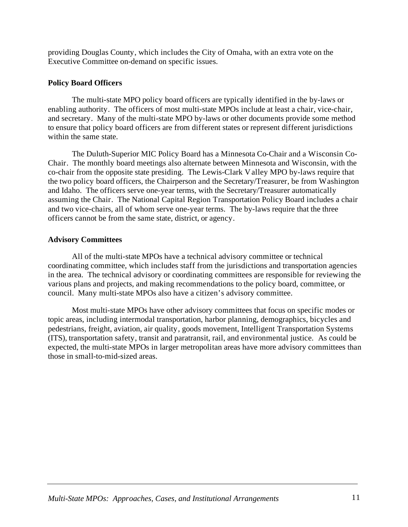providing Douglas County, which includes the City of Omaha, with an extra vote on the Executive Committee on-demand on specific issues.

## **Policy Board Officers**

The multi-state MPO policy board officers are typically identified in the by-laws or enabling authority. The officers of most multi-state MPOs include at least a chair, vice-chair, and secretary. Many of the multi-state MPO by-laws or other documents provide some method to ensure that policy board officers are from different states or represent different jurisdictions within the same state.

The Duluth-Superior MIC Policy Board has a Minnesota Co-Chair and a Wisconsin Co-Chair. The monthly board meetings also alternate between Minnesota and Wisconsin, with the co-chair from the opposite state presiding. The Lewis-Clark Valley MPO by-laws require that the two policy board officers, the Chairperson and the Secretary/Treasurer, be from Washington and Idaho. The officers serve one-year terms, with the Secretary/Treasurer automatically assuming the Chair. The National Capital Region Transportation Policy Board includes a chair and two vice-chairs, all of whom serve one-year terms. The by-laws require that the three officers cannot be from the same state, district, or agency.

## **Advisory Committees**

All of the multi-state MPOs have a technical advisory committee or technical coordinating committee, which includes staff from the jurisdictions and transportation agencies in the area. The technical advisory or coordinating committees are responsible for reviewing the various plans and projects, and making recommendations to the policy board, committee, or council. Many multi-state MPOs also have a citizen's advisory committee.

Most multi-state MPOs have other advisory committees that focus on specific modes or topic areas, including intermodal transportation, harbor planning, demographics, bicycles and pedestrians, freight, aviation, air quality, goods movement, Intelligent Transportation Systems (ITS), transportation safety, transit and paratransit, rail, and environmental justice. As could be expected, the multi-state MPOs in larger metropolitan areas have more advisory committees than those in small-to-mid-sized areas.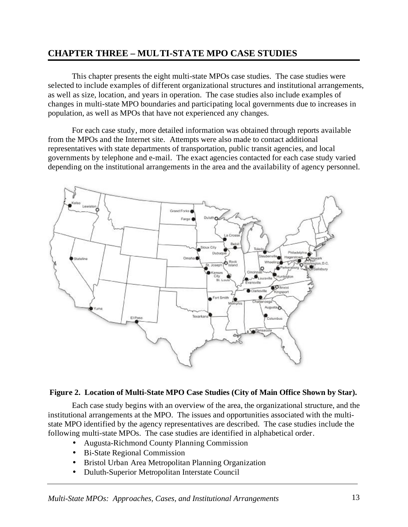## **CHAPTER THREE – MULTI-STATE MPO CASE STUDIES**

This chapter presents the eight multi-state MPOs case studies. The case studies were selected to include examples of different organizational structures and institutional arrangements, as well as size, location, and years in operation. The case studies also include examples of changes in multi-state MPO boundaries and participating local governments due to increases in population, as well as MPOs that have not experienced any changes.

For each case study, more detailed information was obtained through reports available from the MPOs and the Internet site. Attempts were also made to contact additional representatives with state departments of transportation, public transit agencies, and local governments by telephone and e-mail. The exact agencies contacted for each case study varied depending on the institutional arrangements in the area and the availability of agency personnel.



#### **Figure 2. Location of Multi-State MPO Case Studies (City of Main Office Shown by Star).**

Each case study begins with an overview of the area, the organizational structure, and the institutional arrangements at the MPO. The issues and opportunities associated with the multistate MPO identified by the agency representatives are described. The case studies include the following multi-state MPOs. The case studies are identified in alphabetical order.

- Augusta-Richmond County Planning Commission
- Bi-State Regional Commission
- Bristol Urban Area Metropolitan Planning Organization
- Duluth-Superior Metropolitan Interstate Council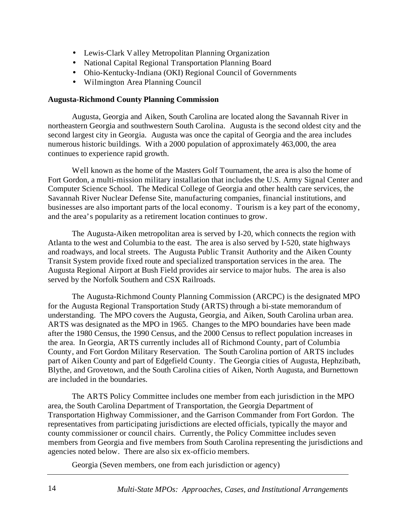- Lewis-Clark Valley Metropolitan Planning Organization
- National Capital Regional Transportation Planning Board
- Ohio-Kentucky-Indiana (OKI) Regional Council of Governments
- Wilmington Area Planning Council

### **Augusta-Richmond County Planning Commission**

Augusta, Georgia and Aiken, South Carolina are located along the Savannah River in northeastern Georgia and southwestern South Carolina. Augusta is the second oldest city and the second largest city in Georgia. Augusta was once the capital of Georgia and the area includes numerous historic buildings. With a 2000 population of approximately 463,000, the area continues to experience rapid growth.

Well known as the home of the Masters Golf Tournament, the area is also the home of Fort Gordon, a multi-mission military installation that includes the U.S. Army Signal Center and Computer Science School. The Medical College of Georgia and other health care services, the Savannah River Nuclear Defense Site, manufacturing companies, financial institutions, and businesses are also important parts of the local economy. Tourism is a key part of the economy, and the area's popularity as a retirement location continues to grow.

The Augusta-Aiken metropolitan area is served by I-20, which connects the region with Atlanta to the west and Columbia to the east. The area is also served by I-520, state highways and roadways, and local streets. The Augusta Public Transit Authority and the Aiken County Transit System provide fixed route and specialized transportation services in the area. The Augusta Regional Airport at Bush Field provides air service to major hubs. The area is also served by the Norfolk Southern and CSX Railroads.

The Augusta-Richmond County Planning Commission (ARCPC) is the designated MPO for the Augusta Regional Transportation Study (ARTS) through a bi-state memorandum of understanding. The MPO covers the Augusta, Georgia, and Aiken, South Carolina urban area. ARTS was designated as the MPO in 1965. Changes to the MPO boundaries have been made after the 1980 Census, the 1990 Census, and the 2000 Census to reflect population increases in the area. In Georgia, ARTS currently includes all of Richmond County, part of Columbia County, and Fort Gordon Military Reservation. The South Carolina portion of ARTS includes part of Aiken County and part of Edgefield County. The Georgia cities of Augusta, Hephzibath, Blythe, and Grovetown, and the South Carolina cities of Aiken, North Augusta, and Burnettown are included in the boundaries.

The ARTS Policy Committee includes one member from each jurisdiction in the MPO area, the South Carolina Department of Transportation, the Georgia Department of Transportation Highway Commissioner, and the Garrison Commander from Fort Gordon. The representatives from participating jurisdictions are elected officials, typically the mayor and county commissioner or council chairs. Currently, the Policy Committee includes seven members from Georgia and five members from South Carolina representing the jurisdictions and agencies noted below. There are also six ex-officio members.

Georgia (Seven members, one from each jurisdiction or agency)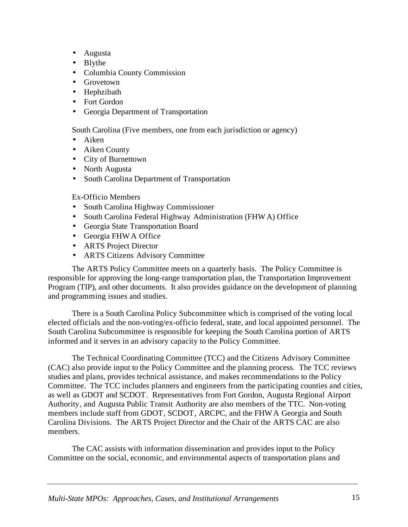- Augusta
- Blythe
- Columbia County Commission
- Grovetown
- Hephzibath
- Fort Gordon
- Georgia Department of Transportation

South Carolina (Five members, one from each jurisdiction or agency)

- Aiken
- Aiken County
- City of Burnettown
- North Augusta
- South Carolina Department of Transportation

Ex-Officio Members

- South Carolina Highway Commissioner
- South Carolina Federal Highway Administration (FHWA) Office
- Georgia State Transportation Board
- Georgia FHWA Office
- ARTS Project Director
- ARTS Citizens Advisory Committee

The ARTS Policy Committee meets on a quarterly basis. The Policy Committee is responsible for approving the long-range transportation plan, the Transportation Improvement Program (TIP), and other documents. It also provides guidance on the development of planning and programming issues and studies.

There is a South Carolina Policy Subcommittee which is comprised of the voting local elected officials and the non-voting/ex-officio federal, state, and local appointed personnel. The South Carolina Subcommittee is responsible for keeping the South Carolina portion of ARTS informed and it serves in an advisory capacity to the Policy Committee.

The Technical Coordinating Committee (TCC) and the Citizens Advisory Committee (CAC) also provide input to the Policy Committee and the planning process. The TCC reviews studies and plans, provides technical assistance, and makes recommendations to the Policy Committee. The TCC includes planners and engineers from the participating counties and cities, as well as GDOT and SCDOT. Representatives from Fort Gordon, Augusta Regional Airport Authority, and Augusta Public Transit Authority are also members of the TTC. Non-voting members include staff from GDOT, SCDOT, ARCPC, and the FHWA Georgia and South Carolina Divisions. The ARTS Project Director and the Chair of the ARTS CAC are also members.

The CAC assists with information dissemination and provides input to the Policy Committee on the social, economic, and environmental aspects of transportation plans and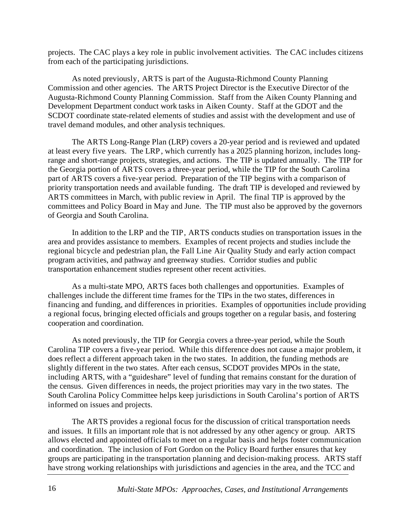projects. The CAC plays a key role in public involvement activities. The CAC includes citizens from each of the participating jurisdictions.

As noted previously, ARTS is part of the Augusta-Richmond County Planning Commission and other agencies. The ARTS Project Director is the Executive Director of the Augusta-Richmond County Planning Commission. Staff from the Aiken County Planning and Development Department conduct work tasks in Aiken County. Staff at the GDOT and the SCDOT coordinate state-related elements of studies and assist with the development and use of travel demand modules, and other analysis techniques.

The ARTS Long-Range Plan (LRP) covers a 20-year period and is reviewed and updated at least every five years. The LRP, which currently has a 2025 planning horizon, includes longrange and short-range projects, strategies, and actions. The TIP is updated annually. The TIP for the Georgia portion of ARTS covers a three-year period, while the TIP for the South Carolina part of ARTS covers a five-year period. Preparation of the TIP begins with a comparison of priority transportation needs and available funding. The draft TIP is developed and reviewed by ARTS committees in March, with public review in April. The final TIP is approved by the committees and Policy Board in May and June. The TIP must also be approved by the governors of Georgia and South Carolina.

In addition to the LRP and the TIP, ARTS conducts studies on transportation issues in the area and provides assistance to members. Examples of recent projects and studies include the regional bicycle and pedestrian plan, the Fall Line Air Quality Study and early action compact program activities, and pathway and greenway studies. Corridor studies and public transportation enhancement studies represent other recent activities.

As a multi-state MPO, ARTS faces both challenges and opportunities. Examples of challenges include the different time frames for the TIPs in the two states, differences in financing and funding, and differences in priorities. Examples of opportunities include providing a regional focus, bringing elected officials and groups together on a regular basis, and fostering cooperation and coordination.

As noted previously, the TIP for Georgia covers a three-year period, while the South Carolina TIP covers a five-year period. While this difference does not cause a major problem, it does reflect a different approach taken in the two states. In addition, the funding methods are slightly different in the two states. After each census, SCDOT provides MPOs in the state, including ARTS, with a "guideshare" level of funding that remains constant for the duration of the census. Given differences in needs, the project priorities may vary in the two states. The South Carolina Policy Committee helps keep jurisdictions in South Carolina's portion of ARTS informed on issues and projects.

The ARTS provides a regional focus for the discussion of critical transportation needs and issues. It fills an important role that is not addressed by any other agency or group. ARTS allows elected and appointed officials to meet on a regular basis and helps foster communication and coordination. The inclusion of Fort Gordon on the Policy Board further ensures that key groups are participating in the transportation planning and decision-making process. ARTS staff have strong working relationships with jurisdictions and agencies in the area, and the TCC and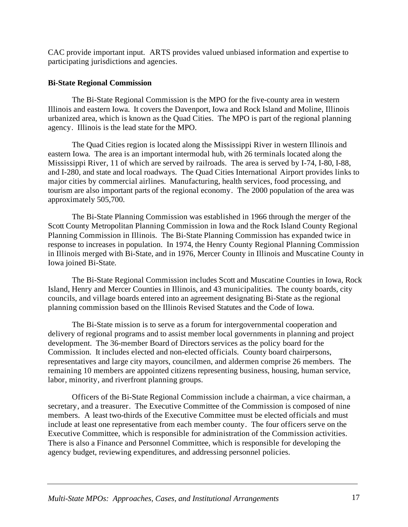CAC provide important input. ARTS provides valued unbiased information and expertise to participating jurisdictions and agencies.

## **Bi-State Regional Commission**

The Bi-State Regional Commission is the MPO for the five-county area in western Illinois and eastern Iowa. It covers the Davenport, Iowa and Rock Island and Moline, Illinois urbanized area, which is known as the Quad Cities. The MPO is part of the regional planning agency. Illinois is the lead state for the MPO.

The Quad Cities region is located along the Mississippi River in western Illinois and eastern Iowa. The area is an important intermodal hub, with 26 terminals located along the Mississippi River, 11 of which are served by railroads. The area is served by I-74, I-80, I-88, and I-280, and state and local roadways. The Quad Cities International Airport provides links to major cities by commercial airlines. Manufacturing, health services, food processing, and tourism are also important parts of the regional economy. The 2000 population of the area was approximately 505,700.

The Bi-State Planning Commission was established in 1966 through the merger of the Scott County Metropolitan Planning Commission in Iowa and the Rock Island County Regional Planning Commission in Illinois. The Bi-State Planning Commission has expanded twice in response to increases in population. In 1974, the Henry County Regional Planning Commission in Illinois merged with Bi-State, and in 1976, Mercer County in Illinois and Muscatine County in Iowa joined Bi-State.

The Bi-State Regional Commission includes Scott and Muscatine Counties in Iowa, Rock Island, Henry and Mercer Counties in Illinois, and 43 municipalities. The county boards, city councils, and village boards entered into an agreement designating Bi-State as the regional planning commission based on the Illinois Revised Statutes and the Code of Iowa.

The Bi-State mission is to serve as a forum for intergovernmental cooperation and delivery of regional programs and to assist member local governments in planning and project development. The 36-member Board of Directors services as the policy board for the Commission. It includes elected and non-elected officials. County board chairpersons, representatives and large city mayors, councilmen, and aldermen comprise 26 members. The remaining 10 members are appointed citizens representing business, housing, human service, labor, minority, and riverfront planning groups.

Officers of the Bi-State Regional Commission include a chairman, a vice chairman, a secretary, and a treasurer. The Executive Committee of the Commission is composed of nine members. A least two-thirds of the Executive Committee must be elected officials and must include at least one representative from each member county. The four officers serve on the Executive Committee, which is responsible for administration of the Commission activities. There is also a Finance and Personnel Committee, which is responsible for developing the agency budget, reviewing expenditures, and addressing personnel policies.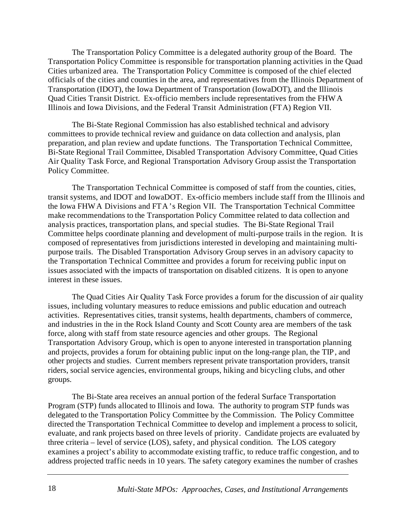The Transportation Policy Committee is a delegated authority group of the Board. The Transportation Policy Committee is responsible for transportation planning activities in the Quad Cities urbanized area. The Transportation Policy Committee is composed of the chief elected officials of the cities and counties in the area, and representatives from the Illinois Department of Transportation (IDOT), the Iowa Department of Transportation (IowaDOT), and the Illinois Quad Cities Transit District. Ex-officio members include representatives from the FHWA Illinois and Iowa Divisions, and the Federal Transit Administration (FTA) Region VII.

The Bi-State Regional Commission has also established technical and advisory committees to provide technical review and guidance on data collection and analysis, plan preparation, and plan review and update functions. The Transportation Technical Committee, Bi-State Regional Trail Committee, Disabled Transportation Advisory Committee, Quad Cities Air Quality Task Force, and Regional Transportation Advisory Group assist the Transportation Policy Committee.

The Transportation Technical Committee is composed of staff from the counties, cities, transit systems, and IDOT and IowaDOT. Ex-officio members include staff from the Illinois and the Iowa FHWA Divisions and FTA's Region VII. The Transportation Technical Committee make recommendations to the Transportation Policy Committee related to data collection and analysis practices, transportation plans, and special studies. The Bi-State Regional Trail Committee helps coordinate planning and development of multi-purpose trails in the region. It is composed of representatives from jurisdictions interested in developing and maintaining multipurpose trails. The Disabled Transportation Advisory Group serves in an advisory capacity to the Transportation Technical Committee and provides a forum for receiving public input on issues associated with the impacts of transportation on disabled citizens. It is open to anyone interest in these issues.

The Quad Cities Air Quality Task Force provides a forum for the discussion of air quality issues, including voluntary measures to reduce emissions and public education and outreach activities. Representatives cities, transit systems, health departments, chambers of commerce, and industries in the in the Rock Island County and Scott County area are members of the task force, along with staff from state resource agencies and other groups. The Regional Transportation Advisory Group, which is open to anyone interested in transportation planning and projects, provides a forum for obtaining public input on the long-range plan, the TIP, and other projects and studies. Current members represent private transportation providers, transit riders, social service agencies, environmental groups, hiking and bicycling clubs, and other groups.

The Bi-State area receives an annual portion of the federal Surface Transportation Program (STP) funds allocated to Illinois and Iowa. The authority to program STP funds was delegated to the Transportation Policy Committee by the Commission. The Policy Committee directed the Transportation Technical Committee to develop and implement a process to solicit, evaluate, and rank projects based on three levels of priority. Candidate projects are evaluated by three criteria – level of service (LOS), safety, and physical condition. The LOS category examines a project's ability to accommodate existing traffic, to reduce traffic congestion, and to address projected traffic needs in 10 years. The safety category examines the number of crashes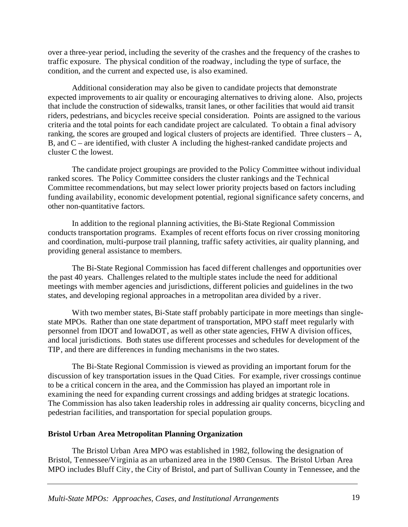over a three-year period, including the severity of the crashes and the frequency of the crashes to traffic exposure. The physical condition of the roadway, including the type of surface, the condition, and the current and expected use, is also examined.

Additional consideration may also be given to candidate projects that demonstrate expected improvements to air quality or encouraging alternatives to driving alone. Also, projects that include the construction of sidewalks, transit lanes, or other facilities that would aid transit riders, pedestrians, and bicycles receive special consideration. Points are assigned to the various criteria and the total points for each candidate project are calculated. To obtain a final advisory ranking, the scores are grouped and logical clusters of projects are identified. Three clusters – A, B, and C – are identified, with cluster A including the highest-ranked candidate projects and cluster C the lowest.

The candidate project groupings are provided to the Policy Committee without individual ranked scores. The Policy Committee considers the cluster rankings and the Technical Committee recommendations, but may select lower priority projects based on factors including funding availability, economic development potential, regional significance safety concerns, and other non-quantitative factors.

In addition to the regional planning activities, the Bi-State Regional Commission conducts transportation programs. Examples of recent efforts focus on river crossing monitoring and coordination, multi-purpose trail planning, traffic safety activities, air quality planning, and providing general assistance to members.

The Bi-State Regional Commission has faced different challenges and opportunities over the past 40 years. Challenges related to the multiple states include the need for additional meetings with member agencies and jurisdictions, different policies and guidelines in the two states, and developing regional approaches in a metropolitan area divided by a river.

With two member states, Bi-State staff probably participate in more meetings than singlestate MPOs. Rather than one state department of transportation, MPO staff meet regularly with personnel from IDOT and IowaDOT, as well as other state agencies, FHWA division offices, and local jurisdictions. Both states use different processes and schedules for development of the TIP, and there are differences in funding mechanisms in the two states.

The Bi-State Regional Commission is viewed as providing an important forum for the discussion of key transportation issues in the Quad Cities. For example, river crossings continue to be a critical concern in the area, and the Commission has played an important role in examining the need for expanding current crossings and adding bridges at strategic locations. The Commission has also taken leadership roles in addressing air quality concerns, bicycling and pedestrian facilities, and transportation for special population groups.

## **Bristol Urban Area Metropolitan Planning Organization**

The Bristol Urban Area MPO was established in 1982, following the designation of Bristol, Tennessee/Virginia as an urbanized area in the 1980 Census. The Bristol Urban Area MPO includes Bluff City, the City of Bristol, and part of Sullivan County in Tennessee, and the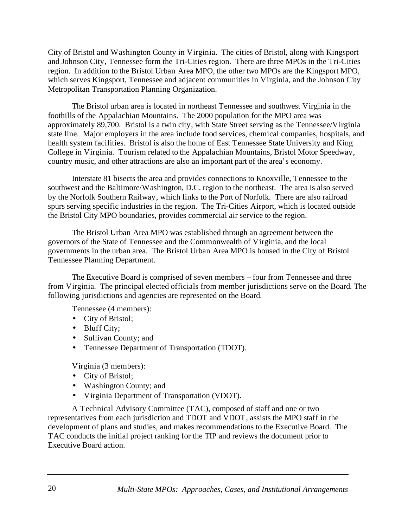City of Bristol and Washington County in Virginia. The cities of Bristol, along with Kingsport and Johnson City, Tennessee form the Tri-Cities region. There are three MPOs in the Tri-Cities region. In addition to the Bristol Urban Area MPO, the other two MPOs are the Kingsport MPO, which serves Kingsport, Tennessee and adjacent communities in Virginia, and the Johnson City Metropolitan Transportation Planning Organization.

The Bristol urban area is located in northeast Tennessee and southwest Virginia in the foothills of the Appalachian Mountains. The 2000 population for the MPO area was approximately 89,700. Bristol is a twin city, with State Street serving as the Tennessee/Virginia state line. Major employers in the area include food services, chemical companies, hospitals, and health system facilities. Bristol is also the home of East Tennessee State University and King College in Virginia. Tourism related to the Appalachian Mountains, Bristol Motor Speedway, country music, and other attractions are also an important part of the area's economy.

Interstate 81 bisects the area and provides connections to Knoxville, Tennessee to the southwest and the Baltimore/Washington, D.C. region to the northeast. The area is also served by the Norfolk Southern Railway, which links to the Port of Norfolk. There are also railroad spurs serving specific industries in the region. The Tri-Cities Airport, which is located outside the Bristol City MPO boundaries, provides commercial air service to the region.

The Bristol Urban Area MPO was established through an agreement between the governors of the State of Tennessee and the Commonwealth of Virginia, and the local governments in the urban area. The Bristol Urban Area MPO is housed in the City of Bristol Tennessee Planning Department.

The Executive Board is comprised of seven members – four from Tennessee and three from Virginia. The principal elected officials from member jurisdictions serve on the Board. The following jurisdictions and agencies are represented on the Board.

Tennessee (4 members):

- City of Bristol;
- Bluff City;
- Sullivan County; and
- Tennessee Department of Transportation (TDOT).

Virginia (3 members):

- City of Bristol;
- Washington County; and
- Virginia Department of Transportation (VDOT).

A Technical Advisory Committee (TAC), composed of staff and one or two representatives from each jurisdiction and TDOT and VDOT, assists the MPO staff in the development of plans and studies, and makes recommendations to the Executive Board. The TAC conducts the initial project ranking for the TIP and reviews the document prior to Executive Board action.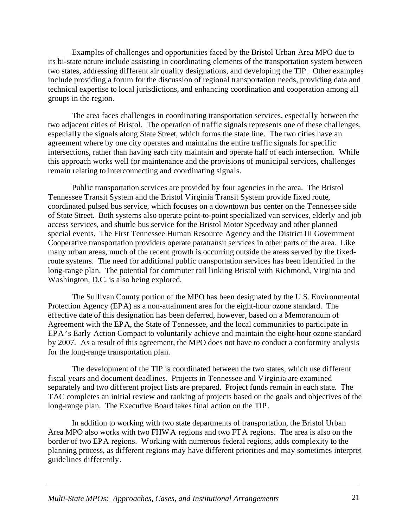Examples of challenges and opportunities faced by the Bristol Urban Area MPO due to its bi-state nature include assisting in coordinating elements of the transportation system between two states, addressing different air quality designations, and developing the TIP. Other examples include providing a forum for the discussion of regional transportation needs, providing data and technical expertise to local jurisdictions, and enhancing coordination and cooperation among all groups in the region.

The area faces challenges in coordinating transportation services, especially between the two adjacent cities of Bristol. The operation of traffic signals represents one of these challenges, especially the signals along State Street, which forms the state line. The two cities have an agreement where by one city operates and maintains the entire traffic signals for specific intersections, rather than having each city maintain and operate half of each intersection. While this approach works well for maintenance and the provisions of municipal services, challenges remain relating to interconnecting and coordinating signals.

Public transportation services are provided by four agencies in the area. The Bristol Tennessee Transit System and the Bristol Virginia Transit System provide fixed route, coordinated pulsed bus service, which focuses on a downtown bus center on the Tennessee side of State Street. Both systems also operate point-to-point specialized van services, elderly and job access services, and shuttle bus service for the Bristol Motor Speedway and other planned special events. The First Tennessee Human Resource Agency and the District III Government Cooperative transportation providers operate paratransit services in other parts of the area. Like many urban areas, much of the recent growth is occurring outside the areas served by the fixedroute systems. The need for additional public transportation services has been identified in the long-range plan. The potential for commuter rail linking Bristol with Richmond, Virginia and Washington, D.C. is also being explored.

The Sullivan County portion of the MPO has been designated by the U.S. Environmental Protection Agency (EPA) as a non-attainment area for the eight-hour ozone standard. The effective date of this designation has been deferred, however, based on a Memorandum of Agreement with the EPA, the State of Tennessee, and the local communities to participate in EPA's Early Action Compact to voluntarily achieve and maintain the eight-hour ozone standard by 2007. As a result of this agreement, the MPO does not have to conduct a conformity analysis for the long-range transportation plan.

The development of the TIP is coordinated between the two states, which use different fiscal years and document deadlines. Projects in Tennessee and Virginia are examined separately and two different project lists are prepared. Project funds remain in each state. The TAC completes an initial review and ranking of projects based on the goals and objectives of the long-range plan. The Executive Board takes final action on the TIP.

In addition to working with two state departments of transportation, the Bristol Urban Area MPO also works with two FHWA regions and two FTA regions. The area is also on the border of two EPA regions. Working with numerous federal regions, adds complexity to the planning process, as different regions may have different priorities and may sometimes interpret guidelines differently.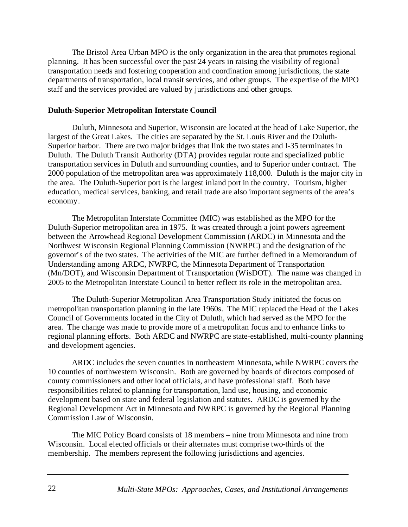The Bristol Area Urban MPO is the only organization in the area that promotes regional planning. It has been successful over the past 24 years in raising the visibility of regional transportation needs and fostering cooperation and coordination among jurisdictions, the state departments of transportation, local transit services, and other groups. The expertise of the MPO staff and the services provided are valued by jurisdictions and other groups.

#### **Duluth-Superior Metropolitan Interstate Council**

Duluth, Minnesota and Superior, Wisconsin are located at the head of Lake Superior, the largest of the Great Lakes. The cities are separated by the St. Louis River and the Duluth-Superior harbor. There are two major bridges that link the two states and I-35 terminates in Duluth. The Duluth Transit Authority (DTA) provides regular route and specialized public transportation services in Duluth and surrounding counties, and to Superior under contract. The 2000 population of the metropolitan area was approximately 118,000. Duluth is the major city in the area. The Duluth-Superior port is the largest inland port in the country. Tourism, higher education, medical services, banking, and retail trade are also important segments of the area's economy.

The Metropolitan Interstate Committee (MIC) was established as the MPO for the Duluth-Superior metropolitan area in 1975. It was created through a joint powers agreement between the Arrowhead Regional Development Commission (ARDC) in Minnesota and the Northwest Wisconsin Regional Planning Commission (NWRPC) and the designation of the governor's of the two states. The activities of the MIC are further defined in a Memorandum of Understanding among ARDC, NWRPC, the Minnesota Department of Transportation (Mn/DOT), and Wisconsin Department of Transportation (WisDOT). The name was changed in 2005 to the Metropolitan Interstate Council to better reflect its role in the metropolitan area.

The Duluth-Superior Metropolitan Area Transportation Study initiated the focus on metropolitan transportation planning in the late 1960s. The MIC replaced the Head of the Lakes Council of Governments located in the City of Duluth, which had served as the MPO for the area. The change was made to provide more of a metropolitan focus and to enhance links to regional planning efforts. Both ARDC and NWRPC are state-established, multi-county planning and development agencies.

ARDC includes the seven counties in northeastern Minnesota, while NWRPC covers the 10 counties of northwestern Wisconsin. Both are governed by boards of directors composed of county commissioners and other local officials, and have professional staff. Both have responsibilities related to planning for transportation, land use, housing, and economic development based on state and federal legislation and statutes. ARDC is governed by the Regional Development Act in Minnesota and NWRPC is governed by the Regional Planning Commission Law of Wisconsin.

The MIC Policy Board consists of 18 members – nine from Minnesota and nine from Wisconsin. Local elected officials or their alternates must comprise two-thirds of the membership. The members represent the following jurisdictions and agencies.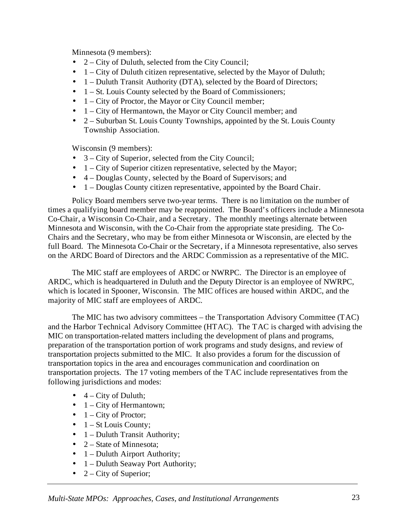Minnesota (9 members):

- 2 City of Duluth, selected from the City Council;
- 1 City of Duluth citizen representative, selected by the Mayor of Duluth;
- 1 Duluth Transit Authority (DTA), selected by the Board of Directors;
- $\bullet$  1 St. Louis County selected by the Board of Commissioners;
- $\bullet$  1 City of Proctor, the Mayor or City Council member;
- 1 City of Hermantown, the Mayor or City Council member; and
- $2 -$  Suburban St. Louis County Townships, appointed by the St. Louis County Township Association.

Wisconsin (9 members):

- 3 City of Superior, selected from the City Council;
- $\bullet$  1 City of Superior citizen representative, selected by the Mayor;
- 4 Douglas County, selected by the Board of Supervisors; and
- 1 Douglas County citizen representative, appointed by the Board Chair.

Policy Board members serve two-year terms. There is no limitation on the number of times a qualifying board member may be reappointed. The Board's officers include a Minnesota Co-Chair, a Wisconsin Co-Chair, and a Secretary. The monthly meetings alternate between Minnesota and Wisconsin, with the Co-Chair from the appropriate state presiding. The Co-Chairs and the Secretary, who may be from either Minnesota or Wisconsin, are elected by the full Board. The Minnesota Co-Chair or the Secretary, if a Minnesota representative, also serves on the ARDC Board of Directors and the ARDC Commission as a representative of the MIC.

The MIC staff are employees of ARDC or NWRPC. The Director is an employee of ARDC, which is headquartered in Duluth and the Deputy Director is an employee of NWRPC, which is located in Spooner, Wisconsin. The MIC offices are housed within ARDC, and the majority of MIC staff are employees of ARDC.

The MIC has two advisory committees – the Transportation Advisory Committee (TAC) and the Harbor Technical Advisory Committee (HTAC). The TAC is charged with advising the MIC on transportation-related matters including the development of plans and programs, preparation of the transportation portion of work programs and study designs, and review of transportation projects submitted to the MIC. It also provides a forum for the discussion of transportation topics in the area and encourages communication and coordination on transportation projects. The 17 voting members of the TAC include representatives from the following jurisdictions and modes:

- $\bullet$  4 City of Duluth;
- $\bullet$  1 City of Hermantown;
- $\bullet$  1 City of Proctor;
- $\bullet$  1 St Louis County;
- 1 Duluth Transit Authority;
- $2 State$  of Minnesota;
- $\bullet$  1 Duluth Airport Authority;
- 1 Duluth Seaway Port Authority;
- 2 City of Superior;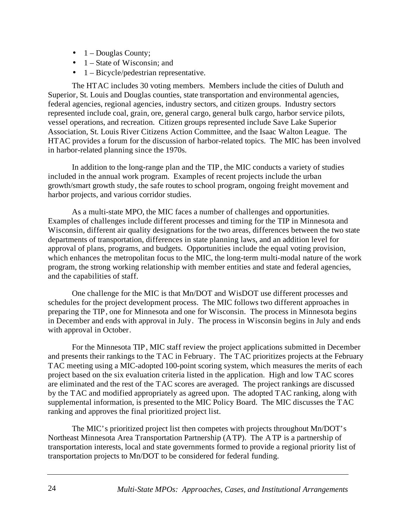- $\bullet$  1 Douglas County;
- 1 State of Wisconsin; and
- 1 Bicycle/pedestrian representative.

The HTAC includes 30 voting members. Members include the cities of Duluth and Superior, St. Louis and Douglas counties, state transportation and environmental agencies, federal agencies, regional agencies, industry sectors, and citizen groups. Industry sectors represented include coal, grain, ore, general cargo, general bulk cargo, harbor service pilots, vessel operations, and recreation. Citizen groups represented include Save Lake Superior Association, St. Louis River Citizens Action Committee, and the Isaac Walton League. The HTAC provides a forum for the discussion of harbor-related topics. The MIC has been involved in harbor-related planning since the 1970s.

In addition to the long-range plan and the TIP, the MIC conducts a variety of studies included in the annual work program. Examples of recent projects include the urban growth/smart growth study, the safe routes to school program, ongoing freight movement and harbor projects, and various corridor studies.

As a multi-state MPO, the MIC faces a number of challenges and opportunities. Examples of challenges include different processes and timing for the TIP in Minnesota and Wisconsin, different air quality designations for the two areas, differences between the two state departments of transportation, differences in state planning laws, and an addition level for approval of plans, programs, and budgets. Opportunities include the equal voting provision, which enhances the metropolitan focus to the MIC, the long-term multi-modal nature of the work program, the strong working relationship with member entities and state and federal agencies, and the capabilities of staff.

One challenge for the MIC is that Mn/DOT and WisDOT use different processes and schedules for the project development process. The MIC follows two different approaches in preparing the TIP, one for Minnesota and one for Wisconsin. The process in Minnesota begins in December and ends with approval in July. The process in Wisconsin begins in July and ends with approval in October.

For the Minnesota TIP, MIC staff review the project applications submitted in December and presents their rankings to the TAC in February. The TAC prioritizes projects at the February TAC meeting using a MIC-adopted 100-point scoring system, which measures the merits of each project based on the six evaluation criteria listed in the application. High and low TAC scores are eliminated and the rest of the TAC scores are averaged. The project rankings are discussed by the TAC and modified appropriately as agreed upon. The adopted TAC ranking, along with supplemental information, is presented to the MIC Policy Board. The MIC discusses the TAC ranking and approves the final prioritized project list.

The MIC's prioritized project list then competes with projects throughout Mn/DOT's Northeast Minnesota Area Transportation Partnership (ATP). The ATP is a partnership of transportation interests, local and state governments formed to provide a regional priority list of transportation projects to Mn/DOT to be considered for federal funding.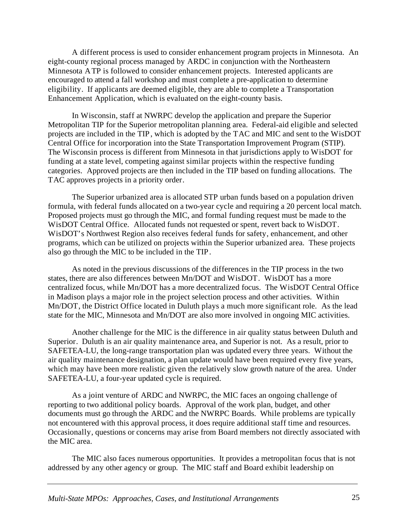A different process is used to consider enhancement program projects in Minnesota. An eight-county regional process managed by ARDC in conjunction with the Northeastern Minnesota ATP is followed to consider enhancement projects. Interested applicants are encouraged to attend a fall workshop and must complete a pre-application to determine eligibility. If applicants are deemed eligible, they are able to complete a Transportation Enhancement Application, which is evaluated on the eight-county basis.

In Wisconsin, staff at NWRPC develop the application and prepare the Superior Metropolitan TIP for the Superior metropolitan planning area. Federal-aid eligible and selected projects are included in the TIP, which is adopted by the TAC and MIC and sent to the WisDOT Central Office for incorporation into the State Transportation Improvement Program (STIP). The Wisconsin process is different from Minnesota in that jurisdictions apply to WisDOT for funding at a state level, competing against similar projects within the respective funding categories. Approved projects are then included in the TIP based on funding allocations. The TAC approves projects in a priority order.

The Superior urbanized area is allocated STP urban funds based on a population driven formula, with federal funds allocated on a two-year cycle and requiring a 20 percent local match. Proposed projects must go through the MIC, and formal funding request must be made to the WisDOT Central Office. Allocated funds not requested or spent, revert back to WisDOT. WisDOT's Northwest Region also receives federal funds for safety, enhancement, and other programs, which can be utilized on projects within the Superior urbanized area. These projects also go through the MIC to be included in the TIP.

As noted in the previous discussions of the differences in the TIP process in the two states, there are also differences between Mn/DOT and WisDOT. WisDOT has a more centralized focus, while Mn/DOT has a more decentralized focus. The WisDOT Central Office in Madison plays a major role in the project selection process and other activities. Within Mn/DOT, the District Office located in Duluth plays a much more significant role. As the lead state for the MIC, Minnesota and Mn/DOT are also more involved in ongoing MIC activities.

Another challenge for the MIC is the difference in air quality status between Duluth and Superior. Duluth is an air quality maintenance area, and Superior is not. As a result, prior to SAFETEA-LU, the long-range transportation plan was updated every three years. Without the air quality maintenance designation, a plan update would have been required every five years, which may have been more realistic given the relatively slow growth nature of the area. Under SAFETEA-LU, a four-year updated cycle is required.

As a joint venture of ARDC and NWRPC, the MIC faces an ongoing challenge of reporting to two additional policy boards. Approval of the work plan, budget, and other documents must go through the ARDC and the NWRPC Boards. While problems are typically not encountered with this approval process, it does require additional staff time and resources. Occasionally, questions or concerns may arise from Board members not directly associated with the MIC area.

The MIC also faces numerous opportunities. It provides a metropolitan focus that is not addressed by any other agency or group. The MIC staff and Board exhibit leadership on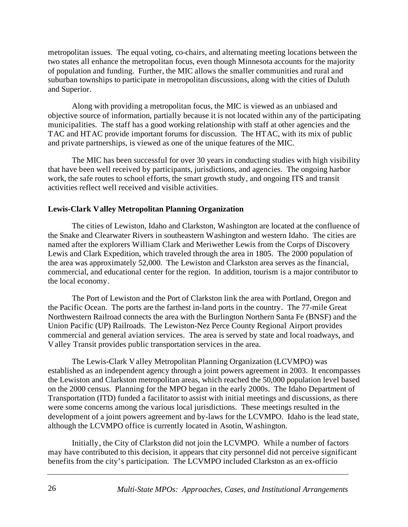metropolitan issues. The equal voting, co-chairs, and alternating meeting locations between the two states all enhance the metropolitan focus, even though Minnesota accounts for the majority of population and funding. Further, the MIC allows the smaller communities and rural and suburban townships to participate in metropolitan discussions, along with the cities of Duluth and Superior.

Along with providing a metropolitan focus, the MIC is viewed as an unbiased and objective source of information, partially because it is not located within any of the participating municipalities. The staff has a good working relationship with staff at other agencies and the TAC and HTAC provide important forums for discussion. The HTAC, with its mix of public and private partnerships, is viewed as one of the unique features of the MIC.

The MIC has been successful for over 30 years in conducting studies with high visibility that have been well received by participants, jurisdictions, and agencies. The ongoing harbor work, the safe routes to school efforts, the smart growth study, and ongoing ITS and transit activities reflect well received and visible activities.

## **Lewis-Clark Valley Metropolitan Planning Organization**

The cities of Lewiston, Idaho and Clarkston, Washington are located at the confluence of the Snake and Clearwater Rivers in southeastern Washington and western Idaho. The cities are named after the explorers William Clark and Meriwether Lewis from the Corps of Discovery Lewis and Clark Expedition, which traveled through the area in 1805. The 2000 population of the area was approximately 52,000. The Lewiston and Clarkston area serves as the financial, commercial, and educational center for the region. In addition, tourism is a major contributor to the local economy.

The Port of Lewiston and the Port of Clarkston link the area with Portland, Oregon and the Pacific Ocean. The ports are the farthest in-land ports in the country. The 77-mile Great Northwestern Railroad connects the area with the Burlington Northern Santa Fe (BNSF) and the Union Pacific (UP) Railroads. The Lewiston-Nez Perce County Regional Airport provides commercial and general aviation services. The area is served by state and local roadways, and Valley Transit provides public transportation services in the area.

The Lewis-Clark Valley Metropolitan Planning Organization (LCVMPO) was established as an independent agency through a joint powers agreement in 2003. It encompasses the Lewiston and Clarkston metropolitan areas, which reached the 50,000 population level based on the 2000 census. Planning for the MPO began in the early 2000s. The Idaho Department of Transportation (ITD) funded a facilitator to assist with initial meetings and discussions, as there were some concerns among the various local jurisdictions. These meetings resulted in the development of a joint powers agreement and by-laws for the LCVMPO. Idaho is the lead state, although the LCVMPO office is currently located in Asotin, Washington.

Initially, the City of Clarkston did not join the LCVMPO. While a number of factors may have contributed to this decision, it appears that city personnel did not perceive significant benefits from the city's participation. The LCVMPO included Clarkston as an ex-officio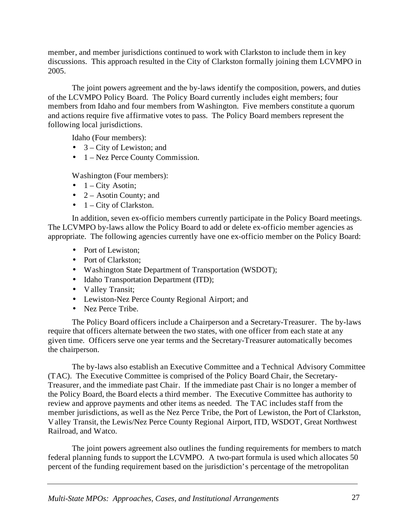member, and member jurisdictions continued to work with Clarkston to include them in key discussions. This approach resulted in the City of Clarkston formally joining them LCVMPO in 2005.

The joint powers agreement and the by-laws identify the composition, powers, and duties of the LCVMPO Policy Board. The Policy Board currently includes eight members; four members from Idaho and four members from Washington. Five members constitute a quorum and actions require five affirmative votes to pass. The Policy Board members represent the following local jurisdictions.

Idaho (Four members):

- $3 City$  of Lewiston; and
- 1 Nez Perce County Commission.

Washington (Four members):

- $\bullet$  1 City Asotin;
- $2 Asotin County; and$
- $\bullet$  1 City of Clarkston.

In addition, seven ex-officio members currently participate in the Policy Board meetings. The LCVMPO by-laws allow the Policy Board to add or delete ex-officio member agencies as appropriate. The following agencies currently have one ex-officio member on the Policy Board:

- Port of Lewiston:
- Port of Clarkston;
- Washington State Department of Transportation (WSDOT);
- Idaho Transportation Department (ITD);
- Valley Transit;
- Lewiston-Nez Perce County Regional Airport; and
- Nez Perce Tribe.

The Policy Board officers include a Chairperson and a Secretary-Treasurer. The by-laws require that officers alternate between the two states, with one officer from each state at any given time. Officers serve one year terms and the Secretary-Treasurer automatically becomes the chairperson.

The by-laws also establish an Executive Committee and a Technical Advisory Committee (TAC). The Executive Committee is comprised of the Policy Board Chair, the Secretary-Treasurer, and the immediate past Chair. If the immediate past Chair is no longer a member of the Policy Board, the Board elects a third member. The Executive Committee has authority to review and approve payments and other items as needed. The TAC includes staff from the member jurisdictions, as well as the Nez Perce Tribe, the Port of Lewiston, the Port of Clarkston, Valley Transit, the Lewis/Nez Perce County Regional Airport, ITD, WSDOT, Great Northwest Railroad, and Watco.

The joint powers agreement also outlines the funding requirements for members to match federal planning funds to support the LCVMPO. A two-part formula is used which allocates 50 percent of the funding requirement based on the jurisdiction's percentage of the metropolitan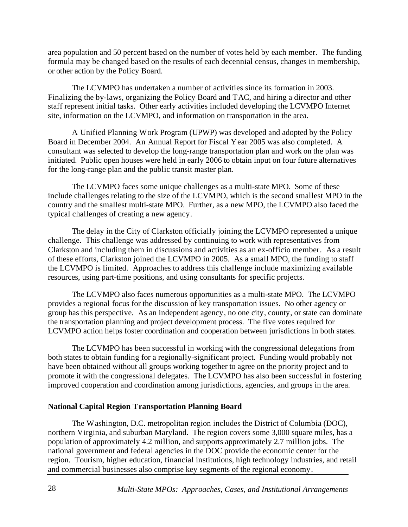area population and 50 percent based on the number of votes held by each member. The funding formula may be changed based on the results of each decennial census, changes in membership, or other action by the Policy Board.

The LCVMPO has undertaken a number of activities since its formation in 2003. Finalizing the by-laws, organizing the Policy Board and TAC, and hiring a director and other staff represent initial tasks. Other early activities included developing the LCVMPO Internet site, information on the LCVMPO, and information on transportation in the area.

A Unified Planning Work Program (UPWP) was developed and adopted by the Policy Board in December 2004. An Annual Report for Fiscal Year 2005 was also completed. A consultant was selected to develop the long-range transportation plan and work on the plan was initiated. Public open houses were held in early 2006 to obtain input on four future alternatives for the long-range plan and the public transit master plan.

The LCVMPO faces some unique challenges as a multi-state MPO. Some of these include challenges relating to the size of the LCVMPO, which is the second smallest MPO in the country and the smallest multi-state MPO. Further, as a new MPO, the LCVMPO also faced the typical challenges of creating a new agency.

The delay in the City of Clarkston officially joining the LCVMPO represented a unique challenge. This challenge was addressed by continuing to work with representatives from Clarkston and including them in discussions and activities as an ex-officio member. As a result of these efforts, Clarkston joined the LCVMPO in 2005. As a small MPO, the funding to staff the LCVMPO is limited. Approaches to address this challenge include maximizing available resources, using part-time positions, and using consultants for specific projects.

The LCVMPO also faces numerous opportunities as a multi-state MPO. The LCVMPO provides a regional focus for the discussion of key transportation issues. No other agency or group has this perspective. As an independent agency, no one city, county, or state can dominate the transportation planning and project development process. The five votes required for LCVMPO action helps foster coordination and cooperation between jurisdictions in both states.

The LCVMPO has been successful in working with the congressional delegations from both states to obtain funding for a regionally-significant project. Funding would probably not have been obtained without all groups working together to agree on the priority project and to promote it with the congressional delegates. The LCVMPO has also been successful in fostering improved cooperation and coordination among jurisdictions, agencies, and groups in the area.

## **National Capital Region Transportation Planning Board**

The Washington, D.C. metropolitan region includes the District of Columbia (DOC), northern Virginia, and suburban Maryland. The region covers some 3,000 square miles, has a population of approximately 4.2 million, and supports approximately 2.7 million jobs. The national government and federal agencies in the DOC provide the economic center for the region. Tourism, higher education, financial institutions, high technology industries, and retail and commercial businesses also comprise key segments of the regional economy.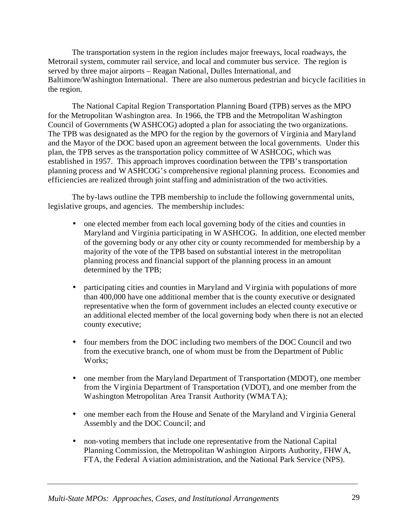The transportation system in the region includes major freeways, local roadways, the Metrorail system, commuter rail service, and local and commuter bus service. The region is served by three major airports – Reagan National, Dulles International, and Baltimore/Washington International. There are also numerous pedestrian and bicycle facilities in the region.

The National Capital Region Transportation Planning Board (TPB) serves as the MPO for the Metropolitan Washington area. In 1966, the TPB and the Metropolitan Washington Council of Governments (WASHCOG) adopted a plan for associating the two organizations. The TPB was designated as the MPO for the region by the governors of Virginia and Maryland and the Mayor of the DOC based upon an agreement between the local governments. Under this plan, the TPB serves as the transportation policy committee of WASHCOG, which was established in 1957. This approach improves coordination between the TPB's transportation planning process and WASHCOG's comprehensive regional planning process. Economies and efficiencies are realized through joint staffing and administration of the two activities.

The by-laws outline the TPB membership to include the following governmental units, legislative groups, and agencies. The membership includes:

- one elected member from each local governing body of the cities and counties in Maryland and Virginia participating in WASHCOG. In addition, one elected member of the governing body or any other city or county recommended for membership by a majority of the vote of the TPB based on substantial interest in the metropolitan planning process and financial support of the planning process in an amount determined by the TPB;
- participating cities and counties in Maryland and Virginia with populations of more than 400,000 have one additional member that is the county executive or designated representative when the form of government includes an elected county executive or an additional elected member of the local governing body when there is not an elected county executive;
- four members from the DOC including two members of the DOC Council and two from the executive branch, one of whom must be from the Department of Public Works;
- one member from the Maryland Department of Transportation (MDOT), one member from the Virginia Department of Transportation (VDOT), and one member from the Washington Metropolitan Area Transit Authority (WMATA);
- one member each from the House and Senate of the Maryland and Virginia General Assembly and the DOC Council; and
- non-voting members that include one representative from the National Capital Planning Commission, the Metropolitan Washington Airports Authority, FHWA, FTA, the Federal Aviation administration, and the National Park Service (NPS).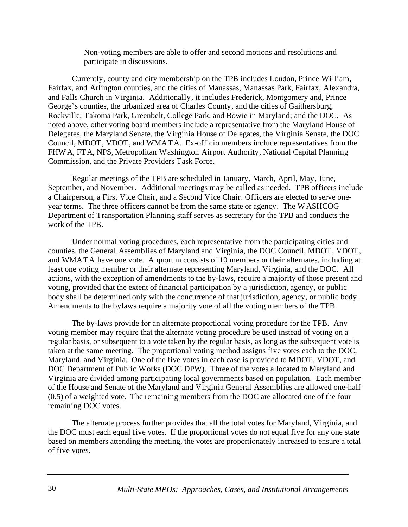Non-voting members are able to offer and second motions and resolutions and participate in discussions.

Currently, county and city membership on the TPB includes Loudon, Prince William, Fairfax, and Arlington counties, and the cities of Manassas, Manassas Park, Fairfax, Alexandra, and Falls Church in Virginia. Additionally, it includes Frederick, Montgomery and, Prince George's counties, the urbanized area of Charles County, and the cities of Gaithersburg, Rockville, Takoma Park, Greenbelt, College Park, and Bowie in Maryland; and the DOC. As noted above, other voting board members include a representative from the Maryland House of Delegates, the Maryland Senate, the Virginia House of Delegates, the Virginia Senate, the DOC Council, MDOT, VDOT, and WMATA. Ex-officio members include representatives from the FHWA, FTA, NPS, Metropolitan Washington Airport Authority, National Capital Planning Commission, and the Private Providers Task Force.

Regular meetings of the TPB are scheduled in January, March, April, May, June, September, and November. Additional meetings may be called as needed. TPB officers include a Chairperson, a First Vice Chair, and a Second Vice Chair. Officers are elected to serve oneyear terms. The three officers cannot be from the same state or agency. The WASHCOG Department of Transportation Planning staff serves as secretary for the TPB and conducts the work of the TPB.

Under normal voting procedures, each representative from the participating cities and counties, the General Assemblies of Maryland and Virginia, the DOC Council, MDOT, VDOT, and WMATA have one vote. A quorum consists of 10 members or their alternates, including at least one voting member or their alternate representing Maryland, Virginia, and the DOC. All actions, with the exception of amendments to the by-laws, require a majority of those present and voting, provided that the extent of financial participation by a jurisdiction, agency, or public body shall be determined only with the concurrence of that jurisdiction, agency, or public body. Amendments to the bylaws require a majority vote of all the voting members of the TPB.

The by-laws provide for an alternate proportional voting procedure for the TPB. Any voting member may require that the alternate voting procedure be used instead of voting on a regular basis, or subsequent to a vote taken by the regular basis, as long as the subsequent vote is taken at the same meeting. The proportional voting method assigns five votes each to the DOC, Maryland, and Virginia. One of the five votes in each case is provided to MDOT, VDOT, and DOC Department of Public Works (DOC DPW). Three of the votes allocated to Maryland and Virginia are divided among participating local governments based on population. Each member of the House and Senate of the Maryland and Virginia General Assemblies are allowed one-half (0.5) of a weighted vote. The remaining members from the DOC are allocated one of the four remaining DOC votes.

The alternate process further provides that all the total votes for Maryland, Virginia, and the DOC must each equal five votes. If the proportional votes do not equal five for any one state based on members attending the meeting, the votes are proportionately increased to ensure a total of five votes.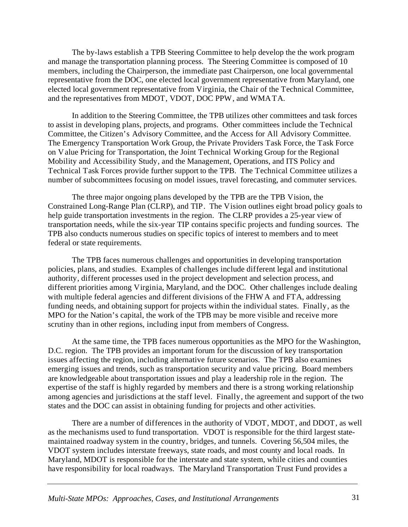The by-laws establish a TPB Steering Committee to help develop the the work program and manage the transportation planning process. The Steering Committee is composed of 10 members, including the Chairperson, the immediate past Chairperson, one local governmental representative from the DOC, one elected local government representative from Maryland, one elected local government representative from Virginia, the Chair of the Technical Committee, and the representatives from MDOT, VDOT, DOC PPW, and WMATA.

In addition to the Steering Committee, the TPB utilizes other committees and task forces to assist in developing plans, projects, and programs. Other committees include the Technical Committee, the Citizen's Advisory Committee, and the Access for All Advisory Committee. The Emergency Transportation Work Group, the Private Providers Task Force, the Task Force on Value Pricing for Transportation, the Joint Technical Working Group for the Regional Mobility and Accessibility Study, and the Management, Operations, and ITS Policy and Technical Task Forces provide further support to the TPB. The Technical Committee utilizes a number of subcommittees focusing on model issues, travel forecasting, and commuter services.

The three major ongoing plans developed by the TPB are the TPB Vision, the Constrained Long-Range Plan (CLRP), and TIP. The Vision outlines eight broad policy goals to help guide transportation investments in the region. The CLRP provides a 25-year view of transportation needs, while the six-year TIP contains specific projects and funding sources. The TPB also conducts numerous studies on specific topics of interest to members and to meet federal or state requirements.

The TPB faces numerous challenges and opportunities in developing transportation policies, plans, and studies. Examples of challenges include different legal and institutional authority, different processes used in the project development and selection process, and different priorities among Virginia, Maryland, and the DOC. Other challenges include dealing with multiple federal agencies and different divisions of the FHWA and FTA, addressing funding needs, and obtaining support for projects within the individual states. Finally, as the MPO for the Nation's capital, the work of the TPB may be more visible and receive more scrutiny than in other regions, including input from members of Congress.

At the same time, the TPB faces numerous opportunities as the MPO for the Washington, D.C. region. The TPB provides an important forum for the discussion of key transportation issues affecting the region, including alternative future scenarios. The TPB also examines emerging issues and trends, such as transportation security and value pricing. Board members are knowledgeable about transportation issues and play a leadership role in the region. The expertise of the staff is highly regarded by members and there is a strong working relationship among agencies and jurisdictions at the staff level. Finally, the agreement and support of the two states and the DOC can assist in obtaining funding for projects and other activities.

There are a number of differences in the authority of VDOT, MDOT, and DDOT, as well as the mechanisms used to fund transportation. VDOT is responsible for the third largest statemaintained roadway system in the country, bridges, and tunnels. Covering 56,504 miles, the VDOT system includes interstate freeways, state roads, and most county and local roads. In Maryland, MDOT is responsible for the interstate and state system, while cities and counties have responsibility for local roadways. The Maryland Transportation Trust Fund provides a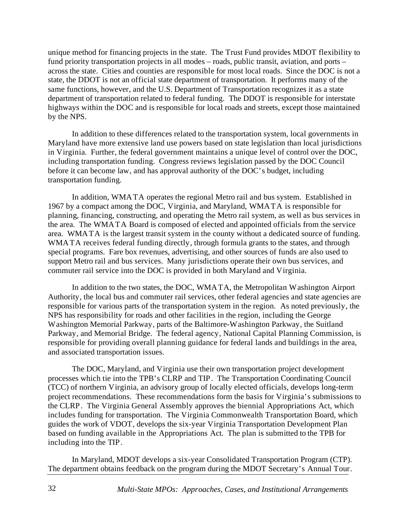unique method for financing projects in the state. The Trust Fund provides MDOT flexibility to fund priority transportation projects in all modes – roads, public transit, aviation, and ports – across the state. Cities and counties are responsible for most local roads. Since the DOC is not a state, the DDOT is not an official state department of transportation. It performs many of the same functions, however, and the U.S. Department of Transportation recognizes it as a state department of transportation related to federal funding. The DDOT is responsible for interstate highways within the DOC and is responsible for local roads and streets, except those maintained by the NPS.

In addition to these differences related to the transportation system, local governments in Maryland have more extensive land use powers based on state legislation than local jurisdictions in Virginia. Further, the federal government maintains a unique level of control over the DOC, including transportation funding. Congress reviews legislation passed by the DOC Council before it can become law, and has approval authority of the DOC's budget, including transportation funding.

In addition, WMATA operates the regional Metro rail and bus system. Established in 1967 by a compact among the DOC, Virginia, and Maryland, WMATA is responsible for planning, financing, constructing, and operating the Metro rail system, as well as bus services in the area. The WMATA Board is composed of elected and appointed officials from the service area. WMATA is the largest transit system in the county without a dedicated source of funding. WMATA receives federal funding directly, through formula grants to the states, and through special programs. Fare box revenues, advertising, and other sources of funds are also used to support Metro rail and bus services. Many jurisdictions operate their own bus services, and commuter rail service into the DOC is provided in both Maryland and Virginia.

In addition to the two states, the DOC, WMATA, the Metropolitan Washington Airport Authority, the local bus and commuter rail services, other federal agencies and state agencies are responsible for various parts of the transportation system in the region. As noted previously, the NPS has responsibility for roads and other facilities in the region, including the George Washington Memorial Parkway, parts of the Baltimore-Washington Parkway, the Suitland Parkway, and Memorial Bridge. The federal agency, National Capital Planning Commission, is responsible for providing overall planning guidance for federal lands and buildings in the area, and associated transportation issues.

The DOC, Maryland, and Virginia use their own transportation project development processes which tie into the TPB's CLRP and TIP. The Transportation Coordinating Council (TCC) of northern Virginia, an advisory group of locally elected officials, develops long-term project recommendations. These recommendations form the basis for Virginia's submissions to the CLRP. The Virginia General Assembly approves the biennial Appropriations Act, which includes funding for transportation. The Virginia Commonwealth Transportation Board, which guides the work of VDOT, develops the six-year Virginia Transportation Development Plan based on funding available in the Appropriations Act. The plan is submitted to the TPB for including into the TIP.

In Maryland, MDOT develops a six-year Consolidated Transportation Program (CTP). The department obtains feedback on the program during the MDOT Secretary's Annual Tour.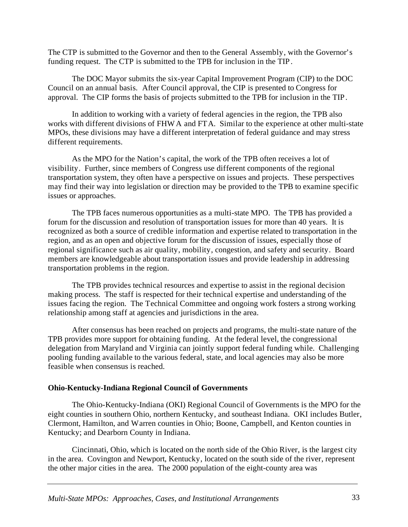The CTP is submitted to the Governor and then to the General Assembly, with the Governor's funding request. The CTP is submitted to the TPB for inclusion in the TIP.

The DOC Mayor submits the six-year Capital Improvement Program (CIP) to the DOC Council on an annual basis. After Council approval, the CIP is presented to Congress for approval. The CIP forms the basis of projects submitted to the TPB for inclusion in the TIP.

In addition to working with a variety of federal agencies in the region, the TPB also works with different divisions of FHWA and FTA. Similar to the experience at other multi-state MPOs, these divisions may have a different interpretation of federal guidance and may stress different requirements.

As the MPO for the Nation's capital, the work of the TPB often receives a lot of visibility. Further, since members of Congress use different components of the regional transportation system, they often have a perspective on issues and projects. These perspectives may find their way into legislation or direction may be provided to the TPB to examine specific issues or approaches.

The TPB faces numerous opportunities as a multi-state MPO. The TPB has provided a forum for the discussion and resolution of transportation issues for more than 40 years. It is recognized as both a source of credible information and expertise related to transportation in the region, and as an open and objective forum for the discussion of issues, especially those of regional significance such as air quality, mobility, congestion, and safety and security. Board members are knowledgeable about transportation issues and provide leadership in addressing transportation problems in the region.

The TPB provides technical resources and expertise to assist in the regional decision making process. The staff is respected for their technical expertise and understanding of the issues facing the region. The Technical Committee and ongoing work fosters a strong working relationship among staff at agencies and jurisdictions in the area.

After consensus has been reached on projects and programs, the multi-state nature of the TPB provides more support for obtaining funding. At the federal level, the congressional delegation from Maryland and Virginia can jointly support federal funding while. Challenging pooling funding available to the various federal, state, and local agencies may also be more feasible when consensus is reached.

## **Ohio-Kentucky-Indiana Regional Council of Governments**

The Ohio-Kentucky-Indiana (OKI) Regional Council of Governments is the MPO for the eight counties in southern Ohio, northern Kentucky, and southeast Indiana. OKI includes Butler, Clermont, Hamilton, and Warren counties in Ohio; Boone, Campbell, and Kenton counties in Kentucky; and Dearborn County in Indiana.

Cincinnati, Ohio, which is located on the north side of the Ohio River, is the largest city in the area. Covington and Newport, Kentucky, located on the south side of the river, represent the other major cities in the area. The 2000 population of the eight-county area was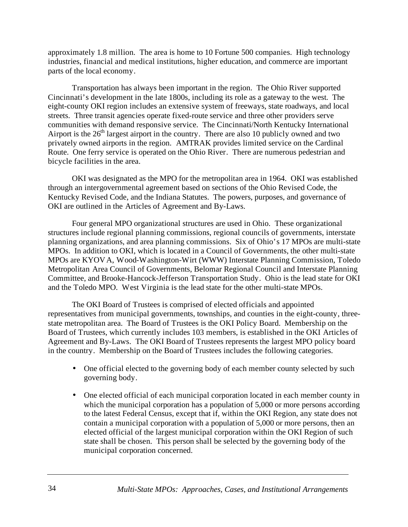approximately 1.8 million. The area is home to 10 Fortune 500 companies. High technology industries, financial and medical institutions, higher education, and commerce are important parts of the local economy.

Transportation has always been important in the region. The Ohio River supported Cincinnati's development in the late 1800s, including its role as a gateway to the west. The eight-county OKI region includes an extensive system of freeways, state roadways, and local streets. Three transit agencies operate fixed-route service and three other providers serve communities with demand responsive service. The Cincinnati/North Kentucky International Airport is the  $26<sup>th</sup>$  largest airport in the country. There are also 10 publicly owned and two privately owned airports in the region. AMTRAK provides limited service on the Cardinal Route. One ferry service is operated on the Ohio River. There are numerous pedestrian and bicycle facilities in the area.

OKI was designated as the MPO for the metropolitan area in 1964. OKI was established through an intergovernmental agreement based on sections of the Ohio Revised Code, the Kentucky Revised Code, and the Indiana Statutes. The powers, purposes, and governance of OKI are outlined in the Articles of Agreement and By-Laws.

Four general MPO organizational structures are used in Ohio. These organizational structures include regional planning commissions, regional councils of governments, interstate planning organizations, and area planning commissions. Six of Ohio's 17 MPOs are multi-state MPOs. In addition to OKI, which is located in a Council of Governments, the other multi-state MPOs are KYOVA, Wood-Washington-Wirt (WWW) Interstate Planning Commission, Toledo Metropolitan Area Council of Governments, Belomar Regional Council and Interstate Planning Committee, and Brooke-Hancock-Jefferson Transportation Study. Ohio is the lead state for OKI and the Toledo MPO. West Virginia is the lead state for the other multi-state MPOs.

The OKI Board of Trustees is comprised of elected officials and appointed representatives from municipal governments, townships, and counties in the eight-county, threestate metropolitan area. The Board of Trustees is the OKI Policy Board. Membership on the Board of Trustees, which currently includes 103 members, is established in the OKI Articles of Agreement and By-Laws. The OKI Board of Trustees represents the largest MPO policy board in the country. Membership on the Board of Trustees includes the following categories.

- One official elected to the governing body of each member county selected by such governing body.
- One elected official of each municipal corporation located in each member county in which the municipal corporation has a population of 5,000 or more persons according to the latest Federal Census, except that if, within the OKI Region, any state does not contain a municipal corporation with a population of 5,000 or more persons, then an elected official of the largest municipal corporation within the OKI Region of such state shall be chosen. This person shall be selected by the governing body of the municipal corporation concerned.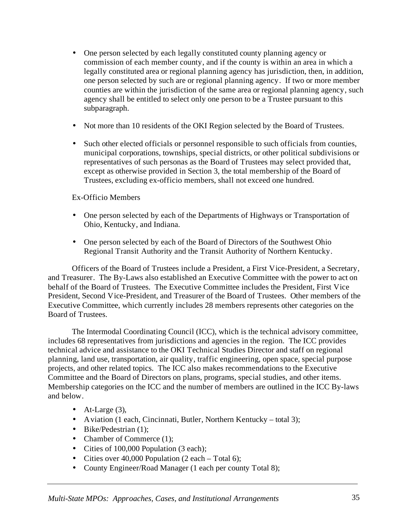- One person selected by each legally constituted county planning agency or commission of each member county, and if the county is within an area in which a legally constituted area or regional planning agency has jurisdiction, then, in addition, one person selected by such are or regional planning agency. If two or more member counties are within the jurisdiction of the same area or regional planning agency, such agency shall be entitled to select only one person to be a Trustee pursuant to this subparagraph.
- Not more than 10 residents of the OKI Region selected by the Board of Trustees.
- Such other elected officials or personnel responsible to such officials from counties, municipal corporations, townships, special districts, or other political subdivisions or representatives of such personas as the Board of Trustees may select provided that, except as otherwise provided in Section 3, the total membership of the Board of Trustees, excluding ex-officio members, shall not exceed one hundred.

Ex-Officio Members

- One person selected by each of the Departments of Highways or Transportation of Ohio, Kentucky, and Indiana.
- One person selected by each of the Board of Directors of the Southwest Ohio Regional Transit Authority and the Transit Authority of Northern Kentucky.

Officers of the Board of Trustees include a President, a First Vice-President, a Secretary, and Treasurer. The By-Laws also established an Executive Committee with the power to act on behalf of the Board of Trustees. The Executive Committee includes the President, First Vice President, Second Vice-President, and Treasurer of the Board of Trustees. Other members of the Executive Committee, which currently includes 28 members represents other categories on the Board of Trustees.

The Intermodal Coordinating Council (ICC), which is the technical advisory committee, includes 68 representatives from jurisdictions and agencies in the region. The ICC provides technical advice and assistance to the OKI Technical Studies Director and staff on regional planning, land use, transportation, air quality, traffic engineering, open space, special purpose projects, and other related topics. The ICC also makes recommendations to the Executive Committee and the Board of Directors on plans, programs, special studies, and other items. Membership categories on the ICC and the number of members are outlined in the ICC By-laws and below.

- At-Large  $(3)$ ,
- Aviation (1 each, Cincinnati, Butler, Northern Kentucky total 3);
- Bike/Pedestrian (1):
- Chamber of Commerce (1);
- Cities of 100,000 Population (3 each);
- Cities over 40,000 Population (2 each Total 6);
- County Engineer/Road Manager (1 each per county Total 8);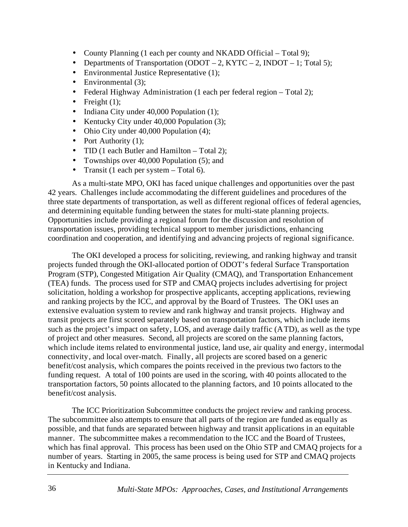- County Planning (1 each per county and NKADD Official Total 9);
- Departments of Transportation (ODOT 2, KYTC 2, INDOT 1; Total 5);
- Environmental Justice Representative (1);
- Environmental (3);
- Federal Highway Administration (1 each per federal region Total 2);
- Freight  $(1)$ ;
- Indiana City under 40,000 Population (1);
- Kentucky City under 40,000 Population (3);
- Ohio City under 40,000 Population (4);
- Port Authority (1);
- TID (1 each Butler and Hamilton Total 2);
- Townships over 40,000 Population (5); and
- Transit (1 each per system  $-$  Total 6).

As a multi-state MPO, OKI has faced unique challenges and opportunities over the past 42 years. Challenges include accommodating the different guidelines and procedures of the three state departments of transportation, as well as different regional offices of federal agencies, and determining equitable funding between the states for multi-state planning projects. Opportunities include providing a regional forum for the discussion and resolution of transportation issues, providing technical support to member jurisdictions, enhancing coordination and cooperation, and identifying and advancing projects of regional significance.

The OKI developed a process for soliciting, reviewing, and ranking highway and transit projects funded through the OKI-allocated portion of ODOT's federal Surface Transportation Program (STP), Congested Mitigation Air Quality (CMAQ), and Transportation Enhancement (TEA) funds. The process used for STP and CMAQ projects includes advertising for project solicitation, holding a workshop for prospective applicants, accepting applications, reviewing and ranking projects by the ICC, and approval by the Board of Trustees. The OKI uses an extensive evaluation system to review and rank highway and transit projects. Highway and transit projects are first scored separately based on transportation factors, which include items such as the project's impact on safety, LOS, and average daily traffic (ATD), as well as the type of project and other measures. Second, all projects are scored on the same planning factors, which include items related to environmental justice, land use, air quality and energy, intermodal connectivity, and local over-match. Finally, all projects are scored based on a generic benefit/cost analysis, which compares the points received in the previous two factors to the funding request. A total of 100 points are used in the scoring, with 40 points allocated to the transportation factors, 50 points allocated to the planning factors, and 10 points allocated to the benefit/cost analysis.

The ICC Prioritization Subcommittee conducts the project review and ranking process. The subcommittee also attempts to ensure that all parts of the region are funded as equally as possible, and that funds are separated between highway and transit applications in an equitable manner. The subcommittee makes a recommendation to the ICC and the Board of Trustees, which has final approval. This process has been used on the Ohio STP and CMAQ projects for a number of years. Starting in 2005, the same process is being used for STP and CMAQ projects in Kentucky and Indiana.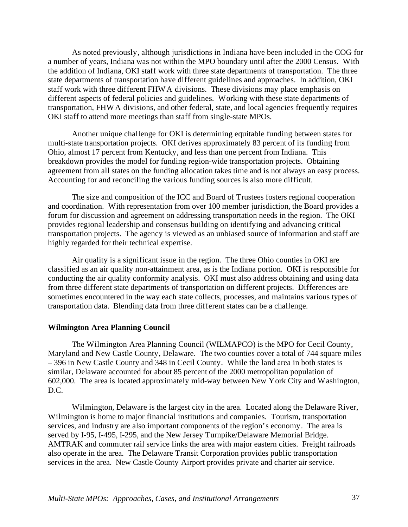As noted previously, although jurisdictions in Indiana have been included in the COG for a number of years, Indiana was not within the MPO boundary until after the 2000 Census. With the addition of Indiana, OKI staff work with three state departments of transportation. The three state departments of transportation have different guidelines and approaches. In addition, OKI staff work with three different FHWA divisions. These divisions may place emphasis on different aspects of federal policies and guidelines. Working with these state departments of transportation, FHWA divisions, and other federal, state, and local agencies frequently requires OKI staff to attend more meetings than staff from single-state MPOs.

Another unique challenge for OKI is determining equitable funding between states for multi-state transportation projects. OKI derives approximately 83 percent of its funding from Ohio, almost 17 percent from Kentucky, and less than one percent from Indiana. This breakdown provides the model for funding region-wide transportation projects. Obtaining agreement from all states on the funding allocation takes time and is not always an easy process. Accounting for and reconciling the various funding sources is also more difficult.

The size and composition of the ICC and Board of Trustees fosters regional cooperation and coordination. With representation from over 100 member jurisdiction, the Board provides a forum for discussion and agreement on addressing transportation needs in the region. The OKI provides regional leadership and consensus building on identifying and advancing critical transportation projects. The agency is viewed as an unbiased source of information and staff are highly regarded for their technical expertise.

Air quality is a significant issue in the region. The three Ohio counties in OKI are classified as an air quality non-attainment area, as is the Indiana portion. OKI is responsible for conducting the air quality conformity analysis. OKI must also address obtaining and using data from three different state departments of transportation on different projects. Differences are sometimes encountered in the way each state collects, processes, and maintains various types of transportation data. Blending data from three different states can be a challenge.

#### **Wilmington Area Planning Council**

The Wilmington Area Planning Council (WILMAPCO) is the MPO for Cecil County, Maryland and New Castle County, Delaware. The two counties cover a total of 744 square miles – 396 in New Castle County and 348 in Cecil County. While the land area in both states is similar, Delaware accounted for about 85 percent of the 2000 metropolitan population of 602,000. The area is located approximately mid-way between New York City and Washington, D.C.

Wilmington, Delaware is the largest city in the area. Located along the Delaware River, Wilmington is home to major financial institutions and companies. Tourism, transportation services, and industry are also important components of the region's economy. The area is served by I-95, I-495, I-295, and the New Jersey Turnpike/Delaware Memorial Bridge. AMTRAK and commuter rail service links the area with major eastern cities. Freight railroads also operate in the area. The Delaware Transit Corporation provides public transportation services in the area. New Castle County Airport provides private and charter air service.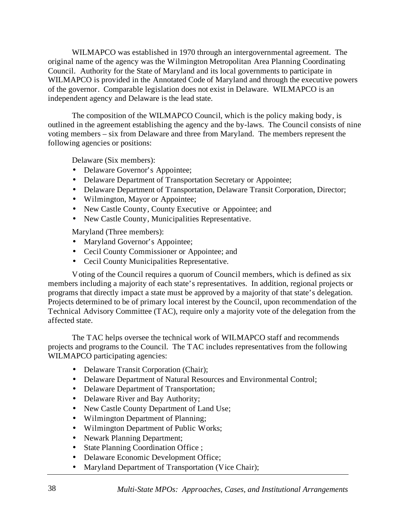WILMAPCO was established in 1970 through an intergovernmental agreement. The original name of the agency was the Wilmington Metropolitan Area Planning Coordinating Council. Authority for the State of Maryland and its local governments to participate in WILMAPCO is provided in the Annotated Code of Maryland and through the executive powers of the governor. Comparable legislation does not exist in Delaware. WILMAPCO is an independent agency and Delaware is the lead state.

The composition of the WILMAPCO Council, which is the policy making body, is outlined in the agreement establishing the agency and the by-laws. The Council consists of nine voting members – six from Delaware and three from Maryland. The members represent the following agencies or positions:

Delaware (Six members):

- Delaware Governor's Appointee;
- Delaware Department of Transportation Secretary or Appointee;
- Delaware Department of Transportation, Delaware Transit Corporation, Director;
- Wilmington, Mayor or Appointee;
- New Castle County, County Executive or Appointee; and
- New Castle County, Municipalities Representative.

Maryland (Three members):

- Maryland Governor's Appointee;
- Cecil County Commissioner or Appointee; and
- Cecil County Municipalities Representative.

Voting of the Council requires a quorum of Council members, which is defined as six members including a majority of each state's representatives. In addition, regional projects or programs that directly impact a state must be approved by a majority of that state's delegation. Projects determined to be of primary local interest by the Council, upon recommendation of the Technical Advisory Committee (TAC), require only a majority vote of the delegation from the affected state.

The TAC helps oversee the technical work of WILMAPCO staff and recommends projects and programs to the Council. The TAC includes representatives from the following WILMAPCO participating agencies:

- Delaware Transit Corporation (Chair);
- Delaware Department of Natural Resources and Environmental Control;
- Delaware Department of Transportation;
- Delaware River and Bay Authority;
- New Castle County Department of Land Use;
- Wilmington Department of Planning;
- Wilmington Department of Public Works;
- Newark Planning Department;
- State Planning Coordination Office ;
- Delaware Economic Development Office;
- Maryland Department of Transportation (Vice Chair);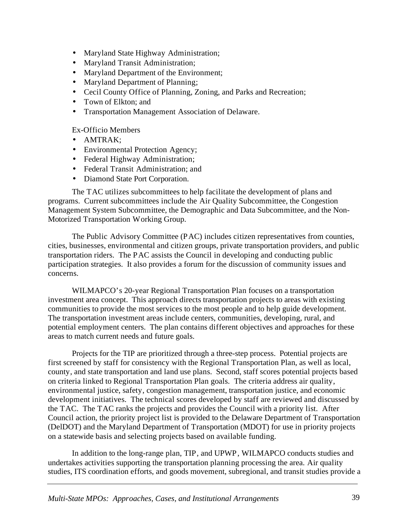- Maryland State Highway Administration;
- Maryland Transit Administration;
- Maryland Department of the Environment;
- Maryland Department of Planning;
- Cecil County Office of Planning, Zoning, and Parks and Recreation;
- Town of Elkton: and
- Transportation Management Association of Delaware.

#### Ex-Officio Members

- AMTRAK;
- Environmental Protection Agency;
- Federal Highway Administration;
- Federal Transit Administration: and
- Diamond State Port Corporation.

The TAC utilizes subcommittees to help facilitate the development of plans and programs. Current subcommittees include the Air Quality Subcommittee, the Congestion Management System Subcommittee, the Demographic and Data Subcommittee, and the Non-Motorized Transportation Working Group.

The Public Advisory Committee (PAC) includes citizen representatives from counties, cities, businesses, environmental and citizen groups, private transportation providers, and public transportation riders. The PAC assists the Council in developing and conducting public participation strategies. It also provides a forum for the discussion of community issues and concerns.

WILMAPCO's 20-year Regional Transportation Plan focuses on a transportation investment area concept. This approach directs transportation projects to areas with existing communities to provide the most services to the most people and to help guide development. The transportation investment areas include centers, communities, developing, rural, and potential employment centers. The plan contains different objectives and approaches for these areas to match current needs and future goals.

Projects for the TIP are prioritized through a three-step process. Potential projects are first screened by staff for consistency with the Regional Transportation Plan, as well as local, county, and state transportation and land use plans. Second, staff scores potential projects based on criteria linked to Regional Transportation Plan goals. The criteria address air quality, environmental justice, safety, congestion management, transportation justice, and economic development initiatives. The technical scores developed by staff are reviewed and discussed by the TAC. The TAC ranks the projects and provides the Council with a priority list. After Council action, the priority project list is provided to the Delaware Department of Transportation (DelDOT) and the Maryland Department of Transportation (MDOT) for use in priority projects on a statewide basis and selecting projects based on available funding.

In addition to the long-range plan, TIP, and UPWP, WILMAPCO conducts studies and undertakes activities supporting the transportation planning processing the area. Air quality studies, ITS coordination efforts, and goods movement, subregional, and transit studies provide a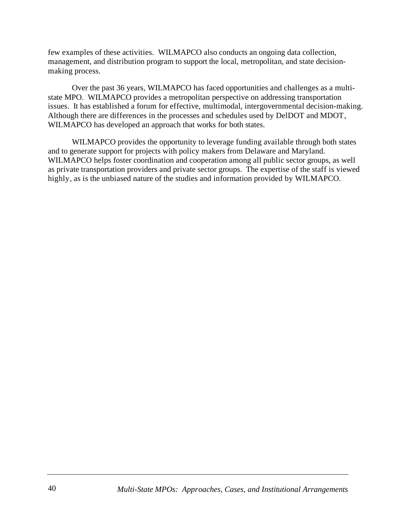few examples of these activities. WILMAPCO also conducts an ongoing data collection, management, and distribution program to support the local, metropolitan, and state decisionmaking process.

Over the past 36 years, WILMAPCO has faced opportunities and challenges as a multistate MPO. WILMAPCO provides a metropolitan perspective on addressing transportation issues. It has established a forum for effective, multimodal, intergovernmental decision-making. Although there are differences in the processes and schedules used by DelDOT and MDOT, WILMAPCO has developed an approach that works for both states.

WILMAPCO provides the opportunity to leverage funding available through both states and to generate support for projects with policy makers from Delaware and Maryland. WILMAPCO helps foster coordination and cooperation among all public sector groups, as well as private transportation providers and private sector groups. The expertise of the staff is viewed highly, as is the unbiased nature of the studies and information provided by WILMAPCO.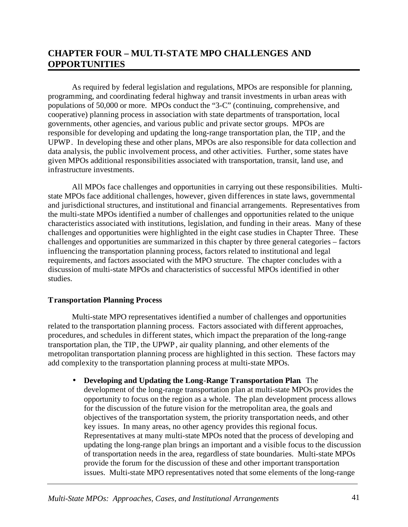# **CHAPTER FOUR – MULTI-STATE MPO CHALLENGES AND OPPORTUNITIES**

As required by federal legislation and regulations, MPOs are responsible for planning, programming, and coordinating federal highway and transit investments in urban areas with populations of 50,000 or more. MPOs conduct the "3-C" (continuing, comprehensive, and cooperative) planning process in association with state departments of transportation, local governments, other agencies, and various public and private sector groups. MPOs are responsible for developing and updating the long-range transportation plan, the TIP, and the UPWP. In developing these and other plans, MPOs are also responsible for data collection and data analysis, the public involvement process, and other activities. Further, some states have given MPOs additional responsibilities associated with transportation, transit, land use, and infrastructure investments.

All MPOs face challenges and opportunities in carrying out these responsibilities. Multistate MPOs face additional challenges, however, given differences in state laws, governmental and jurisdictional structures, and institutional and financial arrangements. Representatives from the multi-state MPOs identified a number of challenges and opportunities related to the unique characteristics associated with institutions, legislation, and funding in their areas. Many of these challenges and opportunities were highlighted in the eight case studies in Chapter Three. These challenges and opportunities are summarized in this chapter by three general categories – factors influencing the transportation planning process, factors related to institutional and legal requirements, and factors associated with the MPO structure. The chapter concludes with a discussion of multi-state MPOs and characteristics of successful MPOs identified in other studies.

## **Transportation Planning Process**

Multi-state MPO representatives identified a number of challenges and opportunities related to the transportation planning process. Factors associated with different approaches, procedures, and schedules in different states, which impact the preparation of the long-range transportation plan, the TIP, the UPWP, air quality planning, and other elements of the metropolitan transportation planning process are highlighted in this section. These factors may add complexity to the transportation planning process at multi-state MPOs.

• **Developing and Updating the Long**-**Range Transportation Plan**. The development of the long-range transportation plan at multi-state MPOs provides the opportunity to focus on the region as a whole. The plan development process allows for the discussion of the future vision for the metropolitan area, the goals and objectives of the transportation system, the priority transportation needs, and other key issues. In many areas, no other agency provides this regional focus. Representatives at many multi-state MPOs noted that the process of developing and updating the long-range plan brings an important and a visible focus to the discussion of transportation needs in the area, regardless of state boundaries. Multi-state MPOs provide the forum for the discussion of these and other important transportation issues. Multi-state MPO representatives noted that some elements of the long-range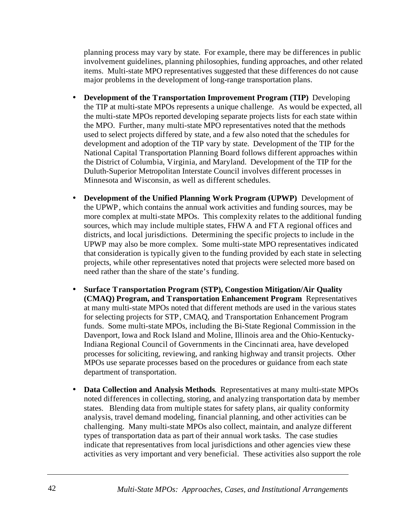planning process may vary by state. For example, there may be differences in public involvement guidelines, planning philosophies, funding approaches, and other related items. Multi-state MPO representatives suggested that these differences do not cause major problems in the development of long-range transportation plans.

- **Development of the Transportation Improvement Program (TIP)**. Developing the TIP at multi-state MPOs represents a unique challenge. As would be expected, all the multi-state MPOs reported developing separate projects lists for each state within the MPO. Further, many multi-state MPO representatives noted that the methods used to select projects differed by state, and a few also noted that the schedules for development and adoption of the TIP vary by state. Development of the TIP for the National Capital Transportation Planning Board follows different approaches within the District of Columbia, Virginia, and Maryland. Development of the TIP for the Duluth-Superior Metropolitan Interstate Council involves different processes in Minnesota and Wisconsin, as well as different schedules.
- **Development of the Unified Planning Work Program (UPWP)**. Development of the UPWP, which contains the annual work activities and funding sources, may be more complex at multi-state MPOs. This complexity relates to the additional funding sources, which may include multiple states, FHWA and FTA regional offices and districts, and local jurisdictions. Determining the specific projects to include in the UPWP may also be more complex. Some multi-state MPO representatives indicated that consideration is typically given to the funding provided by each state in selecting projects, while other representatives noted that projects were selected more based on need rather than the share of the state's funding.
- **Surface Transportation Program (STP), Congestion Mitigation/Air Quality (CMAQ) Program, and Transportation Enhancement Program**. Representatives at many multi-state MPOs noted that different methods are used in the various states for selecting projects for STP, CMAQ, and Transportation Enhancement Program funds. Some multi-state MPOs, including the Bi-State Regional Commission in the Davenport, Iowa and Rock Island and Moline, Illinois area and the Ohio-Kentucky-Indiana Regional Council of Governments in the Cincinnati area, have developed processes for soliciting, reviewing, and ranking highway and transit projects. Other MPOs use separate processes based on the procedures or guidance from each state department of transportation.
- **Data Collection and Analysis Methods**. Representatives at many multi-state MPOs noted differences in collecting, storing, and analyzing transportation data by member states. Blending data from multiple states for safety plans, air quality conformity analysis, travel demand modeling, financial planning, and other activities can be challenging. Many multi-state MPOs also collect, maintain, and analyze different types of transportation data as part of their annual work tasks. The case studies indicate that representatives from local jurisdictions and other agencies view these activities as very important and very beneficial. These activities also support the role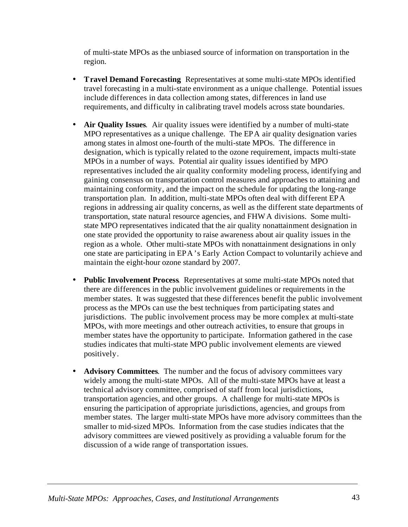of multi-state MPOs as the unbiased source of information on transportation in the region.

- **Travel Demand Forecasting**. Representatives at some multi-state MPOs identified travel forecasting in a multi-state environment as a unique challenge. Potential issues include differences in data collection among states, differences in land use requirements, and difficulty in calibrating travel models across state boundaries.
- **Air Quality Issues**. Air quality issues were identified by a number of multi-state MPO representatives as a unique challenge. The EPA air quality designation varies among states in almost one-fourth of the multi-state MPOs. The difference in designation, which is typically related to the ozone requirement, impacts multi-state MPOs in a number of ways. Potential air quality issues identified by MPO representatives included the air quality conformity modeling process, identifying and gaining consensus on transportation control measures and approaches to attaining and maintaining conformity, and the impact on the schedule for updating the long-range transportation plan. In addition, multi-state MPOs often deal with different EPA regions in addressing air quality concerns, as well as the different state departments of transportation, state natural resource agencies, and FHWA divisions. Some multistate MPO representatives indicated that the air quality nonattainment designation in one state provided the opportunity to raise awareness about air quality issues in the region as a whole. Other multi-state MPOs with nonattainment designations in only one state are participating in EPA's Early Action Compact to voluntarily achieve and maintain the eight-hour ozone standard by 2007.
- **Public Involvement Process**. Representatives at some multi-state MPOs noted that there are differences in the public involvement guidelines or requirements in the member states. It was suggested that these differences benefit the public involvement process as the MPOs can use the best techniques from participating states and jurisdictions. The public involvement process may be more complex at multi-state MPOs, with more meetings and other outreach activities, to ensure that groups in member states have the opportunity to participate. Information gathered in the case studies indicates that multi-state MPO public involvement elements are viewed positively.
- **Advisory Committees**. The number and the focus of advisory committees vary widely among the multi-state MPOs. All of the multi-state MPOs have at least a technical advisory committee, comprised of staff from local jurisdictions, transportation agencies, and other groups. A challenge for multi-state MPOs is ensuring the participation of appropriate jurisdictions, agencies, and groups from member states. The larger multi-state MPOs have more advisory committees than the smaller to mid-sized MPOs. Information from the case studies indicates that the advisory committees are viewed positively as providing a valuable forum for the discussion of a wide range of transportation issues.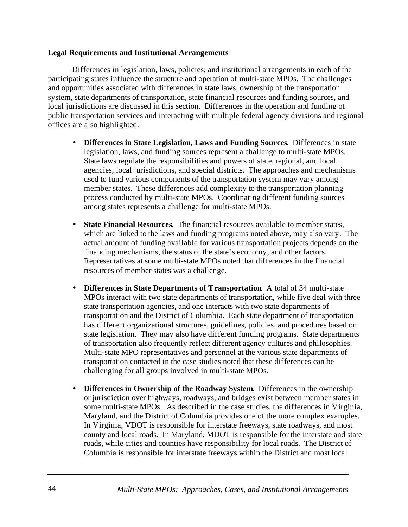#### **Legal Requirements and Institutional Arrangements**

Differences in legislation, laws, policies, and institutional arrangements in each of the participating states influence the structure and operation of multi-state MPOs. The challenges and opportunities associated with differences in state laws, ownership of the transportation system, state departments of transportation, state financial resources and funding sources, and local jurisdictions are discussed in this section. Differences in the operation and funding of public transportation services and interacting with multiple federal agency divisions and regional offices are also highlighted.

- **Differences in State Legislation, Laws and Funding Sources**. Differences in state legislation, laws, and funding sources represent a challenge to multi-state MPOs. State laws regulate the responsibilities and powers of state, regional, and local agencies, local jurisdictions, and special districts. The approaches and mechanisms used to fund various components of the transportation system may vary among member states. These differences add complexity to the transportation planning process conducted by multi-state MPOs. Coordinating different funding sources among states represents a challenge for multi-state MPOs.
- **State Financial Resources**. The financial resources available to member states, which are linked to the laws and funding programs noted above, may also vary. The actual amount of funding available for various transportation projects depends on the financing mechanisms, the status of the state's economy, and other factors. Representatives at some multi-state MPOs noted that differences in the financial resources of member states was a challenge.
- **Differences in State Departments of Transportation**. A total of 34 multi-state MPOs interact with two state departments of transportation, while five deal with three state transportation agencies, and one interacts with two state departments of transportation and the District of Columbia. Each state department of transportation has different organizational structures, guidelines, policies, and procedures based on state legislation. They may also have different funding programs. State departments of transportation also frequently reflect different agency cultures and philosophies. Multi-state MPO representatives and personnel at the various state departments of transportation contacted in the case studies noted that these differences can be challenging for all groups involved in multi-state MPOs.
- **Differences in Ownership of the Roadway System**. Differences in the ownership or jurisdiction over highways, roadways, and bridges exist between member states in some multi-state MPOs. As described in the case studies, the differences in Virginia, Maryland, and the District of Columbia provides one of the more complex examples. In Virginia, VDOT is responsible for interstate freeways, state roadways, and most county and local roads. In Maryland, MDOT is responsible for the interstate and state roads, while cities and counties have responsibility for local roads. The District of Columbia is responsible for interstate freeways within the District and most local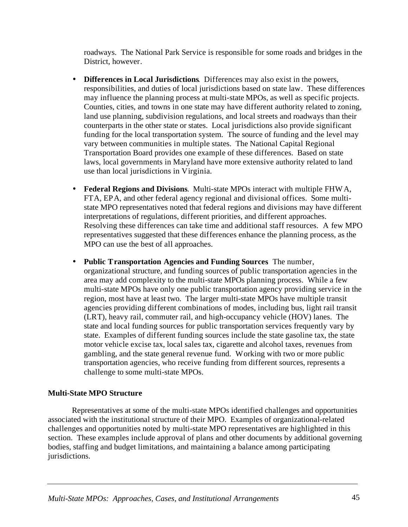roadways. The National Park Service is responsible for some roads and bridges in the District, however.

- **Differences in Local Jurisdictions**. Differences may also exist in the powers, responsibilities, and duties of local jurisdictions based on state law. These differences may influence the planning process at multi-state MPOs, as well as specific projects. Counties, cities, and towns in one state may have different authority related to zoning, land use planning, subdivision regulations, and local streets and roadways than their counterparts in the other state or states. Local jurisdictions also provide significant funding for the local transportation system. The source of funding and the level may vary between communities in multiple states. The National Capital Regional Transportation Board provides one example of these differences. Based on state laws, local governments in Maryland have more extensive authority related to land use than local jurisdictions in Virginia.
- **Federal Regions and Divisions**. Multi-state MPOs interact with multiple FHWA, FTA, EPA, and other federal agency regional and divisional offices. Some multistate MPO representatives noted that federal regions and divisions may have different interpretations of regulations, different priorities, and different approaches. Resolving these differences can take time and additional staff resources. A few MPO representatives suggested that these differences enhance the planning process, as the MPO can use the best of all approaches.
- **Public Transportation Agencies and Funding Sources**. The number, organizational structure, and funding sources of public transportation agencies in the area may add complexity to the multi-state MPOs planning process. While a few multi-state MPOs have only one public transportation agency providing service in the region, most have at least two. The larger multi-state MPOs have multiple transit agencies providing different combinations of modes, including bus, light rail transit (LRT), heavy rail, commuter rail, and high-occupancy vehicle (HOV) lanes. The state and local funding sources for public transportation services frequently vary by state. Examples of different funding sources include the state gasoline tax, the state motor vehicle excise tax, local sales tax, cigarette and alcohol taxes, revenues from gambling, and the state general revenue fund. Working with two or more public transportation agencies, who receive funding from different sources, represents a challenge to some multi-state MPOs.

## **Multi-State MPO Structure**

Representatives at some of the multi-state MPOs identified challenges and opportunities associated with the institutional structure of their MPO. Examples of organizational-related challenges and opportunities noted by multi-state MPO representatives are highlighted in this section. These examples include approval of plans and other documents by additional governing bodies, staffing and budget limitations, and maintaining a balance among participating jurisdictions.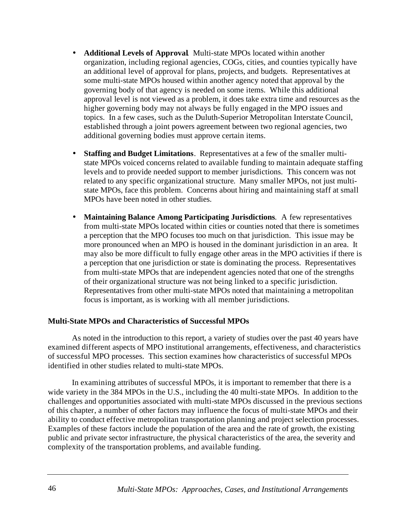- **Additional Levels of Approval**. Multi-state MPOs located within another organization, including regional agencies, COGs, cities, and counties typically have an additional level of approval for plans, projects, and budgets. Representatives at some multi-state MPOs housed within another agency noted that approval by the governing body of that agency is needed on some items. While this additional approval level is not viewed as a problem, it does take extra time and resources as the higher governing body may not always be fully engaged in the MPO issues and topics. In a few cases, such as the Duluth-Superior Metropolitan Interstate Council, established through a joint powers agreement between two regional agencies, two additional governing bodies must approve certain items.
- **Staffing and Budget Limitations**. Representatives at a few of the smaller multistate MPOs voiced concerns related to available funding to maintain adequate staffing levels and to provide needed support to member jurisdictions. This concern was not related to any specific organizational structure. Many smaller MPOs, not just multistate MPOs, face this problem. Concerns about hiring and maintaining staff at small MPOs have been noted in other studies.
- **Maintaining Balance Among Participating Jurisdictions**. A few representatives from multi-state MPOs located within cities or counties noted that there is sometimes a perception that the MPO focuses too much on that jurisdiction. This issue may be more pronounced when an MPO is housed in the dominant jurisdiction in an area. It may also be more difficult to fully engage other areas in the MPO activities if there is a perception that one jurisdiction or state is dominating the process. Representatives from multi-state MPOs that are independent agencies noted that one of the strengths of their organizational structure was not being linked to a specific jurisdiction. Representatives from other multi-state MPOs noted that maintaining a metropolitan focus is important, as is working with all member jurisdictions.

#### **Multi-State MPOs and Characteristics of Successful MPOs**

As noted in the introduction to this report, a variety of studies over the past 40 years have examined different aspects of MPO institutional arrangements, effectiveness, and characteristics of successful MPO processes. This section examines how characteristics of successful MPOs identified in other studies related to multi-state MPOs.

In examining attributes of successful MPOs, it is important to remember that there is a wide variety in the 384 MPOs in the U.S., including the 40 multi-state MPOs. In addition to the challenges and opportunities associated with multi-state MPOs discussed in the previous sections of this chapter, a number of other factors may influence the focus of multi-state MPOs and their ability to conduct effective metropolitan transportation planning and project selection processes. Examples of these factors include the population of the area and the rate of growth, the existing public and private sector infrastructure, the physical characteristics of the area, the severity and complexity of the transportation problems, and available funding.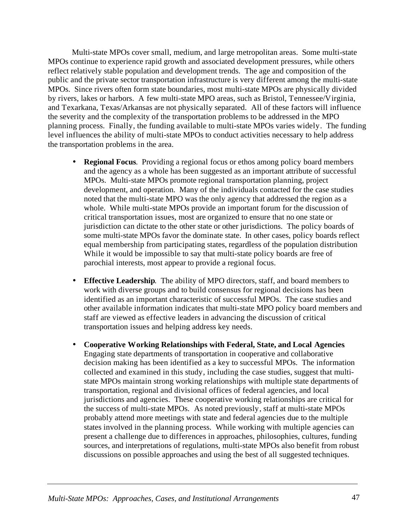Multi-state MPOs cover small, medium, and large metropolitan areas. Some multi-state MPOs continue to experience rapid growth and associated development pressures, while others reflect relatively stable population and development trends. The age and composition of the public and the private sector transportation infrastructure is very different among the multi-state MPOs. Since rivers often form state boundaries, most multi-state MPOs are physically divided by rivers, lakes or harbors. A few multi-state MPO areas, such as Bristol, Tennessee/Virginia, and Texarkana, Texas/Arkansas are not physically separated. All of these factors will influence the severity and the complexity of the transportation problems to be addressed in the MPO planning process. Finally, the funding available to multi-state MPOs varies widely. The funding level influences the ability of multi-state MPOs to conduct activities necessary to help address the transportation problems in the area.

- **Regional Focus**. Providing a regional focus or ethos among policy board members and the agency as a whole has been suggested as an important attribute of successful MPOs. Multi-state MPOs promote regional transportation planning, project development, and operation. Many of the individuals contacted for the case studies noted that the multi-state MPO was the only agency that addressed the region as a whole. While multi-state MPOs provide an important forum for the discussion of critical transportation issues, most are organized to ensure that no one state or jurisdiction can dictate to the other state or other jurisdictions. The policy boards of some multi-state MPOs favor the dominate state. In other cases, policy boards reflect equal membership from participating states, regardless of the population distribution While it would be impossible to say that multi-state policy boards are free of parochial interests, most appear to provide a regional focus.
- **Effective Leadership**. The ability of MPO directors, staff, and board members to work with diverse groups and to build consensus for regional decisions has been identified as an important characteristic of successful MPOs. The case studies and other available information indicates that multi-state MPO policy board members and staff are viewed as effective leaders in advancing the discussion of critical transportation issues and helping address key needs.
- **Cooperative Working Relationships with Federal, State, and Local Agencies**. Engaging state departments of transportation in cooperative and collaborative decision making has been identified as a key to successful MPOs. The information collected and examined in this study, including the case studies, suggest that multistate MPOs maintain strong working relationships with multiple state departments of transportation, regional and divisional offices of federal agencies, and local jurisdictions and agencies. These cooperative working relationships are critical for the success of multi-state MPOs. As noted previously, staff at multi-state MPOs probably attend more meetings with state and federal agencies due to the multiple states involved in the planning process. While working with multiple agencies can present a challenge due to differences in approaches, philosophies, cultures, funding sources, and interpretations of regulations, multi-state MPOs also benefit from robust discussions on possible approaches and using the best of all suggested techniques.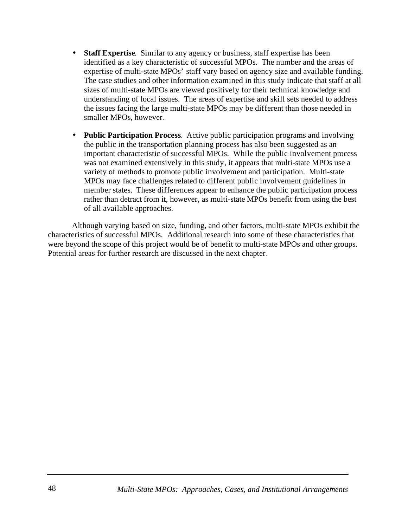- **Staff Expertise**. Similar to any agency or business, staff expertise has been identified as a key characteristic of successful MPOs. The number and the areas of expertise of multi-state MPOs' staff vary based on agency size and available funding. The case studies and other information examined in this study indicate that staff at all sizes of multi-state MPOs are viewed positively for their technical knowledge and understanding of local issues. The areas of expertise and skill sets needed to address the issues facing the large multi-state MPOs may be different than those needed in smaller MPOs, however.
- **Public Participation Process**. Active public participation programs and involving the public in the transportation planning process has also been suggested as an important characteristic of successful MPOs. While the public involvement process was not examined extensively in this study, it appears that multi-state MPOs use a variety of methods to promote public involvement and participation. Multi-state MPOs may face challenges related to different public involvement guidelines in member states. These differences appear to enhance the public participation process rather than detract from it, however, as multi-state MPOs benefit from using the best of all available approaches.

Although varying based on size, funding, and other factors, multi-state MPOs exhibit the characteristics of successful MPOs. Additional research into some of these characteristics that were beyond the scope of this project would be of benefit to multi-state MPOs and other groups. Potential areas for further research are discussed in the next chapter.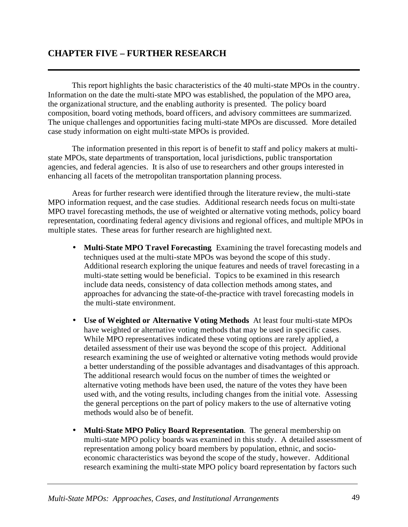# **CHAPTER FIVE – FURTHER RESEARCH**

This report highlights the basic characteristics of the 40 multi-state MPOs in the country. Information on the date the multi-state MPO was established, the population of the MPO area, the organizational structure, and the enabling authority is presented. The policy board composition, board voting methods, board officers, and advisory committees are summarized. The unique challenges and opportunities facing multi-state MPOs are discussed. More detailed case study information on eight multi-state MPOs is provided.

The information presented in this report is of benefit to staff and policy makers at multistate MPOs, state departments of transportation, local jurisdictions, public transportation agencies, and federal agencies. It is also of use to researchers and other groups interested in enhancing all facets of the metropolitan transportation planning process.

Areas for further research were identified through the literature review, the multi-state MPO information request, and the case studies. Additional research needs focus on multi-state MPO travel forecasting methods, the use of weighted or alternative voting methods, policy board representation, coordinating federal agency divisions and regional offices, and multiple MPOs in multiple states. These areas for further research are highlighted next.

- **Multi-State MPO Travel Forecasting**. Examining the travel forecasting models and techniques used at the multi-state MPOs was beyond the scope of this study. Additional research exploring the unique features and needs of travel forecasting in a multi-state setting would be beneficial. Topics to be examined in this research include data needs, consistency of data collection methods among states, and approaches for advancing the state-of-the-practice with travel forecasting models in the multi-state environment.
- **Use of Weighted or Alternative Voting Methods**. At least four multi-state MPOs have weighted or alternative voting methods that may be used in specific cases. While MPO representatives indicated these voting options are rarely applied, a detailed assessment of their use was beyond the scope of this project. Additional research examining the use of weighted or alternative voting methods would provide a better understanding of the possible advantages and disadvantages of this approach. The additional research would focus on the number of times the weighted or alternative voting methods have been used, the nature of the votes they have been used with, and the voting results, including changes from the initial vote. Assessing the general perceptions on the part of policy makers to the use of alternative voting methods would also be of benefit.
- **Multi-State MPO Policy Board Representation**. The general membership on multi-state MPO policy boards was examined in this study. A detailed assessment of representation among policy board members by population, ethnic, and socioeconomic characteristics was beyond the scope of the study, however. Additional research examining the multi-state MPO policy board representation by factors such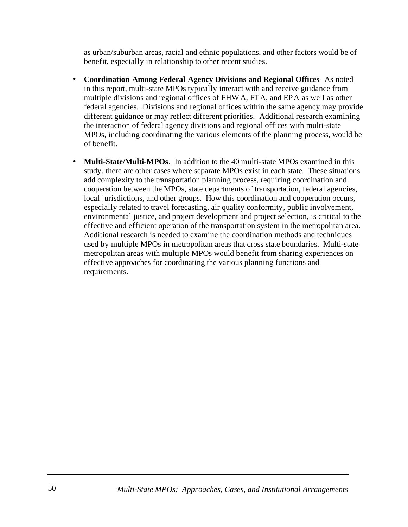as urban/suburban areas, racial and ethnic populations, and other factors would be of benefit, especially in relationship to other recent studies.

- **Coordination Among Federal Agency Divisions and Regional Offices**. As noted in this report, multi-state MPOs typically interact with and receive guidance from multiple divisions and regional offices of FHWA, FTA, and EPA as well as other federal agencies. Divisions and regional offices within the same agency may provide different guidance or may reflect different priorities. Additional research examining the interaction of federal agency divisions and regional offices with multi-state MPOs, including coordinating the various elements of the planning process, would be of benefit.
- **Multi-State/Multi-MPOs**. In addition to the 40 multi-state MPOs examined in this study, there are other cases where separate MPOs exist in each state. These situations add complexity to the transportation planning process, requiring coordination and cooperation between the MPOs, state departments of transportation, federal agencies, local jurisdictions, and other groups. How this coordination and cooperation occurs, especially related to travel forecasting, air quality conformity, public involvement, environmental justice, and project development and project selection, is critical to the effective and efficient operation of the transportation system in the metropolitan area. Additional research is needed to examine the coordination methods and techniques used by multiple MPOs in metropolitan areas that cross state boundaries. Multi-state metropolitan areas with multiple MPOs would benefit from sharing experiences on effective approaches for coordinating the various planning functions and requirements.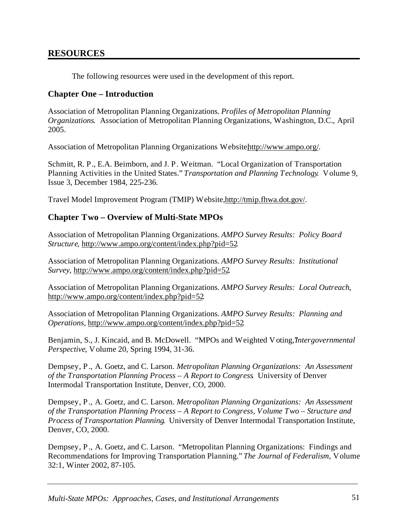# **RESOURCES**

The following resources were used in the development of this report.

## **Chapter One – Introduction**

Association of Metropolitan Planning Organizations. *Profiles of Metropolitan Planning Organizations*. Association of Metropolitan Planning Organizations, Washington, D.C., April 2005.

Association of Metropolitan Planning Organizations Websitehttp://www.ampo.org/.

Schmitt, R. P., E.A. Beimborn, and J. P. Weitman. "Local Organization of Transportation Planning Activities in the United States." *Transportation and Planning Technology*. Volume 9, Issue 3, December 1984, 225-236.

Travel Model Improvement Program (TMIP) Website, [http://tmip.fhwa.dot.gov/.](http://tmip.fhwa.dot.gov/)

## **Chapter Two – Overview of Multi-State MPOs**

Association of Metropolitan Planning Organizations. *AMPO Survey Results: Policy Board Structure*, [http://www.ampo.org/content/index.php?pid=52.](http://www.ampo.org/content/index.php?pid=52)

Association of Metropolitan Planning Organizations. *AMPO Survey Results: Institutional Survey*, [http://www.ampo.org/content/index.php?pid=52.](http://www.ampo.org/content/index.php?pid=52)

Association of Metropolitan Planning Organizations. *AMPO Survey Results: Local Outreach*, <http://www.ampo.org/content/index.php?pid=52>.

Association of Metropolitan Planning Organizations. *AMPO Survey Results: Planning and Operations,* <http://www.ampo.org/content/index.php?pid=52>.

Benjamin, S., J. Kincaid, and B. McDowell. "MPOs and Weighted Voting, *Intergovernmental Perspective*, Volume 20, Spring 1994, 31-36.

Dempsey, P., A. Goetz, and C. Larson. *Metropolitan Planning Organizations: An Assessment of the Transportation Planning Process – A Report to Congress*. University of Denver Intermodal Transportation Institute, Denver, CO, 2000.

Dempsey, P., A. Goetz, and C. Larson. *Metropolitan Planning Organizations: An Assessment of the Transportation Planning Process – A Report to Congress, Volume Two – Structure and Process of Transportation Planning*. University of Denver Intermodal Transportation Institute, Denver, CO, 2000.

Dempsey, P., A. Goetz, and C. Larson. "Metropolitan Planning Organizations: Findings and Recommendations for Improving Transportation Planning." *The Journal of Federalism*, Volume 32:1, Winter 2002, 87-105.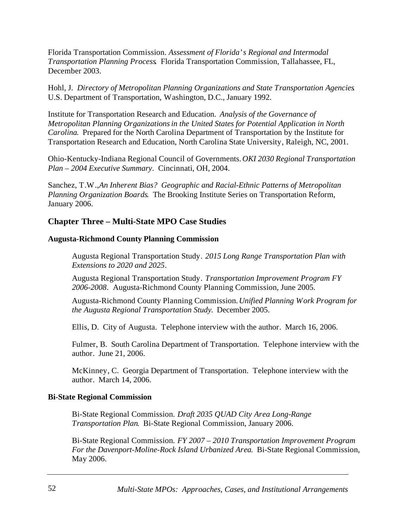Florida Transportation Commission. *Assessment of Florida's Regional and Intermodal Transportation Planning Process*. Florida Transportation Commission, Tallahassee, FL, December 2003.

Hohl, J. *Directory of Metropolitan Planning Organizations and State Transportation Agencies*. U.S. Department of Transportation, Washington, D.C., January 1992.

Institute for Transportation Research and Education. *Analysis of the Governance of Metropolitan Planning Organizationsin the United States for Potential Application in North Carolina*. Prepared for the North Carolina Department of Transportation by the Institute for Transportation Research and Education, North Carolina State University, Raleigh, NC, 2001.

Ohio-Kentucky-Indiana Regional Council of Governments. *OKI 2030 Regional Transportation Plan – 2004 Executive Summary*. Cincinnati, OH, 2004.

Sanchez, T.W., *An Inherent Bias? Geographic and Racial-Ethnic Patterns of Metropolitan Planning Organization Boards*. The Brooking Institute Series on Transportation Reform, January 2006.

## **Chapter Three – Multi-State MPO Case Studies**

#### **Augusta-Richmond County Planning Commission**

Augusta Regional Transportation Study. *2015 Long Range Transportation Plan with Extensions to 2020 and 2025*.

Augusta Regional Transportation Study. *Transportation Improvement Program FY 2006-2008*. Augusta-Richmond County Planning Commission, June 2005.

Augusta-Richmond County Planning Commission. *Unified Planning Work Program for the Augusta Regional Transportation Study*. December 2005.

Ellis, D. City of Augusta. Telephone interview with the author. March 16, 2006.

Fulmer, B. South Carolina Department of Transportation. Telephone interview with the author. June 21, 2006.

McKinney, C. Georgia Department of Transportation. Telephone interview with the author. March 14, 2006.

#### **Bi-State Regional Commission**

Bi-State Regional Commission. *Draft 2035 QUAD City Area Long-Range Transportation Plan*. Bi-State Regional Commission, January 2006.

Bi-State Regional Commission. *FY 2007 – 2010 Transportation Improvement Program For the Davenport-Moline-Rock Island Urbanized Area*. Bi-State Regional Commission, May 2006.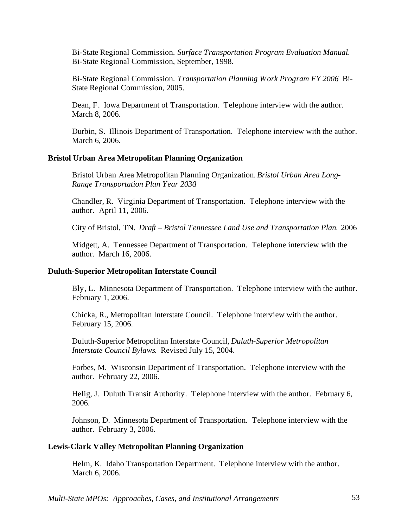Bi-State Regional Commission. *Surface Transportation Program Evaluation Manual*. Bi-State Regional Commission, September, 1998.

Bi-State Regional Commission. *Transportation Planning Work Program FY 2006*. Bi-State Regional Commission, 2005.

Dean, F. Iowa Department of Transportation. Telephone interview with the author. March 8, 2006.

Durbin, S. Illinois Department of Transportation. Telephone interview with the author. March 6, 2006.

#### **Bristol Urban Area Metropolitan Planning Organization**

Bristol Urban Area Metropolitan Planning Organization. *Bristol Urban Area Long-Range Transportation Plan Year 2030*.

Chandler, R. Virginia Department of Transportation. Telephone interview with the author. April 11, 2006.

City of Bristol, TN. *Draft – Bristol Tennessee Land Use and Transportation Plan*. 2006

Midgett, A. Tennessee Department of Transportation. Telephone interview with the author. March 16, 2006.

#### **Duluth-Superior Metropolitan Interstate Council**

Bly, L. Minnesota Department of Transportation. Telephone interview with the author. February 1, 2006.

Chicka, R., Metropolitan Interstate Council. Telephone interview with the author. February 15, 2006.

Duluth-Superior Metropolitan Interstate Council, *Duluth-Superior Metropolitan Interstate Council Bylaws*. Revised July 15, 2004.

Forbes, M. Wisconsin Department of Transportation. Telephone interview with the author. February 22, 2006.

Helig, J. Duluth Transit Authority. Telephone interview with the author. February 6, 2006.

Johnson, D. Minnesota Department of Transportation. Telephone interview with the author. February 3, 2006.

## **Lewis-Clark Valley Metropolitan Planning Organization**

Helm, K. Idaho Transportation Department. Telephone interview with the author. March 6, 2006.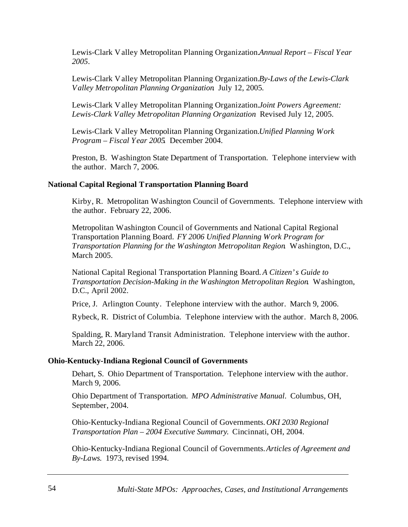Lewis-Clark Valley Metropolitan Planning Organization. *Annual Report – Fiscal Year 2005*.

Lewis-Clark Valley Metropolitan Planning Organization. *By-Laws of the Lewis-Clark Valley Metropolitan Planning Organization*. July 12, 2005.

Lewis-Clark Valley Metropolitan Planning Organization. *Joint Powers Agreement: Lewis-Clark Valley Metropolitan Planning Organization*. Revised July 12, 2005.

Lewis-Clark Valley Metropolitan Planning Organization. *Unified Planning Work Program – Fiscal Year 2005*. December 2004.

Preston, B. Washington State Department of Transportation. Telephone interview with the author. March 7, 2006.

#### **National Capital Regional Transportation Planning Board**

Kirby, R. Metropolitan Washington Council of Governments. Telephone interview with the author. February 22, 2006.

Metropolitan Washington Council of Governments and National Capital Regional Transportation Planning Board. *FY 2006 Unified Planning Work Program for Transportation Planning for the Washington Metropolitan Region*. Washington, D.C., March 2005.

National Capital Regional Transportation Planning Board. *A Citizen's Guide to Transportation Decision-Making in the Washington Metropolitan Region*. Washington, D.C., April 2002.

Price, J. Arlington County. Telephone interview with the author. March 9, 2006.

Rybeck, R. District of Columbia. Telephone interview with the author. March 8, 2006.

Spalding, R. Maryland Transit Administration. Telephone interview with the author. March 22, 2006.

#### **Ohio-Kentucky-Indiana Regional Council of Governments**

Dehart, S. Ohio Department of Transportation. Telephone interview with the author. March 9, 2006.

Ohio Department of Transportation. *MPO Administrative Manual*. Columbus, OH, September, 2004.

Ohio-Kentucky-Indiana Regional Council of Governments. *OKI 2030 Regional Transportation Plan – 2004 Executive Summary*. Cincinnati, OH, 2004.

Ohio-Kentucky-Indiana Regional Council of Governments. *Articles of Agreement and By-Laws*. 1973, revised 1994.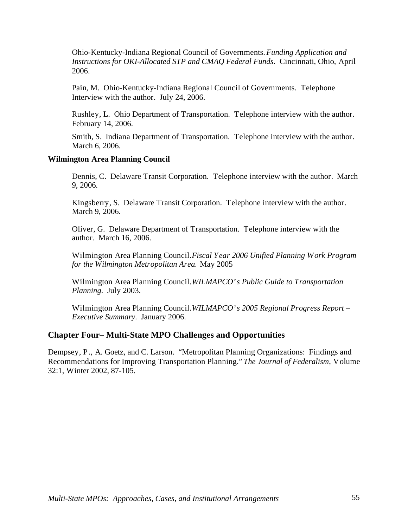Ohio-Kentucky-Indiana Regional Council of Governments. *Funding Application and Instructions for OKI-Allocated STP and CMAQ Federal Funds*. Cincinnati, Ohio, April 2006.

Pain, M. Ohio-Kentucky-Indiana Regional Council of Governments. Telephone Interview with the author. July 24, 2006.

Rushley, L. Ohio Department of Transportation. Telephone interview with the author. February 14, 2006.

Smith, S. Indiana Department of Transportation. Telephone interview with the author. March 6, 2006.

#### **Wilmington Area Planning Council**

Dennis, C. Delaware Transit Corporation. Telephone interview with the author. March 9, 2006.

Kingsberry, S. Delaware Transit Corporation. Telephone interview with the author. March 9, 2006.

Oliver, G. Delaware Department of Transportation. Telephone interview with the author. March 16, 2006.

Wilmington Area Planning Council. *Fiscal Year 2006 Unified Planning Work Program for the Wilmington Metropolitan Area*. May 2005

Wilmington Area Planning Council. *WILMAPCO's Public Guide to Transportation Planning*. July 2003.

Wilmington Area Planning Council. *WILMAPCO's 2005 Regional Progress Report – Executive Summary*. January 2006.

#### **Chapter Four– Multi-State MPO Challenges and Opportunities**

Dempsey, P., A. Goetz, and C. Larson. "Metropolitan Planning Organizations: Findings and Recommendations for Improving Transportation Planning." *The Journal of Federalism*, Volume 32:1, Winter 2002, 87-105.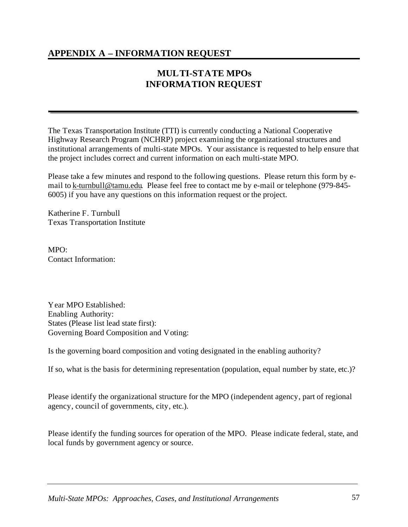# **APPENDIX A – INFORMATION REQUEST**

# **MULTI-STATE MPOs INFORMATION REQUEST**

The Texas Transportation Institute (TTI) is currently conducting a National Cooperative Highway Research Program (NCHRP) project examining the organizational structures and institutional arrangements of multi-state MPOs. Your assistance is requested to help ensure that the project includes correct and current information on each multi-state MPO.

Please take a few minutes and respond to the following questions. Please return this form by email to [k-turnbull@tamu.edu.](mailto:k-turnbull@tamu.edu) Please feel free to contact me by e-mail or telephone (979-845- 6005) if you have any questions on this information request or the project.

Katherine F. Turnbull Texas Transportation Institute

MPO: Contact Information:

Year MPO Established: Enabling Authority: States (Please list lead state first): Governing Board Composition and Voting:

Is the governing board composition and voting designated in the enabling authority?

If so, what is the basis for determining representation (population, equal number by state, etc.)?

Please identify the organizational structure for the MPO (independent agency, part of regional agency, council of governments, city, etc.).

Please identify the funding sources for operation of the MPO. Please indicate federal, state, and local funds by government agency or source.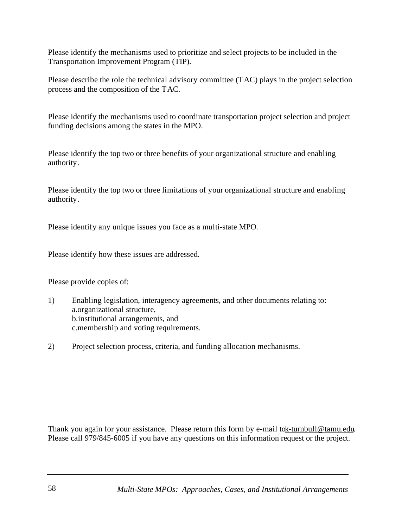Please identify the mechanisms used to prioritize and select projects to be included in the Transportation Improvement Program (TIP).

Please describe the role the technical advisory committee (TAC) plays in the project selection process and the composition of the TAC.

Please identify the mechanisms used to coordinate transportation project selection and project funding decisions among the states in the MPO.

Please identify the top two or three benefits of your organizational structure and enabling authority.

Please identify the top two or three limitations of your organizational structure and enabling authority.

Please identify any unique issues you face as a multi-state MPO.

Please identify how these issues are addressed.

Please provide copies of:

- 1) Enabling legislation, interagency agreements, and other documents relating to: a.organizational structure, b.institutional arrangements, and c.membership and voting requirements.
- 2) Project selection process, criteria, and funding allocation mechanisms.

Thank you again for your assistance. Please return this form by e-mail to k-turn bull @tamu.edu. Please call 979/845-6005 if you have any questions on this information request or the project.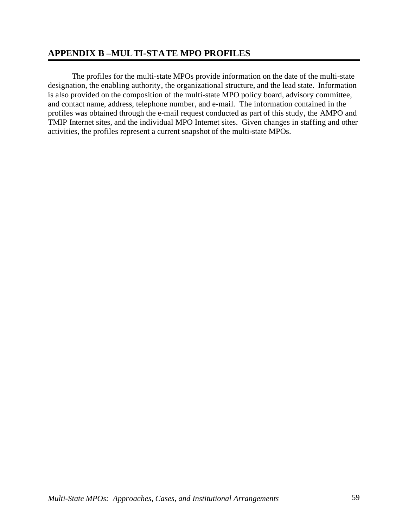# **APPENDIX B –MULTI-STATE MPO PROFILES**

The profiles for the multi-state MPOs provide information on the date of the multi-state designation, the enabling authority, the organizational structure, and the lead state. Information is also provided on the composition of the multi-state MPO policy board, advisory committee, and contact name, address, telephone number, and e-mail. The information contained in the profiles was obtained through the e-mail request conducted as part of this study, the AMPO and TMIP Internet sites, and the individual MPO Internet sites. Given changes in staffing and other activities, the profiles represent a current snapshot of the multi-state MPOs.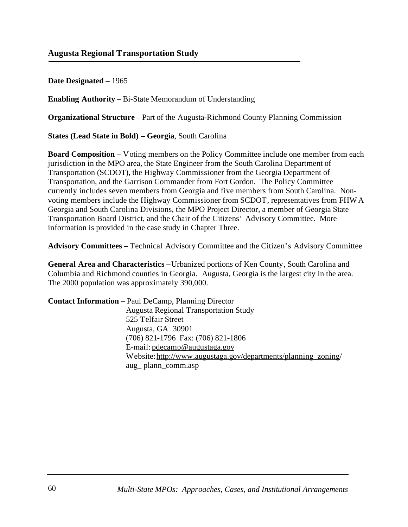**Date Designated –** 1965

**Enabling Authority –** Bi-State Memorandum of Understanding

**Organizational Structure** – Part of the Augusta-Richmond County Planning Commission

**States (Lead State in Bold) – Georgia**, South Carolina

**Board Composition –** Voting members on the Policy Committee include one member from each jurisdiction in the MPO area, the State Engineer from the South Carolina Department of Transportation (SCDOT), the Highway Commissioner from the Georgia Department of Transportation, and the Garrison Commander from Fort Gordon. The Policy Committee currently includes seven members from Georgia and five members from South Carolina. Nonvoting members include the Highway Commissioner from SCDOT, representatives from FHWA Georgia and South Carolina Divisions, the MPO Project Director, a member of Georgia State Transportation Board District, and the Chair of the Citizens' Advisory Committee. More information is provided in the case study in Chapter Three.

**Advisory Committees –** Technical Advisory Committee and the Citizen's Advisory Committee

**General Area and Characteristics –** Urbanized portions of Ken County, South Carolina and Columbia and Richmond counties in Georgia. Augusta, Georgia is the largest city in the area. The 2000 population was approximately 390,000.

| <b>Contact Information</b> – Paul DeCamp, Planning Director    |
|----------------------------------------------------------------|
| <b>Augusta Regional Transportation Study</b>                   |
| 525 Telfair Street                                             |
| Augusta, GA 30901                                              |
| (706) 821-1796 Fax: (706) 821-1806                             |
| E-mail: $p$ decamp@augustaga.gov                               |
| Website: http://www.augustaga.gov/departments/planning_zoning/ |
| aug_plann_comm.asp                                             |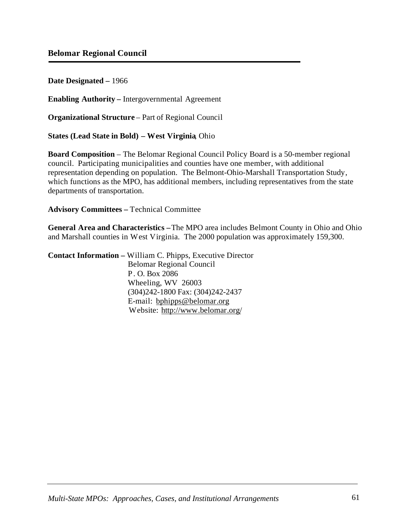**Date Designated –** 1966

**Enabling Authority –** Intergovernmental Agreement

**Organizational Structure** – Part of Regional Council

**States (Lead State in Bold) – West Virginia**, Ohio

**Board Composition** – The Belomar Regional Council Policy Board is a 50-member regional council. Participating municipalities and counties have one member, with additional representation depending on population. The Belmont-Ohio-Marshall Transportation Study, which functions as the MPO, has additional members, including representatives from the state departments of transportation.

**Advisory Committees –** Technical Committee

**General Area and Characteristics –**The MPO area includes Belmont County in Ohio and Ohio and Marshall counties in West Virginia. The 2000 population was approximately 159,300.

**Contact Information –** William C. Phipps, Executive Director Belomar Regional Council P. O. Box 2086 Wheeling, WV 26003 (304)242-1800 Fax: (304)242-2437 E-mail: [bphipps@belomar.org](mailto:bphipps@belomar.org) Website: <http://www.belomar.org/>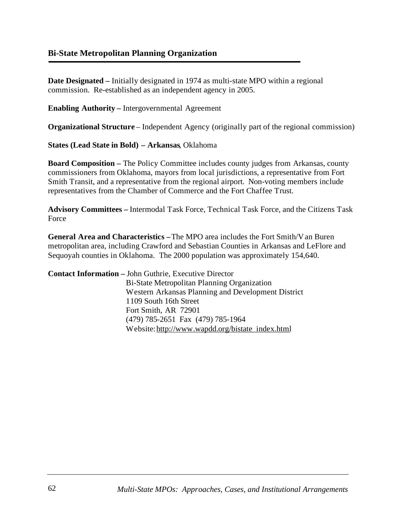## **Bi-State Metropolitan Planning Organization**

**Date Designated –** Initially designated in 1974 as multi-state MPO within a regional commission. Re-established as an independent agency in 2005.

**Enabling Authority –** Intergovernmental Agreement

**Organizational Structure** – Independent Agency (originally part of the regional commission)

**States (Lead State in Bold) – Arkansas**, Oklahoma

**Board Composition –** The Policy Committee includes county judges from Arkansas, county commissioners from Oklahoma, mayors from local jurisdictions, a representative from Fort Smith Transit, and a representative from the regional airport. Non-voting members include representatives from the Chamber of Commerce and the Fort Chaffee Trust.

**Advisory Committees –** Intermodal Task Force, Technical Task Force, and the Citizens Task Force

**General Area and Characteristics –**The MPO area includes the Fort Smith/Van Buren metropolitan area, including Crawford and Sebastian Counties in Arkansas and LeFlore and Sequoyah counties in Oklahoma. The 2000 population was approximately 154,640.

**Contact Information –** John Guthrie, Executive Director Bi-State Metropolitan Planning Organization Western Arkansas Planning and Development District 1109 South 16th Street Fort Smith, AR 72901 (479) 785-2651 Fax (479) 785-1964 Website: [http://www.wapdd.org/bistate\\_index.html](http://www.wapdd.org/bistate_index.html)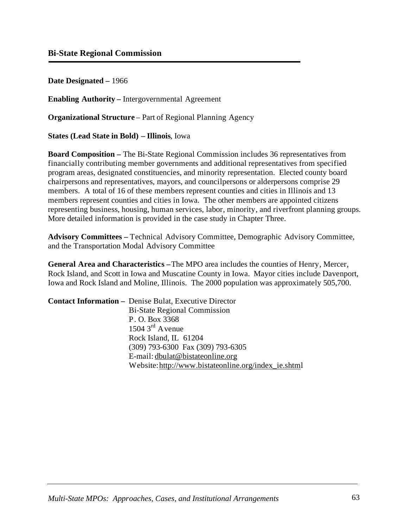## **Bi-State Regional Commission**

**Date Designated –** 1966

**Enabling Authority –** Intergovernmental Agreement

**Organizational Structure** – Part of Regional Planning Agency

**States (Lead State in Bold) – Illinois**, Iowa

**Board Composition –** The Bi-State Regional Commission includes 36 representatives from financially contributing member governments and additional representatives from specified program areas, designated constituencies, and minority representation. Elected county board chairpersons and representatives, mayors, and councilpersons or alderpersons comprise 29 members. A total of 16 of these members represent counties and cities in Illinois and 13 members represent counties and cities in Iowa. The other members are appointed citizens representing business, housing, human services, labor, minority, and riverfront planning groups. More detailed information is provided in the case study in Chapter Three.

**Advisory Committees –** Technical Advisory Committee, Demographic Advisory Committee, and the Transportation Modal Advisory Committee

**General Area and Characteristics –** The MPO area includes the counties of Henry, Mercer, Rock Island, and Scott in Iowa and Muscatine County in Iowa. Mayor cities include Davenport, Iowa and Rock Island and Moline, Illinois. The 2000 population was approximately 505,700.

**Contact Information –** Denise Bulat, Executive Director Bi-State Regional Commission P. O. Box 3368  $1504.3<sup>rd</sup>$  A venue Rock Island, IL 61204 (309) 793-6300 Fax (309) 793-6305 E-mail: [dbulat@bistateonline.org](mailto:dbulat@bistateonline.org) Website: [http://www.bistateonline.org/index\\_ie.shtm](http://www.bistateonline.org/index_ie.shtml)l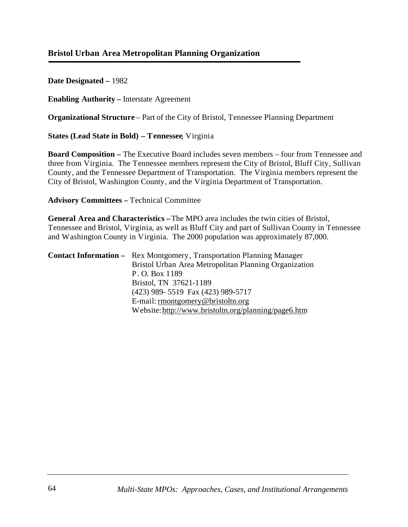# **Bristol Urban Area Metropolitan Planning Organization**

**Date Designated –** 1982

**Enabling Authority –** Interstate Agreement

**Organizational Structure** – Part of the City of Bristol, Tennessee Planning Department

**States (Lead State in Bold) – Tennessee**, Virginia

**Board Composition –** The Executive Board includes seven members – four from Tennessee and three from Virginia. The Tennessee members represent the City of Bristol, Bluff City, Sullivan County, and the Tennessee Department of Transportation. The Virginia members represent the City of Bristol, Washington County, and the Virginia Department of Transportation.

**Advisory Committees –** Technical Committee

**General Area and Characteristics –** The MPO area includes the twin cities of Bristol, Tennessee and Bristol, Virginia, as well as Bluff City and part of Sullivan County in Tennessee and Washington County in Virginia. The 2000 population was approximately 87,000.

| <b>Contact Information –</b> Rex Montgomery, Transportation Planning Manager |
|------------------------------------------------------------------------------|
| Bristol Urban Area Metropolitan Planning Organization                        |
| P.O. Box 1189                                                                |
| Bristol, TN 37621-1189                                                       |
| (423) 989-5519 Fax (423) 989-5717                                            |
| E-mail: rmontgomery@bristoltn.org                                            |
| Website: http://www.bristoltn.org/planning/page6.htm                         |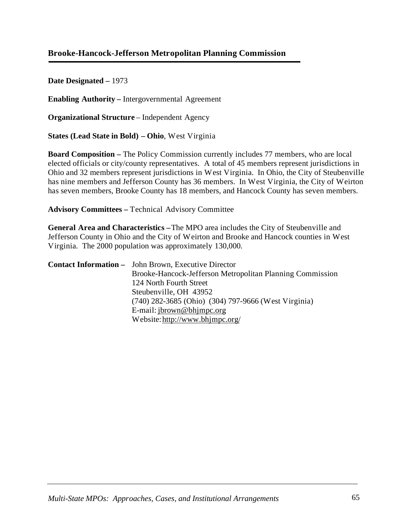## **Brooke-Hancock-Jefferson Metropolitan Planning Commission**

**Date Designated –** 1973

**Enabling Authority –** Intergovernmental Agreement

**Organizational Structure** – Independent Agency

**States (Lead State in Bold) – Ohio**, West Virginia

**Board Composition –** The Policy Commission currently includes 77 members, who are local elected officials or city/county representatives. A total of 45 members represent jurisdictions in Ohio and 32 members represent jurisdictions in West Virginia. In Ohio, the City of Steubenville has nine members and Jefferson County has 36 members. In West Virginia, the City of Weirton has seven members, Brooke County has 18 members, and Hancock County has seven members.

**Advisory Committees –** Technical Advisory Committee

**General Area and Characteristics –** The MPO area includes the City of Steubenville and Jefferson County in Ohio and the City of Weirton and Brooke and Hancock counties in West Virginia. The 2000 population was approximately 130,000.

| <b>Contact Information -</b> John Brown, Executive Director |
|-------------------------------------------------------------|
| Brooke-Hancock-Jefferson Metropolitan Planning Commission   |
| 124 North Fourth Street                                     |
| Steubenville, OH 43952                                      |
| (740) 282-3685 (Ohio) (304) 797-9666 (West Virginia)        |
| E-mail: $ibrown@bhimpc.org$                                 |
| Website: http://www.bhjmpc.org/                             |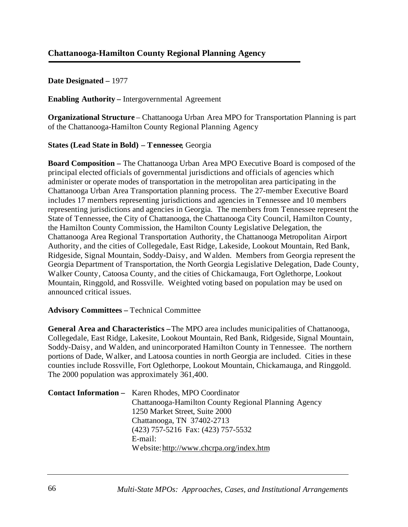**Enabling Authority –** Intergovernmental Agreement

**Organizational Structure** – Chattanooga Urban Area MPO for Transportation Planning is part of the Chattanooga-Hamilton County Regional Planning Agency

### **States (Lead State in Bold) – Tennessee**, Georgia

**Board Composition –** The Chattanooga Urban Area MPO Executive Board is composed of the principal elected officials of governmental jurisdictions and officials of agencies which administer or operate modes of transportation in the metropolitan area participating in the Chattanooga Urban Area Transportation planning process. The 27-member Executive Board includes 17 members representing jurisdictions and agencies in Tennessee and 10 members representing jurisdictions and agencies in Georgia. The members from Tennessee represent the State of Tennessee, the City of Chattanooga, the Chattanooga City Council, Hamilton County, the Hamilton County Commission, the Hamilton County Legislative Delegation, the Chattanooga Area Regional Transportation Authority, the Chattanooga Metropolitan Airport Authority, and the cities of Collegedale, East Ridge, Lakeside, Lookout Mountain, Red Bank, Ridgeside, Signal Mountain, Soddy-Daisy, and Walden. Members from Georgia represent the Georgia Department of Transportation, the North Georgia Legislative Delegation, Dade County, Walker County, Catoosa County, and the cities of Chickamauga, Fort Oglethorpe, Lookout Mountain, Ringgold, and Rossville. Weighted voting based on population may be used on announced critical issues.

### **Advisory Committees –** Technical Committee

**General Area and Characteristics –** The MPO area includes municipalities of Chattanooga, Collegedale, East Ridge, Lakesite, Lookout Mountain, Red Bank, Ridgeside, Signal Mountain, Soddy-Daisy, and Walden, and unincorporated Hamilton County in Tennessee. The northern portions of Dade, Walker, and Latoosa counties in north Georgia are included. Cities in these counties include Rossville, Fort Oglethorpe, Lookout Mountain, Chickamauga, and Ringgold. The 2000 population was approximately 361,400.

| <b>Contact Information - Karen Rhodes, MPO Coordinator</b> |
|------------------------------------------------------------|
| Chattanooga-Hamilton County Regional Planning Agency       |
| 1250 Market Street, Suite 2000                             |
| Chattanooga, TN 37402-2713                                 |
| (423) 757-5216 Fax: (423) 757-5532                         |
| E-mail:                                                    |
| Website: http://www.chcrpa.org/index.htm                   |
|                                                            |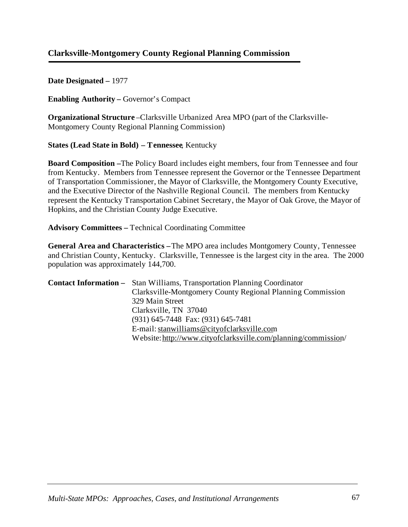## **Clarksville-Montgomery County Regional Planning Commission**

**Date Designated –** 1977

**Enabling Authority –** Governor's Compact

**Organizational Structure** –Clarksville Urbanized Area MPO (part of the Clarksville-Montgomery County Regional Planning Commission)

**States (Lead State in Bold) – Tennessee**, Kentucky

**Board Composition –**The Policy Board includes eight members, four from Tennessee and four from Kentucky. Members from Tennessee represent the Governor or the Tennessee Department of Transportation Commissioner, the Mayor of Clarksville, the Montgomery County Executive, and the Executive Director of the Nashville Regional Council. The members from Kentucky represent the Kentucky Transportation Cabinet Secretary, the Mayor of Oak Grove, the Mayor of Hopkins, and the Christian County Judge Executive.

**Advisory Committees –** Technical Coordinating Committee

**General Area and Characteristics –**The MPO area includes Montgomery County, Tennessee and Christian County, Kentucky. Clarksville, Tennessee is the largest city in the area. The 2000 population was approximately 144,700.

| <b>Contact Information –</b> Stan Williams, Transportation Planning Coordinator |
|---------------------------------------------------------------------------------|
| Clarksville-Montgomery County Regional Planning Commission                      |
| 329 Main Street                                                                 |
| Clarksville, TN 37040                                                           |
| (931) 645-7448 Fax: (931) 645-7481                                              |
| E-mail: stanwilliams@cityofclarksville.com                                      |
| Website: http://www.cityofclarksville.com/planning/commission/                  |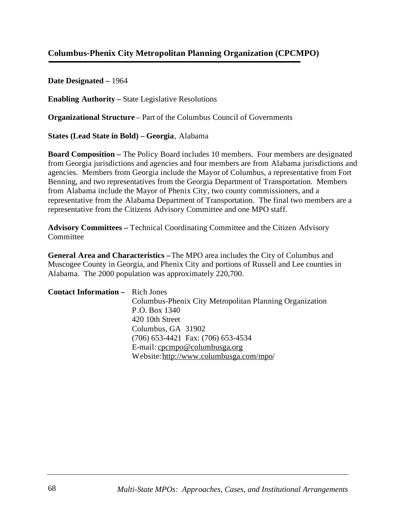# **Columbus-Phenix City Metropolitan Planning Organization (CPCMPO)**

**Date Designated –** 1964

**Enabling Authority –** State Legislative Resolutions

**Organizational Structure** – Part of the Columbus Council of Governments

**States (Lead State in Bold) – Georgia**, Alabama

**Board Composition –** The Policy Board includes 10 members. Four members are designated from Georgia jurisdictions and agencies and four members are from Alabama jurisdictions and agencies. Members from Georgia include the Mayor of Columbus, a representative from Fort Benning, and two representatives from the Georgia Department of Transportation. Members from Alabama include the Mayor of Phenix City, two county commissioners, and a representative from the Alabama Department of Transportation. The final two members are a representative from the Citizens Advisory Committee and one MPO staff.

**Advisory Committees –** Technical Coordinating Committee and the Citizen Advisory **Committee** 

**General Area and Characteristics –** The MPO area includes the City of Columbus and Muscogee County in Georgia, and Phenix City and portions of Russell and Lee counties in Alabama. The 2000 population was approximately 220,700.

**Contact Information –** Rich Jones Columbus-Phenix City Metropolitan Planning Organization P.O. Box 1340 420 10th Street Columbus, GA 31902 (706) 653-4421 Fax: (706) 653-4534 E-mail: [cpcmpo@columbusga.org](mailto:cpcmpo@columbusga.org) Website:<http://www.columbusga.com/mpo/>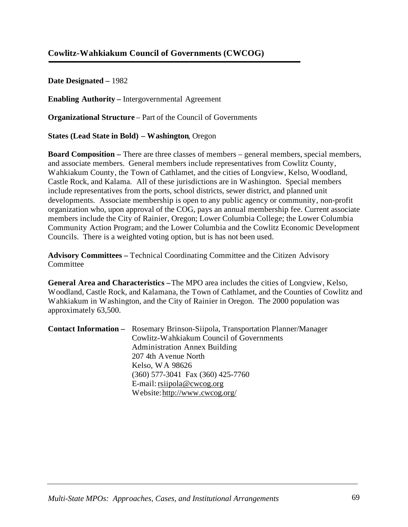## **Cowlitz-Wahkiakum Council of Governments (CWCOG)**

**Date Designated –** 1982

**Enabling Authority –** Intergovernmental Agreement

**Organizational Structure** – Part of the Council of Governments

**States (Lead State in Bold) – Washington**, Oregon

**Board Composition –** There are three classes of members – general members, special members, and associate members. General members include representatives from Cowlitz County, Wahkiakum County, the Town of Cathlamet, and the cities of Longview, Kelso, Woodland, Castle Rock, and Kalama. All of these jurisdictions are in Washington. Special members include representatives from the ports, school districts, sewer district, and planned unit developments. Associate membership is open to any public agency or community, non-profit organization who, upon approval of the COG, pays an annual membership fee. Current associate members include the City of Rainier, Oregon; Lower Columbia College; the Lower Columbia Community Action Program; and the Lower Columbia and the Cowlitz Economic Development Councils. There is a weighted voting option, but is has not been used.

**Advisory Committees –** Technical Coordinating Committee and the Citizen Advisory **Committee** 

**General Area and Characteristics –** The MPO area includes the cities of Longview, Kelso, Woodland, Castle Rock, and Kalamana, the Town of Cathlamet, and the Counties of Cowlitz and Wahkiakum in Washington, and the City of Rainier in Oregon. The 2000 population was approximately 63,500.

| <b>Contact Information –</b> Rosemary Brinson-Siipola, Transportation Planner/Manager |
|---------------------------------------------------------------------------------------|
| Cowlitz-Wahkiakum Council of Governments                                              |
| <b>Administration Annex Building</b>                                                  |
| 207 4th Avenue North                                                                  |
| Kelso, WA 98626                                                                       |
| $(360)$ 577-3041 Fax $(360)$ 425-7760                                                 |
| E-mail: $rsijpola@cwcog.org$                                                          |
| Website: http://www.cwcog.org/                                                        |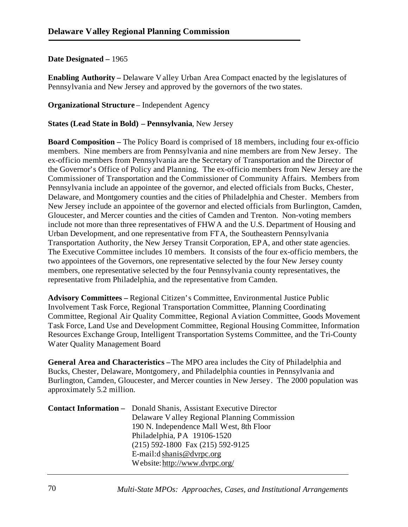**Enabling Authority –** Delaware Valley Urban Area Compact enacted by the legislatures of Pennsylvania and New Jersey and approved by the governors of the two states.

**Organizational Structure** – Independent Agency

**States (Lead State in Bold) – Pennsylvania**, New Jersey

**Board Composition –** The Policy Board is comprised of 18 members, including four ex-officio members. Nine members are from Pennsylvania and nine members are from New Jersey. The ex-officio members from Pennsylvania are the Secretary of Transportation and the Director of the Governor's Office of Policy and Planning. The ex-officio members from New Jersey are the Commissioner of Transportation and the Commissioner of Community Affairs. Members from Pennsylvania include an appointee of the governor, and elected officials from Bucks, Chester, Delaware, and Montgomery counties and the cities of Philadelphia and Chester. Members from New Jersey include an appointee of the governor and elected officials from Burlington, Camden, Gloucester, and Mercer counties and the cities of Camden and Trenton. Non-voting members include not more than three representatives of FHWA and the U.S. Department of Housing and Urban Development, and one representative from FTA, the Southeastern Pennsylvania Transportation Authority, the New Jersey Transit Corporation, EPA, and other state agencies. The Executive Committee includes 10 members. It consists of the four ex-officio members, the two appointees of the Governors, one representative selected by the four New Jersey county members, one representative selected by the four Pennsylvania county representatives, the representative from Philadelphia, and the representative from Camden.

**Advisory Committees –** Regional Citizen's Committee, Environmental Justice Public Involvement Task Force, Regional Transportation Committee, Planning Coordinating Committee, Regional Air Quality Committee, Regional Aviation Committee, Goods Movement Task Force, Land Use and Development Committee, Regional Housing Committee, Information Resources Exchange Group, Intelligent Transportation Systems Committee, and the Tri-County Water Quality Management Board

**General Area and Characteristics –** The MPO area includes the City of Philadelphia and Bucks, Chester, Delaware, Montgomery, and Philadelphia counties in Pennsylvania and Burlington, Camden, Gloucester, and Mercer counties in New Jersey. The 2000 population was approximately 5.2 million.

| <b>Contact Information -</b> Donald Shanis, Assistant Executive Director |
|--------------------------------------------------------------------------|
| Delaware Valley Regional Planning Commission                             |
| 190 N. Independence Mall West, 8th Floor                                 |
| Philadelphia, PA 19106-1520                                              |
| $(215)$ 592-1800 Fax $(215)$ 592-9125                                    |
| E-mail: $d$ shan is @ dvrpc.org                                          |
| Website: http://www.dvrpc.org/                                           |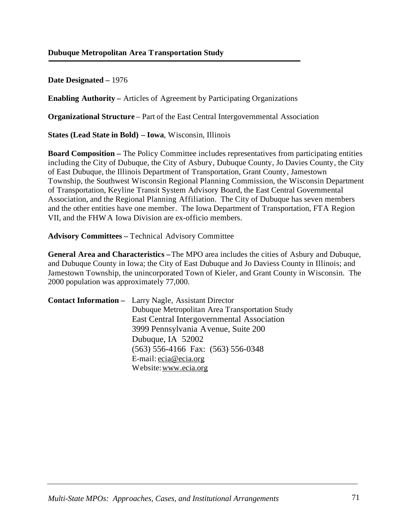**Enabling Authority –** Articles of Agreement by Participating Organizations

**Organizational Structure** – Part of the East Central Intergovernmental Association

**States (Lead State in Bold) – Iowa**, Wisconsin, Illinois

**Board Composition –** The Policy Committee includes representatives from participating entities including the City of Dubuque, the City of Asbury, Dubuque County, Jo Davies County, the City of East Dubuque, the Illinois Department of Transportation, Grant County, Jamestown Township, the Southwest Wisconsin Regional Planning Commission, the Wisconsin Department of Transportation, Keyline Transit System Advisory Board, the East Central Governmental Association, and the Regional Planning Affiliation. The City of Dubuque has seven members and the other entities have one member. The Iowa Department of Transportation, FTA Region VII, and the FHWA Iowa Division are ex-officio members.

**Advisory Committees –** Technical Advisory Committee

**General Area and Characteristics –**The MPO area includes the cities of Asbury and Dubuque, and Dubuque County in Iowa; the City of East Dubuque and Jo Daviess County in Illinois; and Jamestown Township, the unincorporated Town of Kieler, and Grant County in Wisconsin. The 2000 population was approximately 77,000.

| <b>Contact Information –</b> Larry Nagle, Assistant Director |
|--------------------------------------------------------------|
| Dubuque Metropolitan Area Transportation Study               |
| East Central Intergovernmental Association                   |
| 3999 Pennsylvania Avenue, Suite 200                          |
| Dubuque, IA 52002                                            |
| $(563)$ 556-4166 Fax: $(563)$ 556-0348                       |
| E-mail: $ecia@ecia.org$                                      |
| Website: www.ecia.org                                        |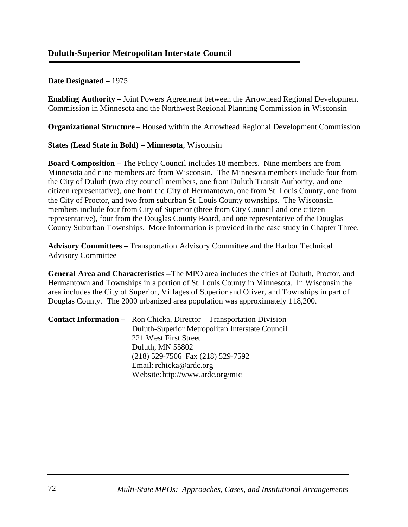**Enabling Authority –** Joint Powers Agreement between the Arrowhead Regional Development Commission in Minnesota and the Northwest Regional Planning Commission in Wisconsin

**Organizational Structure** – Housed within the Arrowhead Regional Development Commission

#### **States (Lead State in Bold) – Minnesota**, Wisconsin

**Board Composition –** The Policy Council includes 18 members. Nine members are from Minnesota and nine members are from Wisconsin. The Minnesota members include four from the City of Duluth (two city council members, one from Duluth Transit Authority, and one citizen representative), one from the City of Hermantown, one from St. Louis County, one from the City of Proctor, and two from suburban St. Louis County townships. The Wisconsin members include four from City of Superior (three from City Council and one citizen representative), four from the Douglas County Board, and one representative of the Douglas County Suburban Townships. More information is provided in the case study in Chapter Three.

**Advisory Committees –** Transportation Advisory Committee and the Harbor Technical Advisory Committee

**General Area and Characteristics –** The MPO area includes the cities of Duluth, Proctor, and Hermantown and Townships in a portion of St. Louis County in Minnesota. In Wisconsin the area includes the City of Superior, Villages of Superior and Oliver, and Townships in part of Douglas County. The 2000 urbanized area population was approximately 118,200.

| <b>Contact Information –</b> Ron Chicka, Director – Transportation Division |
|-----------------------------------------------------------------------------|
| Duluth-Superior Metropolitan Interstate Council                             |
| 221 West First Street                                                       |
| Duluth, MN 55802                                                            |
| $(218)$ 529-7506 Fax $(218)$ 529-7592                                       |
| Email: rchicka@ardc.org                                                     |
| Website: http://www.ardc.org/mic                                            |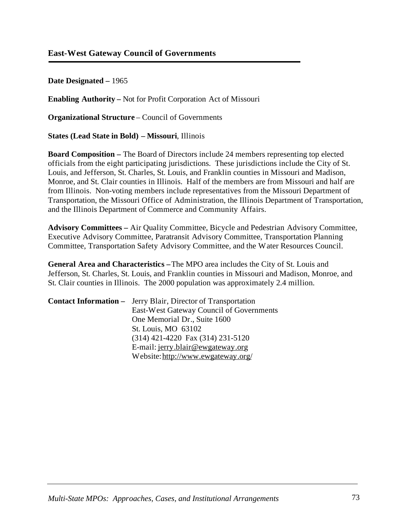### **East-West Gateway Council of Governments**

**Date Designated –** 1965

**Enabling Authority –** Not for Profit Corporation Act of Missouri

**Organizational Structure** – Council of Governments

**States (Lead State in Bold) – Missouri**, Illinois

**Board Composition –** The Board of Directors include 24 members representing top elected officials from the eight participating jurisdictions. These jurisdictions include the City of St. Louis, and Jefferson, St. Charles, St. Louis, and Franklin counties in Missouri and Madison, Monroe, and St. Clair counties in Illinois. Half of the members are from Missouri and half are from Illinois. Non-voting members include representatives from the Missouri Department of Transportation, the Missouri Office of Administration, the Illinois Department of Transportation, and the Illinois Department of Commerce and Community Affairs.

**Advisory Committees –** Air Quality Committee, Bicycle and Pedestrian Advisory Committee, Executive Advisory Committee, Paratransit Advisory Committee, Transportation Planning Committee, Transportation Safety Advisory Committee, and the Water Resources Council.

**General Area and Characteristics –**The MPO area includes the City of St. Louis and Jefferson, St. Charles, St. Louis, and Franklin counties in Missouri and Madison, Monroe, and St. Clair counties in Illinois. The 2000 population was approximately 2.4 million.

| <b>Contact Information –</b> Jerry Blair, Director of Transportation |
|----------------------------------------------------------------------|
| East-West Gateway Council of Governments                             |
| One Memorial Dr., Suite 1600                                         |
| St. Louis, MO 63102                                                  |
| $(314)$ 421-4220 Fax $(314)$ 231-5120                                |
| E-mail: jerry.blair@ewgateway.org                                    |
| Website: http://www.ewgateway.org/                                   |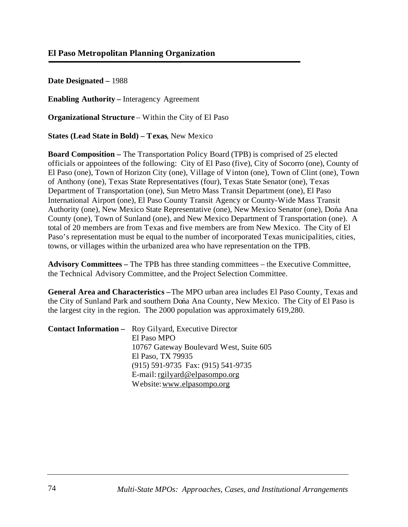**Enabling Authority –** Interagency Agreement

**Organizational Structure** – Within the City of El Paso

**States (Lead State in Bold) – Texas**, New Mexico

**Board Composition –** The Transportation Policy Board (TPB) is comprised of 25 elected officials or appointees of the following: City of El Paso (five), City of Socorro (one), County of El Paso (one), Town of Horizon City (one), Village of Vinton (one), Town of Clint (one), Town of Anthony (one), Texas State Representatives (four), Texas State Senator (one), Texas Department of Transportation (one), Sun Metro Mass Transit Department (one), El Paso International Airport (one), El Paso County Transit Agency or County-Wide Mass Transit Authority (one), New Mexico State Representative (one), New Mexico Senator (one), Dońa Ana County (one), Town of Sunland (one), and New Mexico Department of Transportation (one). A total of 20 members are from Texas and five members are from New Mexico. The City of El Paso's representation must be equal to the number of incorporated Texas municipalities, cities, towns, or villages within the urbanized area who have representation on the TPB.

**Advisory Committees –** The TPB has three standing committees – the Executive Committee, the Technical Advisory Committee, and the Project Selection Committee.

**General Area and Characteristics –** The MPO urban area includes El Paso County, Texas and the City of Sunland Park and southern Dońa Ana County, New Mexico. The City of El Paso is the largest city in the region. The 2000 population was approximately 619,280.

| <b>Contact Information -</b> Roy Gilyard, Executive Director |
|--------------------------------------------------------------|
| El Paso MPO                                                  |
| 10767 Gateway Boulevard West, Suite 605                      |
| El Paso, TX 79935                                            |
| (915) 591-9735 Fax: (915) 541-9735                           |
| E-mail: $\text{rgilyard@elpasompo.org}$                      |
| Website: www.elpasompo.org                                   |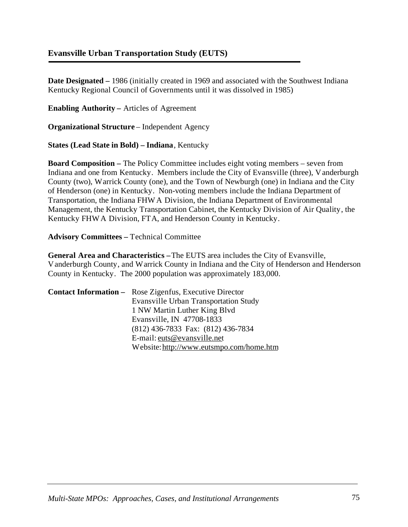## **Evansville Urban Transportation Study (EUTS)**

**Date Designated –** 1986 (initially created in 1969 and associated with the Southwest Indiana Kentucky Regional Council of Governments until it was dissolved in 1985)

**Enabling Authority –** Articles of Agreement

**Organizational Structure** – Independent Agency

**States (Lead State in Bold) – Indiana**, Kentucky

**Board Composition –** The Policy Committee includes eight voting members – seven from Indiana and one from Kentucky. Members include the City of Evansville (three), Vanderburgh County (two), Warrick County (one), and the Town of Newburgh (one) in Indiana and the City of Henderson (one) in Kentucky. Non-voting members include the Indiana Department of Transportation, the Indiana FHWA Division, the Indiana Department of Environmental Management, the Kentucky Transportation Cabinet, the Kentucky Division of Air Quality, the Kentucky FHWA Division, FTA, and Henderson County in Kentucky.

**Advisory Committees –** Technical Committee

**General Area and Characteristics –**The EUTS area includes the City of Evansville, Vanderburgh County, and Warrick County in Indiana and the City of Henderson and Henderson County in Kentucky. The 2000 population was approximately 183,000.

| <b>Contact Information -</b> Rose Zigenfus, Executive Director |
|----------------------------------------------------------------|
| <b>Evansville Urban Transportation Study</b>                   |
| 1 NW Martin Luther King Blvd                                   |
| Evansville, IN 47708-1833                                      |
| (812) 436-7833 Fax: (812) 436-7834                             |
| E-mail: euts@evansville.net                                    |
| Website: http://www.eutsmpo.com/home.htm                       |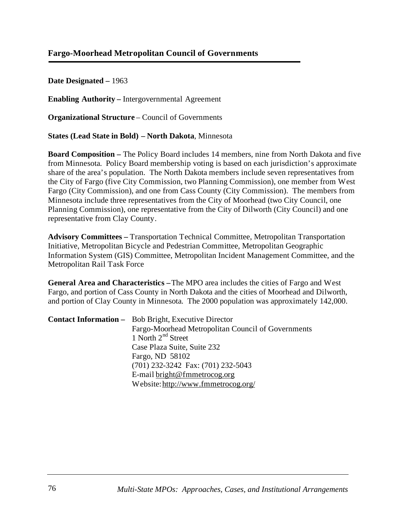## **Fargo-Moorhead Metropolitan Council of Governments**

**Date Designated –** 1963

**Enabling Authority –** Intergovernmental Agreement

**Organizational Structure** – Council of Governments

**States (Lead State in Bold) – North Dakota**, Minnesota

**Board Composition –** The Policy Board includes 14 members, nine from North Dakota and five from Minnesota. Policy Board membership voting is based on each jurisdiction's approximate share of the area's population. The North Dakota members include seven representatives from the City of Fargo (five City Commission, two Planning Commission), one member from West Fargo (City Commission), and one from Cass County (City Commission). The members from Minnesota include three representatives from the City of Moorhead (two City Council, one Planning Commission), one representative from the City of Dilworth (City Council) and one representative from Clay County.

**Advisory Committees –** Transportation Technical Committee, Metropolitan Transportation Initiative, Metropolitan Bicycle and Pedestrian Committee, Metropolitan Geographic Information System (GIS) Committee, Metropolitan Incident Management Committee, and the Metropolitan Rail Task Force

**General Area and Characteristics –**The MPO area includes the cities of Fargo and West Fargo, and portion of Cass County in North Dakota and the cities of Moorhead and Dilworth, and portion of Clay County in Minnesota. The 2000 population was approximately 142,000.

| <b>Contact Information –</b> Bob Bright, Executive Director |
|-------------------------------------------------------------|
| Fargo-Moorhead Metropolitan Council of Governments          |
| 1 North $2nd$ Street                                        |
| Case Plaza Suite, Suite 232                                 |
| Fargo, ND 58102                                             |
| (701) 232-3242 Fax: (701) 232-5043                          |
| E-mail bright@fmmetrocog.org                                |
| Website: http://www.fmmetrocog.org/                         |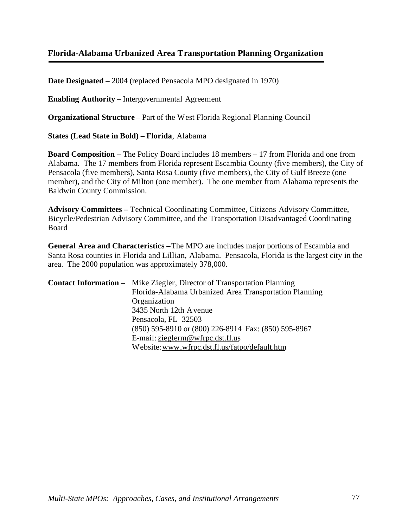# **Florida-Alabama Urbanized Area Transportation Planning Organization**

**Date Designated –** 2004 (replaced Pensacola MPO designated in 1970)

**Enabling Authority –** Intergovernmental Agreement

**Organizational Structure** – Part of the West Florida Regional Planning Council

**States (Lead State in Bold) – Florida**, Alabama

**Board Composition –** The Policy Board includes 18 members – 17 from Florida and one from Alabama. The 17 members from Florida represent Escambia County (five members), the City of Pensacola (five members), Santa Rosa County (five members), the City of Gulf Breeze (one member), and the City of Milton (one member). The one member from Alabama represents the Baldwin County Commission.

**Advisory Committees –** Technical Coordinating Committee, Citizens Advisory Committee, Bicycle/Pedestrian Advisory Committee, and the Transportation Disadvantaged Coordinating Board

**General Area and Characteristics –**The MPO are includes major portions of Escambia and Santa Rosa counties in Florida and Lillian, Alabama. Pensacola, Florida is the largest city in the area. The 2000 population was approximately 378,000.

| <b>Contact Information –</b> Mike Ziegler, Director of Transportation Planning |
|--------------------------------------------------------------------------------|
| Florida-Alabama Urbanized Area Transportation Planning                         |
| Organization                                                                   |
| 3435 North 12th Avenue                                                         |
| Pensacola, FL 32503                                                            |
| (850) 595-8910 or (800) 226-8914 Fax: (850) 595-8967                           |
| E-mail: zieglerm@wfrpc.dst.fl.us                                               |
| Website: www.wfrpc.dst.fl.us/fatpo/default.htm                                 |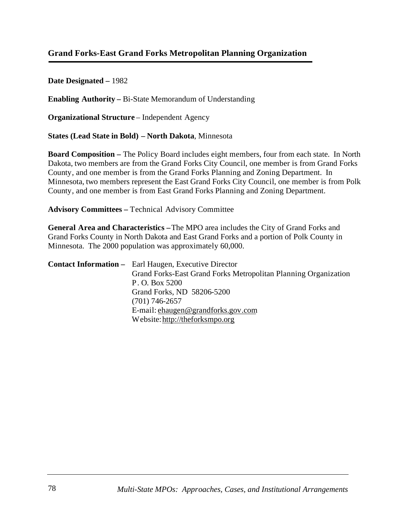# **Grand Forks-East Grand Forks Metropolitan Planning Organization**

**Date Designated –** 1982

**Enabling Authority –** Bi-State Memorandum of Understanding

**Organizational Structure** – Independent Agency

**States (Lead State in Bold) – North Dakota**, Minnesota

**Board Composition –** The Policy Board includes eight members, four from each state. In North Dakota, two members are from the Grand Forks City Council, one member is from Grand Forks County, and one member is from the Grand Forks Planning and Zoning Department. In Minnesota, two members represent the East Grand Forks City Council, one member is from Polk County, and one member is from East Grand Forks Planning and Zoning Department.

**Advisory Committees –** Technical Advisory Committee

**General Area and Characteristics –**The MPO area includes the City of Grand Forks and Grand Forks County in North Dakota and East Grand Forks and a portion of Polk County in Minnesota. The 2000 population was approximately 60,000.

| <b>Contact Information</b> – Earl Haugen, Executive Director    |
|-----------------------------------------------------------------|
| Grand Forks-East Grand Forks Metropolitan Planning Organization |
| P. O. Box 5200                                                  |
| Grand Forks, ND 58206-5200                                      |
| $(701)$ 746-2657                                                |
| E-mail: ehaugen@grandforks.gov.com                              |
| Website: http://theforksmpo.org                                 |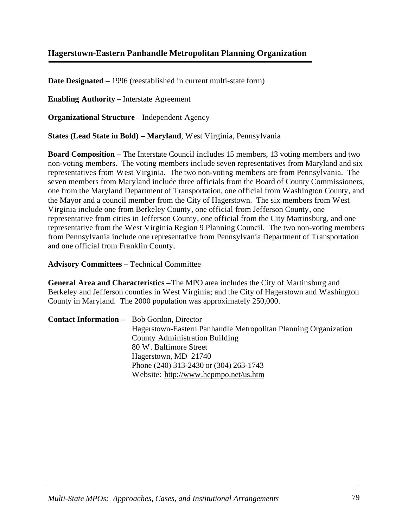# **Hagerstown-Eastern Panhandle Metropolitan Planning Organization**

**Date Designated –** 1996 (reestablished in current multi-state form)

**Enabling Authority –** Interstate Agreement

**Organizational Structure** – Independent Agency

**States (Lead State in Bold) – Maryland**, West Virginia, Pennsylvania

**Board Composition –** The Interstate Council includes 15 members, 13 voting members and two non-voting members. The voting members include seven representatives from Maryland and six representatives from West Virginia. The two non-voting members are from Pennsylvania. The seven members from Maryland include three officials from the Board of County Commissioners, one from the Maryland Department of Transportation, one official from Washington County, and the Mayor and a council member from the City of Hagerstown. The six members from West Virginia include one from Berkeley County, one official from Jefferson County, one representative from cities in Jefferson County, one official from the City Martinsburg, and one representative from the West Virginia Region 9 Planning Council. The two non-voting members from Pennsylvania include one representative from Pennsylvania Department of Transportation and one official from Franklin County.

**Advisory Committees –** Technical Committee

**General Area and Characteristics –** The MPO area includes the City of Martinsburg and Berkeley and Jefferson counties in West Virginia; and the City of Hagerstown and Washington County in Maryland. The 2000 population was approximately 250,000.

| <b>Contact Information -</b> Bob Gordon, Director |                                                                 |
|---------------------------------------------------|-----------------------------------------------------------------|
|                                                   | Hagerstown-Eastern Panhandle Metropolitan Planning Organization |
|                                                   | <b>County Administration Building</b>                           |
|                                                   | 80 W. Baltimore Street                                          |
|                                                   | Hagerstown, MD 21740                                            |
|                                                   | Phone (240) 313-2430 or (304) 263-1743                          |
|                                                   | Website: http://www.hepmpo.net/us.htm                           |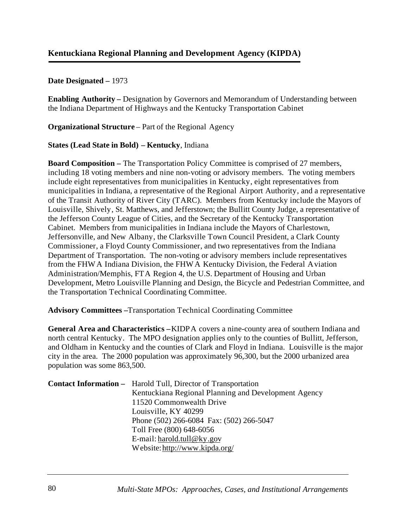**Enabling Authority –** Designation by Governors and Memorandum of Understanding between the Indiana Department of Highways and the Kentucky Transportation Cabinet

**Organizational Structure** – Part of the Regional Agency

#### **States (Lead State in Bold) – Kentucky**, Indiana

**Board Composition –** The Transportation Policy Committee is comprised of 27 members, including 18 voting members and nine non-voting or advisory members. The voting members include eight representatives from municipalities in Kentucky, eight representatives from municipalities in Indiana, a representative of the Regional Airport Authority, and a representative of the Transit Authority of River City (TARC). Members from Kentucky include the Mayors of Louisville, Shively, St. Matthews, and Jefferstown; the Bullitt County Judge, a representative of the Jefferson County League of Cities, and the Secretary of the Kentucky Transportation Cabinet. Members from municipalities in Indiana include the Mayors of Charlestown, Jeffersonville, and New Albany, the Clarksville Town Council President, a Clark County Commissioner, a Floyd County Commissioner, and two representatives from the Indiana Department of Transportation. The non-voting or advisory members include representatives from the FHWA Indiana Division, the FHWA Kentucky Division, the Federal Aviation Administration/Memphis, FTA Region 4, the U.S. Department of Housing and Urban Development, Metro Louisville Planning and Design, the Bicycle and Pedestrian Committee, and the Transportation Technical Coordinating Committee.

**Advisory Committees –**Transportation Technical Coordinating Committee

**General Area and Characteristics –** KIDPA covers a nine-county area of southern Indiana and north central Kentucky. The MPO designation applies only to the counties of Bullitt, Jefferson, and Oldham in Kentucky and the counties of Clark and Floyd in Indiana. Louisville is the major city in the area. The 2000 population was approximately 96,300, but the 2000 urbanized area population was some 863,500.

| <b>Contact Information -</b> Harold Tull, Director of Transportation                                                                                                                                                                                                                                                                                                                                                                                                              |
|-----------------------------------------------------------------------------------------------------------------------------------------------------------------------------------------------------------------------------------------------------------------------------------------------------------------------------------------------------------------------------------------------------------------------------------------------------------------------------------|
| Kentuckiana Regional Planning and Development Agency                                                                                                                                                                                                                                                                                                                                                                                                                              |
| 11520 Commonwealth Drive                                                                                                                                                                                                                                                                                                                                                                                                                                                          |
| Louisville, KY 40299                                                                                                                                                                                                                                                                                                                                                                                                                                                              |
| Phone (502) 266-6084 Fax: (502) 266-5047                                                                                                                                                                                                                                                                                                                                                                                                                                          |
| Toll Free (800) 648-6056                                                                                                                                                                                                                                                                                                                                                                                                                                                          |
| E-mail: $\frac{h \cdot \text{d} \cdot \text{d} \cdot \text{d} \cdot \text{d} \cdot \text{d} \cdot \text{d} \cdot \text{d} \cdot \text{d} \cdot \text{d} \cdot \text{d} \cdot \text{d} \cdot \text{d} \cdot \text{d} \cdot \text{d} \cdot \text{d} \cdot \text{d} \cdot \text{d} \cdot \text{d} \cdot \text{d} \cdot \text{d} \cdot \text{d} \cdot \text{d} \cdot \text{d} \cdot \text{d} \cdot \text{d} \cdot \text{d} \cdot \text{d} \cdot \text{d} \cdot \text{d} \cdot \text{$ |
| Website: http://www.kipda.org/                                                                                                                                                                                                                                                                                                                                                                                                                                                    |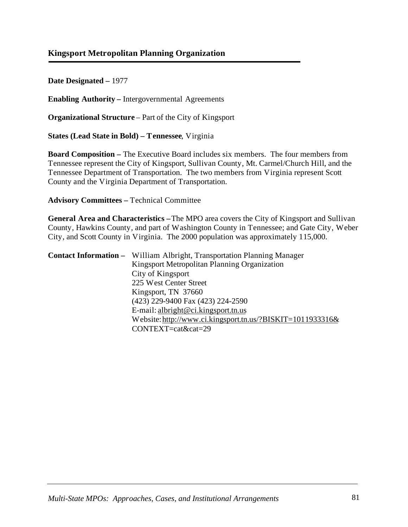## **Kingsport Metropolitan Planning Organization**

**Date Designated –** 1977

**Enabling Authority –** Intergovernmental Agreements

**Organizational Structure** – Part of the City of Kingsport

**States (Lead State in Bold) – Tennessee**, Virginia

**Board Composition –** The Executive Board includes six members. The four members from Tennessee represent the City of Kingsport, Sullivan County, Mt. Carmel/Church Hill, and the Tennessee Department of Transportation. The two members from Virginia represent Scott County and the Virginia Department of Transportation.

**Advisory Committees –** Technical Committee

**General Area and Characteristics –**The MPO area covers the City of Kingsport and Sullivan County, Hawkins County, and part of Washington County in Tennessee; and Gate City, Weber City, and Scott County in Virginia. The 2000 population was approximately 115,000.

| <b>Contact Information –</b> William Albright, Transportation Planning Manager |
|--------------------------------------------------------------------------------|
| Kingsport Metropolitan Planning Organization                                   |
| City of Kingsport                                                              |
| 225 West Center Street                                                         |
| Kingsport, TN 37660                                                            |
| (423) 229-9400 Fax (423) 224-2590                                              |
| E-mail: albright@ci.kingsport.tn.us                                            |
| Website: http://www.ci.kingsport.tn.us/?BISKIT=1011933316&                     |
| CONTEXT=cat&cat=29                                                             |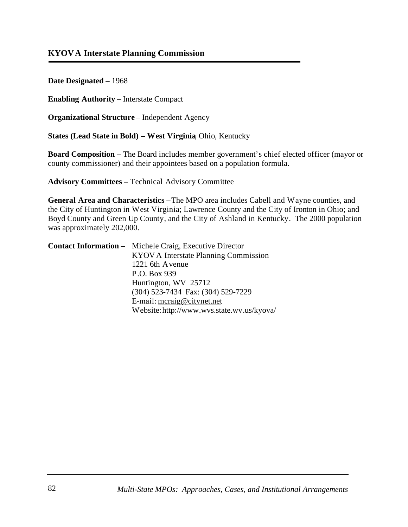**Enabling Authority –** Interstate Compact

**Organizational Structure** – Independent Agency

**States (Lead State in Bold) – West Virginia**, Ohio, Kentucky

**Board Composition –** The Board includes member government's chief elected officer (mayor or county commissioner) and their appointees based on a population formula.

**Advisory Committees –** Technical Advisory Committee

**General Area and Characteristics –**The MPO area includes Cabell and Wayne counties, and the City of Huntington in West Virginia; Lawrence County and the City of Ironton in Ohio; and Boyd County and Green Up County, and the City of Ashland in Kentucky. The 2000 population was approximately 202,000.

| <b>Contact Information -</b> Michele Craig, Executive Director |
|----------------------------------------------------------------|
| KYOV A Interstate Planning Commission                          |
| 1221 6th Avenue                                                |
| P.O. Box 939                                                   |
| Huntington, WV 25712                                           |
| (304) 523-7434 Fax: (304) 529-7229                             |
| E-mail: mcraig@citynet.net                                     |
| Website: http://www.wvs.state.wv.us/kyova/                     |
|                                                                |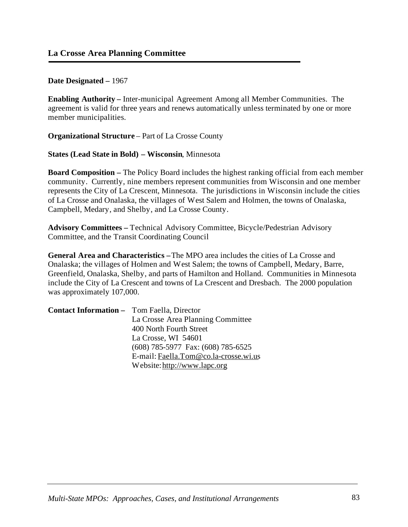**Enabling Authority –** Inter-municipal Agreement Among all Member Communities. The agreement is valid for three years and renews automatically unless terminated by one or more member municipalities.

**Organizational Structure** – Part of La Crosse County

**States (Lead State in Bold) – Wisconsin**, Minnesota

**Board Composition –** The Policy Board includes the highest ranking official from each member community. Currently, nine members represent communities from Wisconsin and one member represents the City of La Crescent, Minnesota. The jurisdictions in Wisconsin include the cities of La Crosse and Onalaska, the villages of West Salem and Holmen, the towns of Onalaska, Campbell, Medary, and Shelby, and La Crosse County.

**Advisory Committees –** Technical Advisory Committee, Bicycle/Pedestrian Advisory Committee, and the Transit Coordinating Council

**General Area and Characteristics –**The MPO area includes the cities of La Crosse and Onalaska; the villages of Holmen and West Salem; the towns of Campbell, Medary, Barre, Greenfield, Onalaska, Shelby, and parts of Hamilton and Holland. Communities in Minnesota include the City of La Crescent and towns of La Crescent and Dresbach. The 2000 population was approximately 107,000.

| <b>Contact Information - Tom Faella, Director</b> |                                        |
|---------------------------------------------------|----------------------------------------|
|                                                   | La Crosse Area Planning Committee      |
|                                                   | 400 North Fourth Street                |
|                                                   | La Crosse, WI 54601                    |
|                                                   | $(608)$ 785-5977 Fax: $(608)$ 785-6525 |
|                                                   | E-mail: Faella.Tom@co.la-crosse.wi.us  |
|                                                   | Website: http://www.lapc.org           |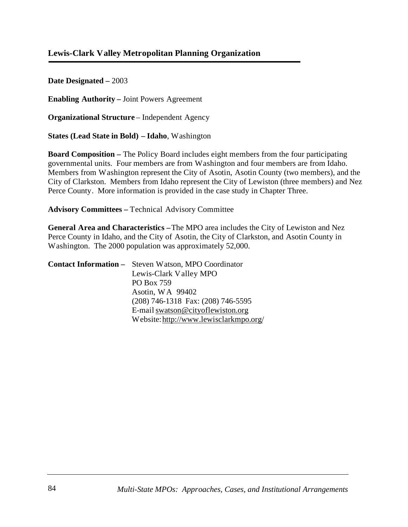### **Lewis-Clark Valley Metropolitan Planning Organization**

**Date Designated –** 2003

**Enabling Authority –** Joint Powers Agreement

**Organizational Structure** – Independent Agency

**States (Lead State in Bold) – Idaho**, Washington

**Board Composition –** The Policy Board includes eight members from the four participating governmental units. Four members are from Washington and four members are from Idaho. Members from Washington represent the City of Asotin, Asotin County (two members), and the City of Clarkston. Members from Idaho represent the City of Lewiston (three members) and Nez Perce County. More information is provided in the case study in Chapter Three.

**Advisory Committees –** Technical Advisory Committee

**General Area and Characteristics –**The MPO area includes the City of Lewiston and Nez Perce County in Idaho, and the City of Asotin, the City of Clarkston, and Asotin County in Washington. The 2000 population was approximately 52,000.

| <b>Contact Information -</b> Steven Watson, MPO Coordinator |
|-------------------------------------------------------------|
| Lewis-Clark Valley MPO                                      |
| PO Box 759                                                  |
| Asotin, WA 99402                                            |
| $(208)$ 746-1318 Fax: $(208)$ 746-5595                      |
| E-mail swatson@cityoflewiston.org                           |
| Website: http://www.lewisclarkmpo.org/                      |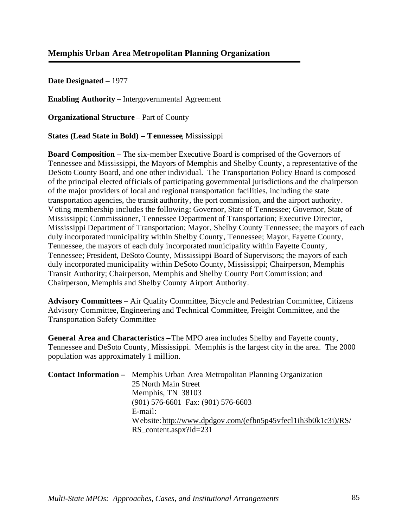## **Memphis Urban Area Metropolitan Planning Organization**

**Date Designated –** 1977

**Enabling Authority –** Intergovernmental Agreement

**Organizational Structure** – Part of County

**States (Lead State in Bold) – Tennessee**, Mississippi

**Board Composition –** The six-member Executive Board is comprised of the Governors of Tennessee and Mississippi, the Mayors of Memphis and Shelby County, a representative of the DeSoto County Board, and one other individual. The Transportation Policy Board is composed of the principal elected officials of participating governmental jurisdictions and the chairperson of the major providers of local and regional transportation facilities, including the state transportation agencies, the transit authority, the port commission, and the airport authority. Voting membership includes the following: Governor, State of Tennessee; Governor, State of Mississippi; Commissioner, Tennessee Department of Transportation; Executive Director, Mississippi Department of Transportation; Mayor, Shelby County Tennessee; the mayors of each duly incorporated municipality within Shelby County, Tennessee; Mayor, Fayette County, Tennessee, the mayors of each duly incorporated municipality within Fayette County, Tennessee; President, DeSoto County, Mississippi Board of Supervisors; the mayors of each duly incorporated municipality within DeSoto County, Mississippi; Chairperson, Memphis Transit Authority; Chairperson, Memphis and Shelby County Port Commission; and Chairperson, Memphis and Shelby County Airport Authority.

**Advisory Committees –** Air Quality Committee, Bicycle and Pedestrian Committee, Citizens Advisory Committee, Engineering and Technical Committee, Freight Committee, and the Transportation Safety Committee

**General Area and Characteristics –**The MPO area includes Shelby and Fayette county, Tennessee and DeSoto County, Mississippi. Memphis is the largest city in the area. The 2000 population was approximately 1 million.

| <b>Contact Information –</b> Memphis Urban Area Metropolitan Planning Organization |
|------------------------------------------------------------------------------------|
| 25 North Main Street                                                               |
| Memphis, TN 38103                                                                  |
| $(901)$ 576-6601 Fax: $(901)$ 576-6603                                             |
| E-mail:                                                                            |
| Website: http://www.dpdgov.com/(efbn5p45vfec11ih3b0k1c3i)/RS/                      |
| RS_content.aspx?id=231                                                             |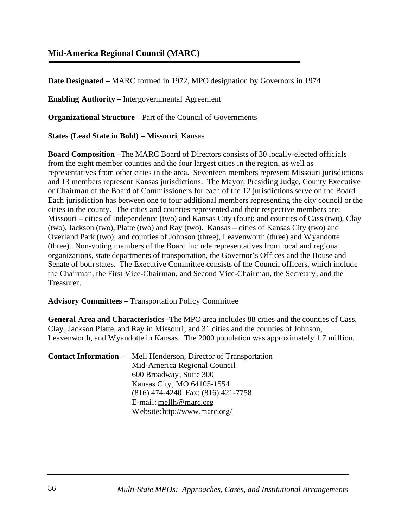## **Mid-America Regional Council (MARC)**

**Date Designated –** MARC formed in 1972, MPO designation by Governors in 1974

**Enabling Authority –** Intergovernmental Agreement

**Organizational Structure** – Part of the Council of Governments

**States (Lead State in Bold) – Missouri**, Kansas

**Board Composition –**The MARC Board of Directors consists of 30 locally-elected officials from the eight member counties and the four largest cities in the region, as well as representatives from other cities in the area. Seventeen members represent Missouri jurisdictions and 13 members represent Kansas jurisdictions. The Mayor, Presiding Judge, County Executive or Chairman of the Board of Commissioners for each of the 12 jurisdictions serve on the Board. Each jurisdiction has between one to four additional members representing the city council or the cities in the county. The cities and counties represented and their respective members are: Missouri – cities of Independence (two) and Kansas City (four); and counties of Cass (two), Clay (two), Jackson (two), Platte (two) and Ray (two). Kansas – cities of Kansas City (two) and Overland Park (two); and counties of Johnson (three), Leavenworth (three) and Wyandotte (three). Non-voting members of the Board include representatives from local and regional organizations, state departments of transportation, the Governor's Offices and the House and Senate of both states. The Executive Committee consists of the Council officers, which include the Chairman, the First Vice-Chairman, and Second Vice-Chairman, the Secretary, and the Treasurer.

**Advisory Committees –** Transportation Policy Committee

**General Area and Characteristics –**The MPO area includes 88 cities and the counties of Cass, Clay, Jackson Platte, and Ray in Missouri; and 31 cities and the counties of Johnson, Leavenworth, and Wyandotte in Kansas. The 2000 population was approximately 1.7 million.

| <b>Contact Information –</b> Mell Henderson, Director of Transportation |
|-------------------------------------------------------------------------|
| Mid-America Regional Council                                            |
| 600 Broadway, Suite 300                                                 |
| Kansas City, MO 64105-1554                                              |
| (816) 474-4240 Fax: (816) 421-7758                                      |
| E-mail: $mell \ \omega$ marc.org                                        |
| Website: http://www.marc.org/                                           |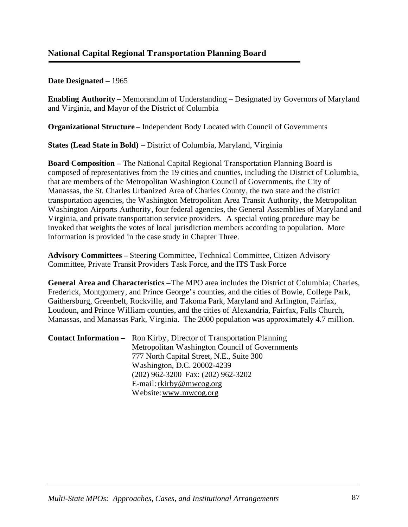**Enabling Authority –** Memorandum of Understanding – Designated by Governors of Maryland and Virginia, and Mayor of the District of Columbia

**Organizational Structure** – Independent Body Located with Council of Governments

**States (Lead State in Bold) –** District of Columbia, Maryland, Virginia

**Board Composition –** The National Capital Regional Transportation Planning Board is composed of representatives from the 19 cities and counties, including the District of Columbia, that are members of the Metropolitan Washington Council of Governments, the City of Manassas, the St. Charles Urbanized Area of Charles County, the two state and the district transportation agencies, the Washington Metropolitan Area Transit Authority, the Metropolitan Washington Airports Authority, four federal agencies, the General Assemblies of Maryland and Virginia, and private transportation service providers. A special voting procedure may be invoked that weights the votes of local jurisdiction members according to population. More information is provided in the case study in Chapter Three.

**Advisory Committees –** Steering Committee, Technical Committee, Citizen Advisory Committee, Private Transit Providers Task Force, and the ITS Task Force

**General Area and Characteristics –**The MPO area includes the District of Columbia; Charles, Frederick, Montgomery, and Prince George's counties, and the cities of Bowie, College Park, Gaithersburg, Greenbelt, Rockville, and Takoma Park, Maryland and Arlington, Fairfax, Loudoun, and Prince William counties, and the cities of Alexandria, Fairfax, Falls Church, Manassas, and Manassas Park, Virginia. The 2000 population was approximately 4.7 million.

**Contact Information –** Ron Kirby, Director of Transportation Planning Metropolitan Washington Council of Governments 777 North Capital Street, N.E., Suite 300 Washington, D.C. 20002-4239 (202) 962-3200 Fax: (202) 962-3202 E-mail: [rkirby@mwcog.org](mailto:rkirby@mwcog.org) Website: [www.mwcog.org](http://www.mwcog.org)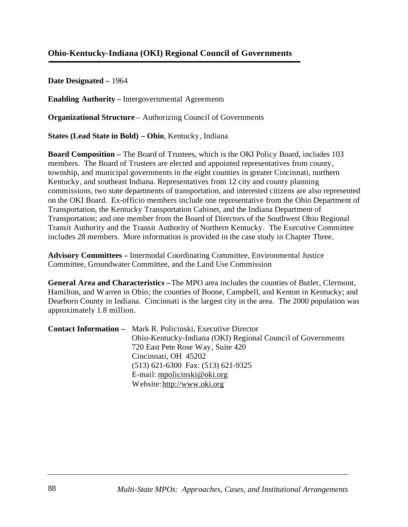## **Ohio-Kentucky-Indiana (OKI) Regional Council of Governments**

**Date Designated –** 1964

**Enabling Authority –** Intergovernmental Agreements

**Organizational Structure** – Authorizing Council of Governments

**States (Lead State in Bold) – Ohio**, Kentucky, Indiana

**Board Composition –** The Board of Trustees, which is the OKI Policy Board, includes 103 members. The Board of Trustees are elected and appointed representatives from county, township, and municipal governments in the eight counties in greater Cincinnati, northern Kentucky, and southeast Indiana. Representatives from 12 city and county planning commissions, two state departments of transportation, and interested citizens are also represented on the OKI Board. Ex-officio members include one representative from the Ohio Department of Transportation, the Kentucky Transportation Cabinet, and the Indiana Department of Transportation; and one member from the Board of Directors of the Southwest Ohio Regional Transit Authority and the Transit Authority of Northern Kentucky. The Executive Committee includes 28 members. More information is provided in the case study in Chapter Three.

**Advisory Committees –** Intermodal Coordinating Committee, Environmental Justice Committee, Groundwater Committee, and the Land Use Commission

**General Area and Characteristics –** The MPO area includes the counties of Butler, Clermont, Hamilton, and Warren in Ohio; the counties of Boone, Campbell, and Kenton in Kentucky; and Dearborn County in Indiana. Cincinnati is the largest city in the area. The 2000 population was approximately 1.8 million.

| <b>Contact Information –</b> Mark R. Policinski, Executive Director |
|---------------------------------------------------------------------|
| Ohio-Kentucky-Indiana (OKI) Regional Council of Governments         |
| 720 East Pete Rose Way, Suite 420                                   |
| Cincinnati, OH 45202                                                |
| $(513)$ 621-6300 Fax: $(513)$ 621-9325                              |
| E-mail: mpolicinski@oki.org                                         |
| Website: http://www.oki.org                                         |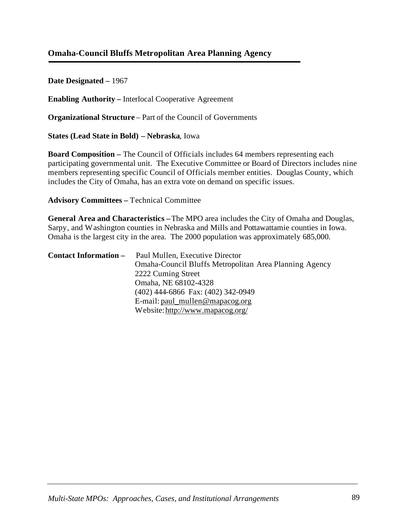## **Omaha-Council Bluffs Metropolitan Area Planning Agency**

**Date Designated –** 1967

**Enabling Authority –** Interlocal Cooperative Agreement

**Organizational Structure** – Part of the Council of Governments

**States (Lead State in Bold) – Nebraska**, Iowa

**Board Composition –** The Council of Officials includes 64 members representing each participating governmental unit. The Executive Committee or Board of Directors includes nine members representing specific Council of Officials member entities. Douglas County, which includes the City of Omaha, has an extra vote on demand on specific issues.

**Advisory Committees –** Technical Committee

**General Area and Characteristics –**The MPO area includes the City of Omaha and Douglas, Sarpy, and Washington counties in Nebraska and Mills and Pottawattamie counties in Iowa. Omaha is the largest city in the area. The 2000 population was approximately 685,000.

| <b>Contact Information –</b> | Paul Mullen, Executive Director                        |
|------------------------------|--------------------------------------------------------|
|                              | Omaha-Council Bluffs Metropolitan Area Planning Agency |
|                              | 2222 Cuming Street                                     |
|                              | Omaha, NE 68102-4328                                   |
|                              | (402) 444-6866 Fax: (402) 342-0949                     |
|                              | E-mail: $paul_mullen@mapacog.org$                      |
|                              | Website: http://www.mapacog.org/                       |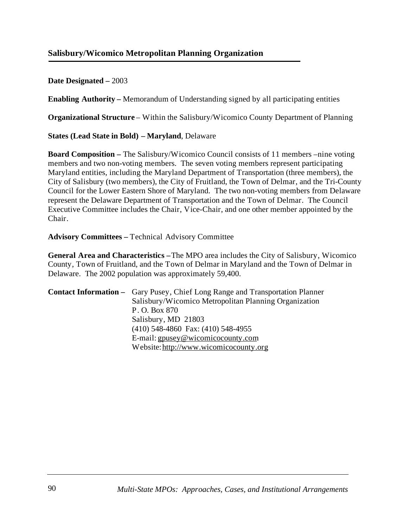## **Salisbury/Wicomico Metropolitan Planning Organization**

### **Date Designated –** 2003

**Enabling Authority –** Memorandum of Understanding signed by all participating entities

**Organizational Structure** – Within the Salisbury/Wicomico County Department of Planning

**States (Lead State in Bold) – Maryland**, Delaware

**Board Composition – The Salisbury/Wicomico Council consists of 11 members –nine voting** members and two non-voting members. The seven voting members represent participating Maryland entities, including the Maryland Department of Transportation (three members), the City of Salisbury (two members), the City of Fruitland, the Town of Delmar, and the Tri-County Council for the Lower Eastern Shore of Maryland. The two non-voting members from Delaware represent the Delaware Department of Transportation and the Town of Delmar. The Council Executive Committee includes the Chair, Vice-Chair, and one other member appointed by the Chair.

**Advisory Committees –** Technical Advisory Committee

**General Area and Characteristics –** The MPO area includes the City of Salisbury, Wicomico County, Town of Fruitland, and the Town of Delmar in Maryland and the Town of Delmar in Delaware. The 2002 population was approximately 59,400.

| <b>Contact Information –</b> Gary Pusey, Chief Long Range and Transportation Planner |
|--------------------------------------------------------------------------------------|
| Salisbury/Wicomico Metropolitan Planning Organization                                |
| P.O. Box 870                                                                         |
| Salisbury, MD 21803                                                                  |
| $(410)$ 548-4860 Fax: $(410)$ 548-4955                                               |
| E-mail: gpusey@wicomicocounty.com                                                    |
| Website: http://www.wicomicocounty.org                                               |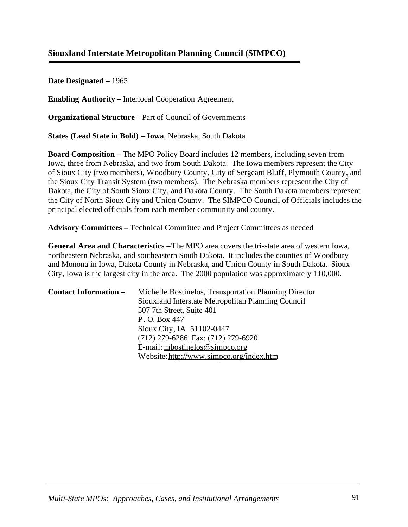# **Siouxland Interstate Metropolitan Planning Council (SIMPCO)**

**Date Designated –** 1965

**Enabling Authority –** Interlocal Cooperation Agreement

**Organizational Structure** – Part of Council of Governments

**States (Lead State in Bold) – Iowa**, Nebraska, South Dakota

**Board Composition –** The MPO Policy Board includes 12 members, including seven from Iowa, three from Nebraska, and two from South Dakota. The Iowa members represent the City of Sioux City (two members), Woodbury County, City of Sergeant Bluff, Plymouth County, and the Sioux City Transit System (two members). The Nebraska members represent the City of Dakota, the City of South Sioux City, and Dakota County. The South Dakota members represent the City of North Sioux City and Union County. The SIMPCO Council of Officials includes the principal elected officials from each member community and county.

**Advisory Committees –** Technical Committee and Project Committees as needed

**General Area and Characteristics –**The MPO area covers the tri-state area of western Iowa, northeastern Nebraska, and southeastern South Dakota. It includes the counties of Woodbury and Monona in Iowa, Dakota County in Nebraska, and Union County in South Dakota. Sioux City, Iowa is the largest city in the area. The 2000 population was approximately 110,000.

| <b>Contact Information –</b> | Michelle Bostinelos, Transportation Planning Director<br>Siouxland Interstate Metropolitan Planning Council<br>507 7th Street, Suite 401 |
|------------------------------|------------------------------------------------------------------------------------------------------------------------------------------|
|                              | P. O. Box 447                                                                                                                            |
|                              | Sioux City, IA 51102-0447<br>(712) 279-6286 Fax: (712) 279-6920                                                                          |
|                              | E-mail: mbostinelos@simpco.org<br>Website: http://www.simpco.org/index.htm                                                               |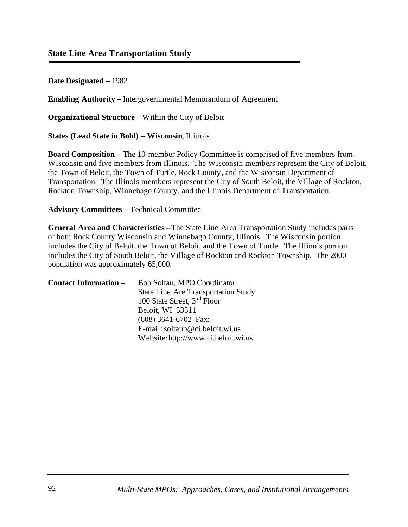**Enabling Authority –** Intergovernmental Memorandum of Agreement

**Organizational Structure** – Within the City of Beloit

**States (Lead State in Bold) – Wisconsin**, Illinois

**Board Composition –** The 10-member Policy Committee is comprised of five members from Wisconsin and five members from Illinois. The Wisconsin members represent the City of Beloit, the Town of Beloit, the Town of Turtle, Rock County, and the Wisconsin Department of Transportation. The Illinois members represent the City of South Beloit, the Village of Rockton, Rockton Township, Winnebago County, and the Illinois Department of Transportation.

**Advisory Committees –** Technical Committee

**General Area and Characteristics –**The State Line Area Transportation Study includes parts of both Rock County Wisconsin and Winnebago County, Illinois. The Wisconsin portion includes the City of Beloit, the Town of Beloit, and the Town of Turtle. The Illinois portion includes the City of South Beloit, the Village of Rockton and Rockton Township. The 2000 population was approximately 65,000.

| <b>Contact Information –</b> | Bob Soltau, MPO Coordinator                |
|------------------------------|--------------------------------------------|
|                              | <b>State Line Are Transportation Study</b> |
|                              | 100 State Street, 3 <sup>rd</sup> Floor    |
|                              | Beloit, WI 53511                           |
|                              | $(608)$ 3641-6702 Fax:                     |
|                              | E-mail: soltaub@ci.beloit.wi.us            |
|                              | Website: http://www.ci.beloit.wi.us        |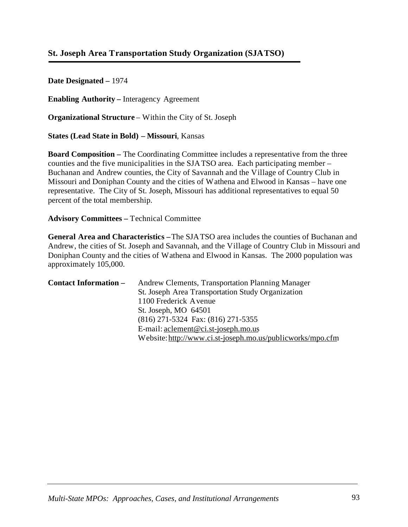# **St. Joseph Area Transportation Study Organization (SJATSO)**

**Date Designated –** 1974

**Enabling Authority –** Interagency Agreement

**Organizational Structure** – Within the City of St. Joseph

**States (Lead State in Bold) – Missouri**, Kansas

**Board Composition –** The Coordinating Committee includes a representative from the three counties and the five municipalities in the SJATSO area. Each participating member – Buchanan and Andrew counties, the City of Savannah and the Village of Country Club in Missouri and Doniphan County and the cities of Wathena and Elwood in Kansas – have one representative. The City of St. Joseph, Missouri has additional representatives to equal 50 percent of the total membership.

**Advisory Committees –** Technical Committee

**General Area and Characteristics –**The SJATSO area includes the counties of Buchanan and Andrew, the cities of St. Joseph and Savannah, and the Village of Country Club in Missouri and Doniphan County and the cities of Wathena and Elwood in Kansas. The 2000 population was approximately 105,000.

| <b>Contact Information –</b> | Andrew Clements, Transportation Planning Manager           |
|------------------------------|------------------------------------------------------------|
|                              | St. Joseph Area Transportation Study Organization          |
|                              | 1100 Frederick Avenue                                      |
|                              | St. Joseph, MO 64501                                       |
|                              | (816) 271-5324 Fax: (816) 271-5355                         |
|                              | E-mail: aclement@ci.st-joseph.mo.us                        |
|                              | Website: http://www.ci.st-joseph.mo.us/publicworks/mpo.cfm |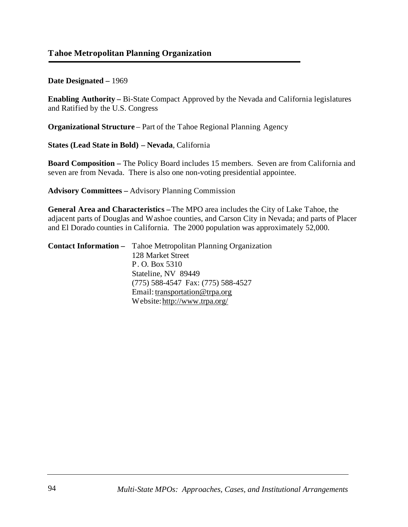**Enabling Authority –** Bi-State Compact Approved by the Nevada and California legislatures and Ratified by the U.S. Congress

**Organizational Structure** – Part of the Tahoe Regional Planning Agency

**States (Lead State in Bold) – Nevada**, California

**Board Composition –** The Policy Board includes 15 members. Seven are from California and seven are from Nevada. There is also one non-voting presidential appointee.

**Advisory Committees –** Advisory Planning Commission

**General Area and Characteristics –**The MPO area includes the City of Lake Tahoe, the adjacent parts of Douglas and Washoe counties, and Carson City in Nevada; and parts of Placer and El Dorado counties in California. The 2000 population was approximately 52,000.

| <b>Contact Information –</b> Tahoe Metropolitan Planning Organization |
|-----------------------------------------------------------------------|
| 128 Market Street                                                     |
| P. O. Box 5310                                                        |
| Stateline, NV 89449                                                   |
| $(775)$ 588-4547 Fax: $(775)$ 588-4527                                |
| Email: transportation @ trpa.org                                      |
| Website: http://www.trpa.org/                                         |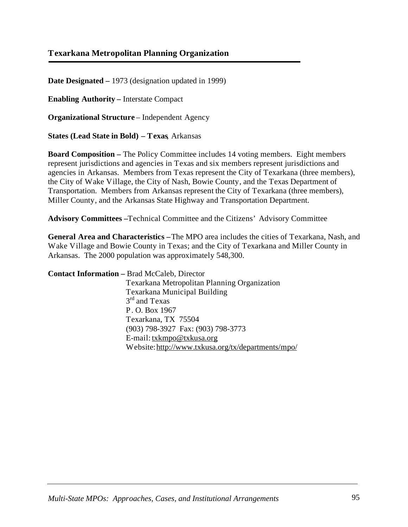## **Texarkana Metropolitan Planning Organization**

**Date Designated –** 1973 (designation updated in 1999)

**Enabling Authority –** Interstate Compact

**Organizational Structure** – Independent Agency

**States (Lead State in Bold) – Texas**, Arkansas

**Board Composition –** The Policy Committee includes 14 voting members. Eight members represent jurisdictions and agencies in Texas and six members represent jurisdictions and agencies in Arkansas. Members from Texas represent the City of Texarkana (three members), the City of Wake Village, the City of Nash, Bowie County, and the Texas Department of Transportation. Members from Arkansas represent the City of Texarkana (three members), Miller County, and the Arkansas State Highway and Transportation Department.

**Advisory Committees –**Technical Committee and the Citizens' Advisory Committee

**General Area and Characteristics –** The MPO area includes the cities of Texarkana, Nash, and Wake Village and Bowie County in Texas; and the City of Texarkana and Miller County in Arkansas. The 2000 population was approximately 548,300.

| <b>Contact Information - Brad McCaleb, Director</b> |
|-----------------------------------------------------|
| Texarkana Metropolitan Planning Organization        |
| Texarkana Municipal Building                        |
| $3rd$ and Texas                                     |
| P.O. Box 1967                                       |
| Texarkana, TX 75504                                 |
| (903) 798-3927 Fax: (903) 798-3773                  |
| E-mail: txkmpo@txkusa.org                           |
| Website: http://www.txkusa.org/tx/departments/mpo/  |
|                                                     |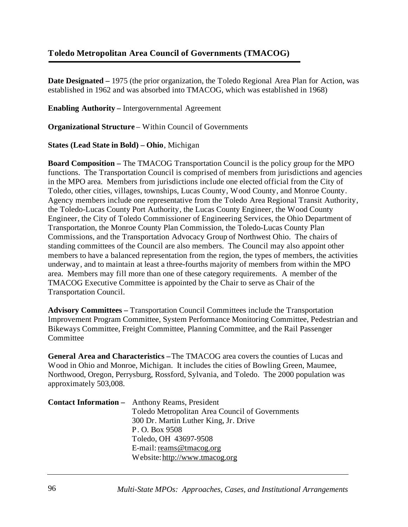# **Toledo Metropolitan Area Council of Governments (TMACOG)**

**Date Designated** – 1975 (the prior organization, the Toledo Regional Area Plan for Action, was established in 1962 and was absorbed into TMACOG, which was established in 1968)

**Enabling Authority –** Intergovernmental Agreement

**Organizational Structure** – Within Council of Governments

**States (Lead State in Bold) – Ohio**, Michigan

**Board Composition –** The TMACOG Transportation Council is the policy group for the MPO functions. The Transportation Council is comprised of members from jurisdictions and agencies in the MPO area. Members from jurisdictions include one elected official from the City of Toledo, other cities, villages, townships, Lucas County, Wood County, and Monroe County. Agency members include one representative from the Toledo Area Regional Transit Authority, the Toledo-Lucas County Port Authority, the Lucas County Engineer, the Wood County Engineer, the City of Toledo Commissioner of Engineering Services, the Ohio Department of Transportation, the Monroe County Plan Commission, the Toledo-Lucas County Plan Commissions, and the Transportation Advocacy Group of Northwest Ohio. The chairs of standing committees of the Council are also members. The Council may also appoint other members to have a balanced representation from the region, the types of members, the activities underway, and to maintain at least a three-fourths majority of members from within the MPO area. Members may fill more than one of these category requirements. A member of the TMACOG Executive Committee is appointed by the Chair to serve as Chair of the Transportation Council.

**Advisory Committees –** Transportation Council Committees include the Transportation Improvement Program Committee, System Performance Monitoring Committee, Pedestrian and Bikeways Committee, Freight Committee, Planning Committee, and the Rail Passenger **Committee** 

**General Area and Characteristics –**The TMACOG area covers the counties of Lucas and Wood in Ohio and Monroe, Michigan. It includes the cities of Bowling Green, Maumee, Northwood, Oregon, Perrysburg, Rossford, Sylvania, and Toledo. The 2000 population was approximately 503,008.

| <b>Contact Information -</b> Anthony Reams, President |
|-------------------------------------------------------|
| Toledo Metropolitan Area Council of Governments       |
| 300 Dr. Martin Luther King, Jr. Drive                 |
| P. O. Box 9508                                        |
| Toledo, OH 43697-9508                                 |
| E-mail: reams@tmacog.org                              |
| Website: http://www.tmacog.org                        |
|                                                       |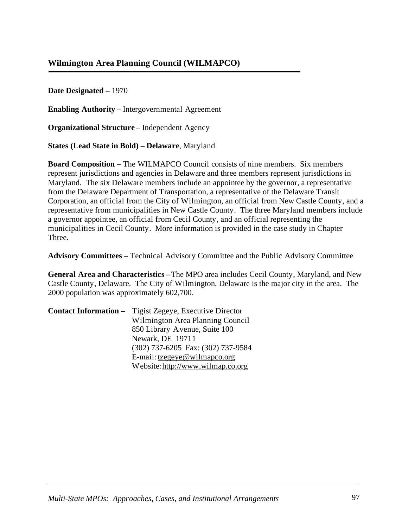**Enabling Authority –** Intergovernmental Agreement

**Organizational Structure** – Independent Agency

**States (Lead State in Bold) – Delaware**, Maryland

**Board Composition –** The WILMAPCO Council consists of nine members. Six members represent jurisdictions and agencies in Delaware and three members represent jurisdictions in Maryland. The six Delaware members include an appointee by the governor, a representative from the Delaware Department of Transportation, a representative of the Delaware Transit Corporation, an official from the City of Wilmington, an official from New Castle County, and a representative from municipalities in New Castle County. The three Maryland members include a governor appointee, an official from Cecil County, and an official representing the municipalities in Cecil County. More information is provided in the case study in Chapter Three.

**Advisory Committees –** Technical Advisory Committee and the Public Advisory Committee

**General Area and Characteristics –** The MPO area includes Cecil County, Maryland, and New Castle County, Delaware. The City of Wilmington, Delaware is the major city in the area. The 2000 population was approximately 602,700.

| <b>Contact Information</b> – Tigist Zegeye, Executive Director |
|----------------------------------------------------------------|
| Wilmington Area Planning Council                               |
| 850 Library Avenue, Suite 100                                  |
| Newark, DE 19711                                               |
| (302) 737-6205 Fax: (302) 737-9584                             |
| E-mail: tzegeye@wilmapco.org                                   |
| Website: http://www.wilmap.co.org                              |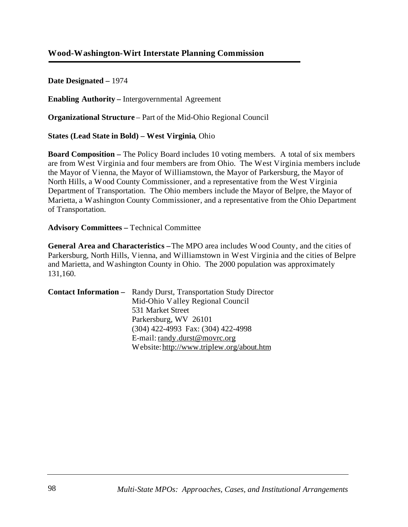## **Wood-Washington-Wirt Interstate Planning Commission**

#### **Date Designated –** 1974

**Enabling Authority –** Intergovernmental Agreement

**Organizational Structure** – Part of the Mid-Ohio Regional Council

**States (Lead State in Bold) – West Virginia**, Ohio

**Board Composition –** The Policy Board includes 10 voting members. A total of six members are from West Virginia and four members are from Ohio. The West Virginia members include the Mayor of Vienna, the Mayor of Williamstown, the Mayor of Parkersburg, the Mayor of North Hills, a Wood County Commissioner, and a representative from the West Virginia Department of Transportation. The Ohio members include the Mayor of Belpre, the Mayor of Marietta, a Washington County Commissioner, and a representative from the Ohio Department of Transportation.

**Advisory Committees –** Technical Committee

**General Area and Characteristics –**The MPO area includes Wood County, and the cities of Parkersburg, North Hills, Vienna, and Williamstown in West Virginia and the cities of Belpre and Marietta, and Washington County in Ohio. The 2000 population was approximately 131,160.

| <b>Contact Information –</b> Randy Durst, Transportation Study Director |
|-------------------------------------------------------------------------|
| Mid-Ohio Valley Regional Council                                        |
| 531 Market Street                                                       |
| Parkersburg, WV 26101                                                   |
| (304) 422-4993 Fax: (304) 422-4998                                      |
| E-mail: randy.durst@movrc.org                                           |
| Website: http://www.triplew.org/about.htm                               |